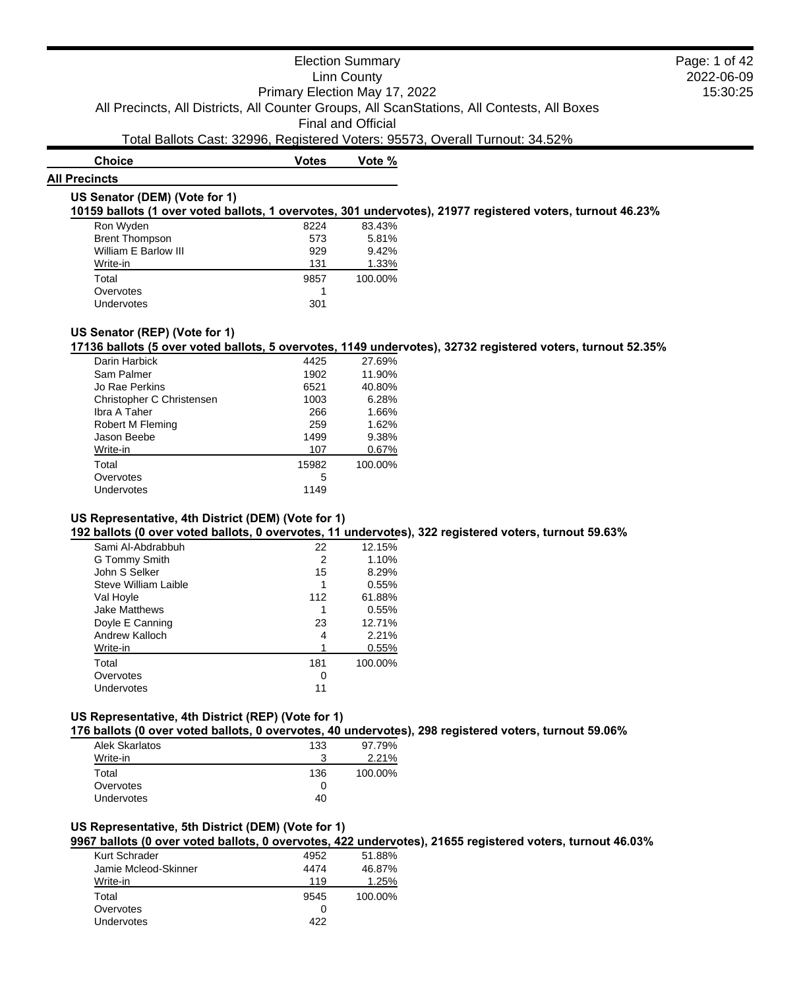# **Choice Votes Votes Vote** % **All Precincts**

#### **US Senator (DEM) (Vote for 1)**

**10159 ballots (1 over voted ballots, 1 overvotes, 301 undervotes), 21977 registered voters, turnout 46.23%**

| Ron Wyden             | 8224 | 83.43%  |
|-----------------------|------|---------|
| <b>Brent Thompson</b> | 573  | 5.81%   |
| William E Barlow III  | 929  | 9.42%   |
| Write-in              | 131  | 1.33%   |
| Total                 | 9857 | 100.00% |
| Overvotes             |      |         |
| <b>Undervotes</b>     | 301  |         |

### **US Senator (REP) (Vote for 1)**

**17136 ballots (5 over voted ballots, 5 overvotes, 1149 undervotes), 32732 registered voters, turnout 52.35%**

| Darin Harbick             | 4425  | 27.69%  |
|---------------------------|-------|---------|
| Sam Palmer                | 1902  | 11.90%  |
| Jo Rae Perkins            | 6521  | 40.80%  |
| Christopher C Christensen | 1003  | 6.28%   |
| Ibra A Taher              | 266   | 1.66%   |
| Robert M Fleming          | 259   | 1.62%   |
| Jason Beebe               | 1499  | 9.38%   |
| Write-in                  | 107   | 0.67%   |
| Total                     | 15982 | 100.00% |
| Overvotes                 | 5     |         |
| Undervotes                | 1149  |         |
|                           |       |         |

#### **US Representative, 4th District (DEM) (Vote for 1)**

**192 ballots (0 over voted ballots, 0 overvotes, 11 undervotes), 322 registered voters, turnout 59.63%**

| Sami Al-Abdrabbuh    | 22  | 12.15%  |
|----------------------|-----|---------|
| G Tommy Smith        | 2   | 1.10%   |
| John S Selker        | 15  | 8.29%   |
| Steve William Laible |     | 0.55%   |
| Val Hoyle            | 112 | 61.88%  |
| <b>Jake Matthews</b> |     | 0.55%   |
| Doyle E Canning      | 23  | 12.71%  |
| Andrew Kalloch       | 4   | 2.21%   |
| Write-in             |     | 0.55%   |
| Total                | 181 | 100.00% |
| Overvotes            | Ω   |         |
| Undervotes           | 11  |         |
|                      |     |         |

# **US Representative, 4th District (REP) (Vote for 1)**

**176 ballots (0 over voted ballots, 0 overvotes, 40 undervotes), 298 registered voters, turnout 59.06%**

| <b>Alek Skarlatos</b> | 133 | 97.79%  |
|-----------------------|-----|---------|
| Write-in              | ີ   | 2.21%   |
| Total                 | 136 | 100.00% |
| Overvotes             |     |         |
| <b>Undervotes</b>     | 40  |         |
|                       |     |         |

### **US Representative, 5th District (DEM) (Vote for 1)**

**9967 ballots (0 over voted ballots, 0 overvotes, 422 undervotes), 21655 registered voters, turnout 46.03%**

| Kurt Schrader<br>Jamie Mcleod-Skinner | 4952<br>4474 | 51.88%<br>46.87% |
|---------------------------------------|--------------|------------------|
| Write-in                              | 119          | 1.25%            |
| Total                                 | 9545         | 100.00%          |
| Overvotes                             |              |                  |
| Undervotes                            | 422          |                  |
|                                       |              |                  |

2022-06-09 15:30:25 Page: 1 of 42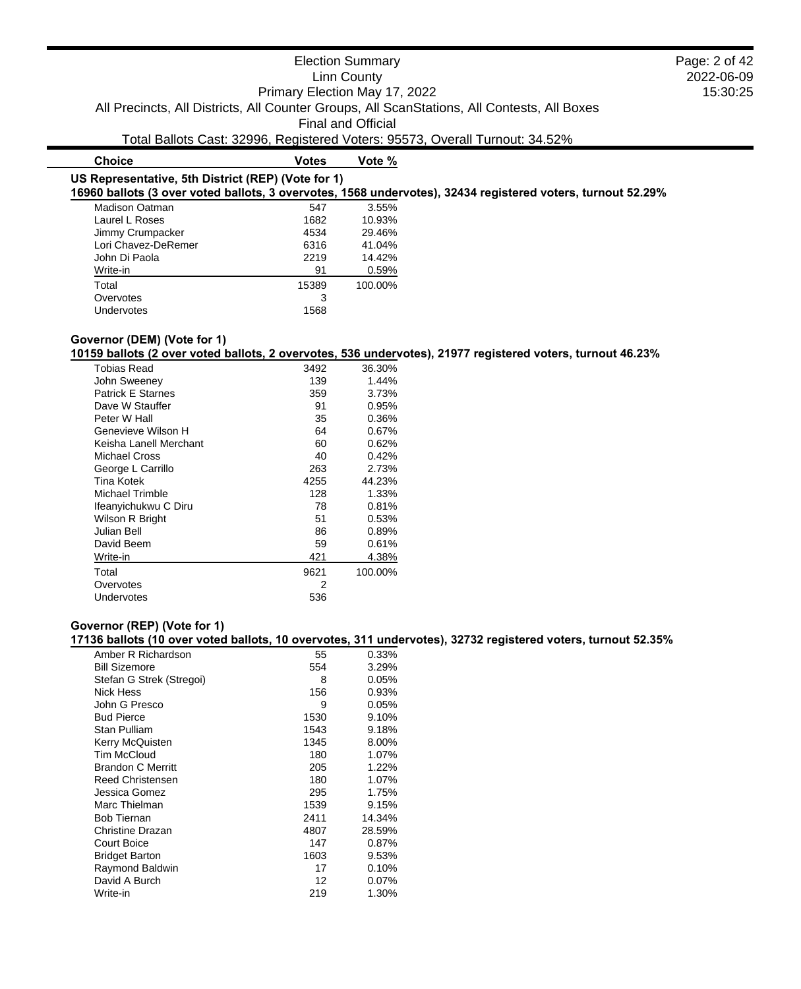2022-06-09 15:30:25

Page: 2 of 42

# **Choice Votes Votes Vote** %

### **US Representative, 5th District (REP) (Vote for 1)**

**16960 ballots (3 over voted ballots, 3 overvotes, 1568 undervotes), 32434 registered voters, turnout 52.29%**

| Madison Oatman      | 547   | 3.55%   |
|---------------------|-------|---------|
| Laurel L Roses      | 1682  | 10.93%  |
| Jimmy Crumpacker    | 4534  | 29.46%  |
| Lori Chavez-DeRemer | 6316  | 41.04%  |
| John Di Paola       | 2219  | 14.42%  |
| Write-in            | 91    | 0.59%   |
| Total               | 15389 | 100.00% |
| Overvotes           | 3     |         |
| Undervotes          | 1568  |         |

# **Governor (DEM) (Vote for 1)**

**10159 ballots (2 over voted ballots, 2 overvotes, 536 undervotes), 21977 registered voters, turnout 46.23%**

| Tobias Read              | 3492 | 36.30%  |
|--------------------------|------|---------|
| John Sweeney             | 139  | 1.44%   |
| <b>Patrick E Starnes</b> | 359  | 3.73%   |
| Dave W Stauffer          | 91   | 0.95%   |
| Peter W Hall             | 35   | 0.36%   |
| Genevieve Wilson H       | 64   | 0.67%   |
| Keisha Lanell Merchant   | 60   | 0.62%   |
| Michael Cross            | 40   | 0.42%   |
| George L Carrillo        | 263  | 2.73%   |
| <b>Tina Kotek</b>        | 4255 | 44.23%  |
| Michael Trimble          | 128  | 1.33%   |
| Ifeanyichukwu C Diru     | 78   | 0.81%   |
| Wilson R Bright          | 51   | 0.53%   |
| Julian Bell              | 86   | 0.89%   |
| David Beem               | 59   | 0.61%   |
| Write-in                 | 421  | 4.38%   |
| Total                    | 9621 | 100.00% |
| Overvotes                | 2    |         |
| Undervotes               | 536  |         |

# **Governor (REP) (Vote for 1)**

#### **17136 ballots (10 over voted ballots, 10 overvotes, 311 undervotes), 32732 registered voters, turnout 52.35%**

| Amber R Richardson       | 55   | 0.33%    |
|--------------------------|------|----------|
| <b>Bill Sizemore</b>     | 554  | 3.29%    |
| Stefan G Strek (Stregoi) | 8    | 0.05%    |
| Nick Hess                | 156  | 0.93%    |
| John G Presco            | 9    | 0.05%    |
| <b>Bud Pierce</b>        | 1530 | 9.10%    |
| Stan Pulliam             | 1543 | 9.18%    |
| Kerry McQuisten          | 1345 | 8.00%    |
| <b>Tim McCloud</b>       | 180  | 1.07%    |
| <b>Brandon C Merritt</b> | 205  | 1.22%    |
| <b>Reed Christensen</b>  | 180  | 1.07%    |
| Jessica Gomez            | 295  | 1.75%    |
| Marc Thielman            | 1539 | 9.15%    |
| Bob Tiernan              | 2411 | 14.34%   |
| Christine Drazan         | 4807 | 28.59%   |
| Court Boice              | 147  | 0.87%    |
| <b>Bridget Barton</b>    | 1603 | 9.53%    |
| Raymond Baldwin          | 17   | 0.10%    |
| David A Burch            | 12   | $0.07\%$ |
| Write-in                 | 219  | 1.30%    |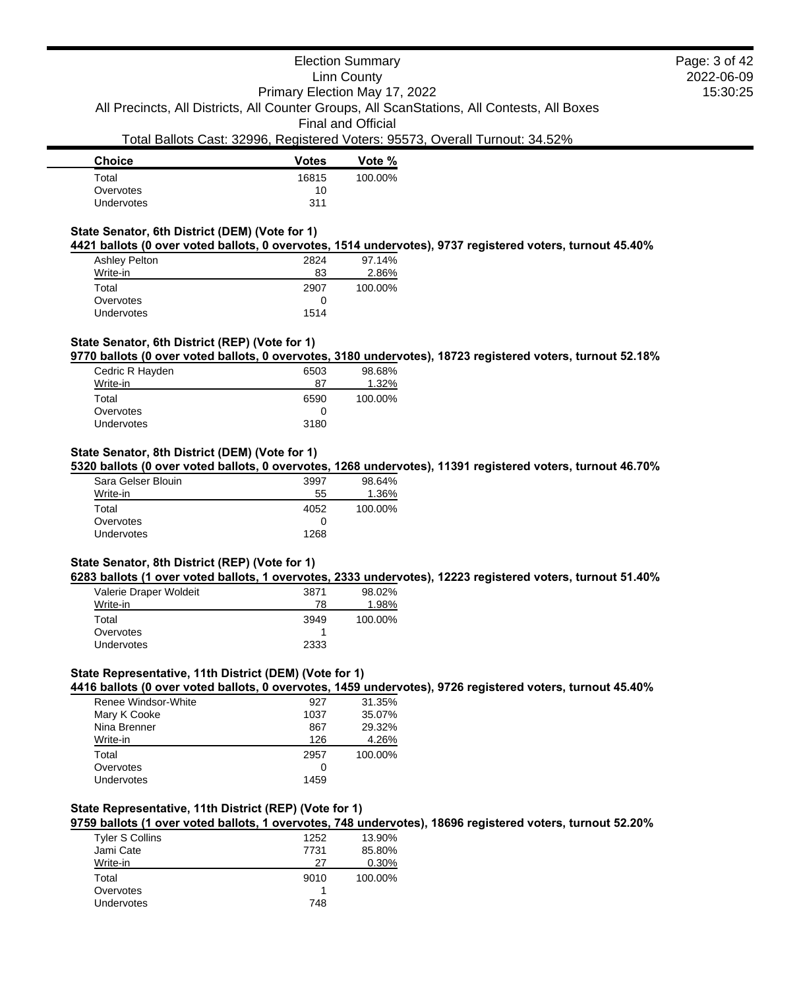| <b>Votes</b> | Vote %  |
|--------------|---------|
| 16815        | 100.00% |
| 10           |         |
| 311          |         |
|              |         |

# **State Senator, 6th District (DEM) (Vote for 1)**

**4421 ballots (0 over voted ballots, 0 overvotes, 1514 undervotes), 9737 registered voters, turnout 45.40%**

| <b>Ashley Pelton</b> | 2824 | 97.14%  |
|----------------------|------|---------|
| Write-in             | 83   | 2.86%   |
| Total                | 2907 | 100.00% |
| Overvotes            |      |         |
| <b>Undervotes</b>    | 1514 |         |

# **State Senator, 6th District (REP) (Vote for 1)**

**9770 ballots (0 over voted ballots, 0 overvotes, 3180 undervotes), 18723 registered voters, turnout 52.18%**

| Cedric R Hayden | 6503         | 98.68%  |
|-----------------|--------------|---------|
| Write-in        | 87           | 1.32%   |
| Total           | 6590         | 100.00% |
| Overvotes       | $\mathbf{0}$ |         |
| Undervotes      | 3180         |         |

### **State Senator, 8th District (DEM) (Vote for 1)**

**5320 ballots (0 over voted ballots, 0 overvotes, 1268 undervotes), 11391 registered voters, turnout 46.70%**

| Sara Gelser Blouin | 3997 | 98.64%  |
|--------------------|------|---------|
| Write-in           | 55   | 1.36%   |
| Total              | 4052 | 100.00% |
| Overvotes          | 0    |         |
| Undervotes         | 1268 |         |

# **State Senator, 8th District (REP) (Vote for 1)**

**6283 ballots (1 over voted ballots, 1 overvotes, 2333 undervotes), 12223 registered voters, turnout 51.40%**

| Valerie Draper Woldeit | 3871 | 98.02%  |
|------------------------|------|---------|
| Write-in               | 78   | 1.98%   |
| Total                  | 3949 | 100.00% |
| Overvotes              |      |         |
| Undervotes             | 2333 |         |

#### **State Representative, 11th District (DEM) (Vote for 1)**

**4416 ballots (0 over voted ballots, 0 overvotes, 1459 undervotes), 9726 registered voters, turnout 45.40%**

| Renee Windsor-White | 927  | 31.35%  |
|---------------------|------|---------|
| Mary K Cooke        | 1037 | 35.07%  |
| Nina Brenner        | 867  | 29.32%  |
| Write-in            | 126  | 4.26%   |
| Total               | 2957 | 100.00% |
| Overvotes           | 0    |         |
| Undervotes          | 1459 |         |
|                     |      |         |

# **State Representative, 11th District (REP) (Vote for 1)**

**9759 ballots (1 over voted ballots, 1 overvotes, 748 undervotes), 18696 registered voters, turnout 52.20%**

| Tyler S Collins   | 1252 | 13.90%  |
|-------------------|------|---------|
| Jami Cate         | 7731 | 85.80%  |
| Write-in          | 27   | 0.30%   |
| Total             | 9010 | 100.00% |
| Overvotes         |      |         |
| <b>Undervotes</b> | 748  |         |
|                   |      |         |

2022-06-09 15:30:25 Page: 3 of 42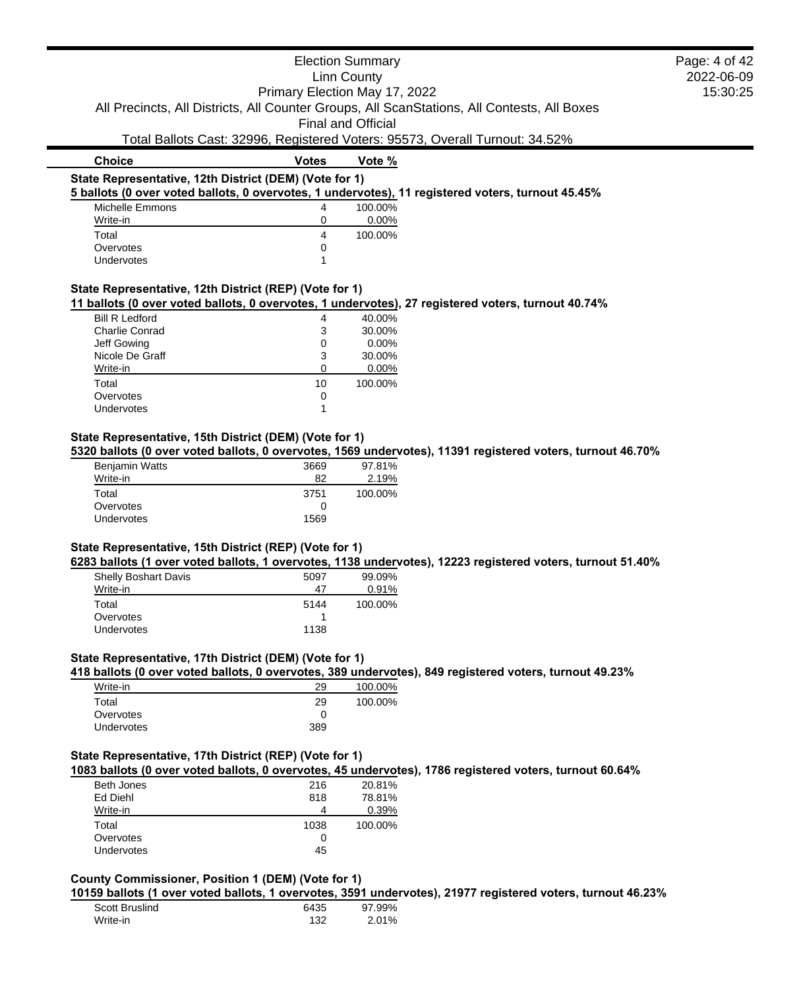|                                                                                                                                                                                                                                                                                                            |                               | <b>Election Summary</b> |                                                                              | Page: 4 of 42 |
|------------------------------------------------------------------------------------------------------------------------------------------------------------------------------------------------------------------------------------------------------------------------------------------------------------|-------------------------------|-------------------------|------------------------------------------------------------------------------|---------------|
|                                                                                                                                                                                                                                                                                                            |                               | <b>Linn County</b>      |                                                                              | 2022-06-09    |
|                                                                                                                                                                                                                                                                                                            | Primary Election May 17, 2022 |                         |                                                                              | 15:30:25      |
| All Precincts, All Districts, All Counter Groups, All ScanStations, All Contests, All Boxes                                                                                                                                                                                                                |                               |                         |                                                                              |               |
|                                                                                                                                                                                                                                                                                                            |                               | Final and Official      |                                                                              |               |
|                                                                                                                                                                                                                                                                                                            |                               |                         | Total Ballots Cast: 32996, Registered Voters: 95573, Overall Turnout: 34.52% |               |
| <b>Choice</b>                                                                                                                                                                                                                                                                                              | <b>Votes</b>                  | Vote %                  |                                                                              |               |
| State Representative, 12th District (DEM) (Vote for 1)                                                                                                                                                                                                                                                     |                               |                         |                                                                              |               |
| 5 ballots (0 over voted ballots, 0 overvotes, 1 undervotes), 11 registered voters, turnout 45.45%                                                                                                                                                                                                          |                               |                         |                                                                              |               |
| Michelle Emmons                                                                                                                                                                                                                                                                                            | 4                             | 100.00%                 |                                                                              |               |
| Write-in                                                                                                                                                                                                                                                                                                   | 0                             | 0.00%                   |                                                                              |               |
| Total                                                                                                                                                                                                                                                                                                      | 4                             | 100.00%                 |                                                                              |               |
| Overvotes                                                                                                                                                                                                                                                                                                  | 0                             |                         |                                                                              |               |
| <b>Undervotes</b>                                                                                                                                                                                                                                                                                          | 1                             |                         |                                                                              |               |
| State Representative, 12th District (REP) (Vote for 1)                                                                                                                                                                                                                                                     |                               |                         |                                                                              |               |
| 11 ballots (0 over voted ballots, 0 overvotes, 1 undervotes), 27 registered voters, turnout 40.74%                                                                                                                                                                                                         |                               |                         |                                                                              |               |
| <b>Bill R Ledford</b>                                                                                                                                                                                                                                                                                      | 4                             | 40.00%                  |                                                                              |               |
| <b>Charlie Conrad</b>                                                                                                                                                                                                                                                                                      | 3                             | 30.00%                  |                                                                              |               |
| Jeff Gowing                                                                                                                                                                                                                                                                                                | 0                             | 0.00%                   |                                                                              |               |
| Nicole De Graff                                                                                                                                                                                                                                                                                            | 3                             | 30.00%                  |                                                                              |               |
| Write-in                                                                                                                                                                                                                                                                                                   | $\Omega$                      | $0.00\%$                |                                                                              |               |
|                                                                                                                                                                                                                                                                                                            |                               |                         |                                                                              |               |
| Total                                                                                                                                                                                                                                                                                                      | 10                            | 100.00%                 |                                                                              |               |
| Overvotes                                                                                                                                                                                                                                                                                                  | 0                             |                         |                                                                              |               |
| Undervotes                                                                                                                                                                                                                                                                                                 | 1                             |                         |                                                                              |               |
|                                                                                                                                                                                                                                                                                                            |                               |                         |                                                                              |               |
| State Representative, 15th District (DEM) (Vote for 1)                                                                                                                                                                                                                                                     |                               |                         |                                                                              |               |
|                                                                                                                                                                                                                                                                                                            |                               | 97.81%                  |                                                                              |               |
| Benjamin Watts<br>Write-in                                                                                                                                                                                                                                                                                 | 3669<br>82                    |                         |                                                                              |               |
|                                                                                                                                                                                                                                                                                                            |                               | 2.19%                   |                                                                              |               |
| Total                                                                                                                                                                                                                                                                                                      | 3751                          | 100.00%                 |                                                                              |               |
| Overvotes<br>Undervotes                                                                                                                                                                                                                                                                                    | 0<br>1569                     |                         |                                                                              |               |
|                                                                                                                                                                                                                                                                                                            |                               |                         |                                                                              |               |
|                                                                                                                                                                                                                                                                                                            |                               |                         |                                                                              |               |
|                                                                                                                                                                                                                                                                                                            |                               |                         |                                                                              |               |
| 5320 ballots (0 over voted ballots, 0 overvotes, 1569 undervotes), 11391 registered voters, turnout 46.70%<br>State Representative, 15th District (REP) (Vote for 1)<br>6283 ballots (1 over voted ballots, 1 overvotes, 1138 undervotes), 12223 registered voters, turnout 51.40%<br>Shelly Boshart Davis | 5097                          | 99.09%                  |                                                                              |               |
| Write-in                                                                                                                                                                                                                                                                                                   | 47                            | 0.91%                   |                                                                              |               |
| Total                                                                                                                                                                                                                                                                                                      | 5144                          | 100.00%                 |                                                                              |               |
| Overvotes                                                                                                                                                                                                                                                                                                  | -1                            |                         |                                                                              |               |
| Undervotes                                                                                                                                                                                                                                                                                                 | 1138                          |                         |                                                                              |               |
|                                                                                                                                                                                                                                                                                                            |                               |                         |                                                                              |               |
| State Representative, 17th District (DEM) (Vote for 1)                                                                                                                                                                                                                                                     |                               |                         |                                                                              |               |
| 418 ballots (0 over voted ballots, 0 overvotes, 389 undervotes), 849 registered voters, turnout 49.23%                                                                                                                                                                                                     |                               |                         |                                                                              |               |
| Write-in                                                                                                                                                                                                                                                                                                   | 29                            | 100.00%                 |                                                                              |               |
| Total                                                                                                                                                                                                                                                                                                      | 29                            | 100.00%                 |                                                                              |               |
| Overvotes<br>Undervotes                                                                                                                                                                                                                                                                                    | 0<br>389                      |                         |                                                                              |               |

# **State Representative, 17th District (REP) (Vote for 1)**

**1083 ballots (0 over voted ballots, 0 overvotes, 45 undervotes), 1786 registered voters, turnout 60.64%**

| Beth Jones        | 216  | 20.81%  |
|-------------------|------|---------|
| Ed Diehl          | 818  | 78.81%  |
| Write-in          | Δ    | 0.39%   |
| Total             | 1038 | 100.00% |
| Overvotes         | 0    |         |
| <b>Undervotes</b> | 45   |         |
|                   |      |         |

# **County Commissioner, Position 1 (DEM) (Vote for 1)**

**10159 ballots (1 over voted ballots, 1 overvotes, 3591 undervotes), 21977 registered voters, turnout 46.23%**

| Scott Bruslind | 6435 | 97.99% |
|----------------|------|--------|
| Write-in       | 132  | 2.01%  |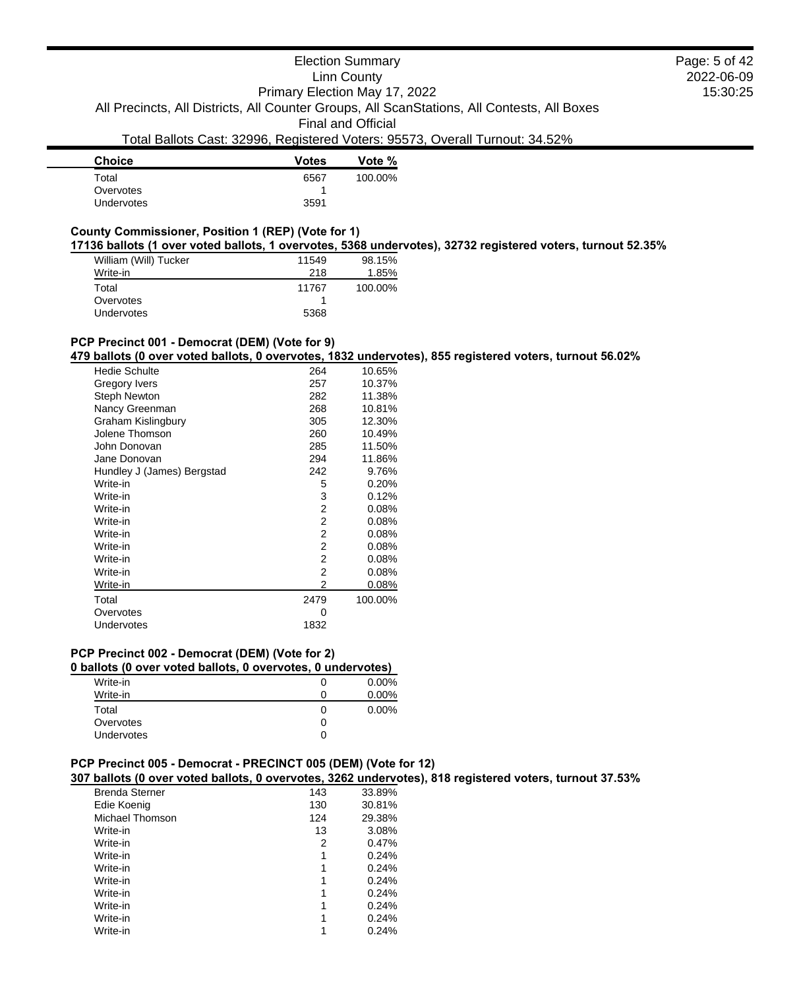# Election Summary

Linn County

2022-06-09 15:30:25 Page: 5 of 42

Primary Election May 17, 2022 All Precincts, All Districts, All Counter Groups, All ScanStations, All Contests, All Boxes

Final and Official

# Total Ballots Cast: 32996, Registered Voters: 95573, Overall Turnout: 34.52%

| <b>Choice</b>     | <b>Votes</b> | Vote %  |
|-------------------|--------------|---------|
| Total             | 6567         | 100.00% |
| Overvotes         |              |         |
| <b>Undervotes</b> | 3591         |         |

# **County Commissioner, Position 1 (REP) (Vote for 1)**

**17136 ballots (1 over voted ballots, 1 overvotes, 5368 undervotes), 32732 registered voters, turnout 52.35%**

| William (Will) Tucker | 11549 | 98.15%  |
|-----------------------|-------|---------|
| Write-in              | 218   | 1.85%   |
| Total                 | 11767 | 100.00% |
| Overvotes             |       |         |
| <b>Undervotes</b>     | 5368  |         |

# **PCP Precinct 001 - Democrat (DEM) (Vote for 9)**

**479 ballots (0 over voted ballots, 0 overvotes, 1832 undervotes), 855 registered voters, turnout 56.02%**

| Hedie Schulte              | 264  | 10.65%  |
|----------------------------|------|---------|
| Gregory Ivers              | 257  | 10.37%  |
| Steph Newton               | 282  | 11.38%  |
| Nancy Greenman             | 268  | 10.81%  |
| Graham Kislingbury         | 305  | 12.30%  |
| Jolene Thomson             | 260  | 10.49%  |
| John Donovan               | 285  | 11.50%  |
| Jane Donovan               | 294  | 11.86%  |
| Hundley J (James) Bergstad | 242  | 9.76%   |
| Write-in                   | 5    | 0.20%   |
| Write-in                   | 3    | 0.12%   |
| Write-in                   | 2    | 0.08%   |
| Write-in                   | 2    | 0.08%   |
| Write-in                   | 2    | 0.08%   |
| Write-in                   | 2    | 0.08%   |
| Write-in                   | 2    | 0.08%   |
| Write-in                   | 2    | 0.08%   |
| Write-in                   | 2    | 0.08%   |
| Total                      | 2479 | 100.00% |
| Overvotes                  | 0    |         |
| Undervotes                 | 1832 |         |

#### **PCP Precinct 002 - Democrat (DEM) (Vote for 2)**

| Write-in   | U | $0.00\%$ |
|------------|---|----------|
| Write-in   |   | $0.00\%$ |
| Total      | 0 | $0.00\%$ |
| Overvotes  |   |          |
| Undervotes | 0 |          |
|            |   |          |

# **PCP Precinct 005 - Democrat - PRECINCT 005 (DEM) (Vote for 12)**

**307 ballots (0 over voted ballots, 0 overvotes, 3262 undervotes), 818 registered voters, turnout 37.53%**

| <b>Brenda Sterner</b> | 143 | 33.89% |  |
|-----------------------|-----|--------|--|
| Edie Koenig           | 130 | 30.81% |  |
| Michael Thomson       | 124 | 29.38% |  |
| Write-in              | 13  | 3.08%  |  |
| Write-in              | 2   | 0.47%  |  |
| Write-in              | 1   | 0.24%  |  |
| Write-in              | 1   | 0.24%  |  |
| Write-in              | 1   | 0.24%  |  |
| Write-in              | 1   | 0.24%  |  |
| Write-in              |     | 0.24%  |  |
| Write-in              |     | 0.24%  |  |
| Write-in              |     | 0.24%  |  |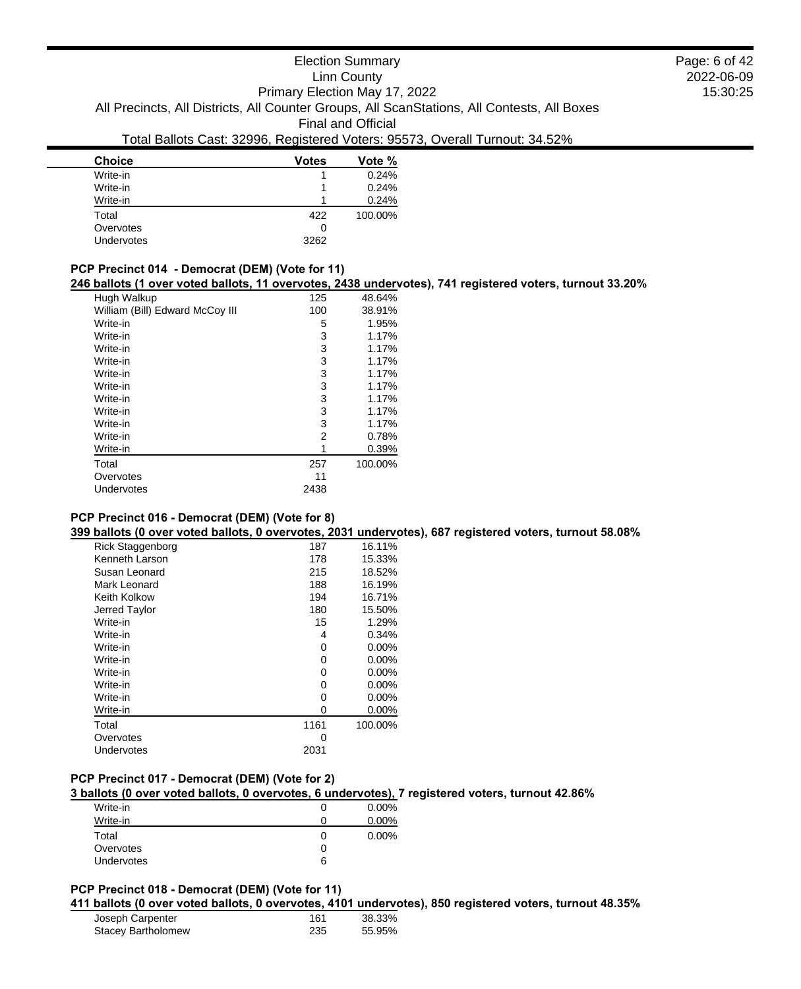# Election Summary

Linn County

Primary Election May 17, 2022

All Precincts, All Districts, All Counter Groups, All ScanStations, All Contests, All Boxes

Final and Official

### Total Ballots Cast: 32996, Registered Voters: 95573, Overall Turnout: 34.52%

| <b>Choice</b>     | <b>Votes</b> | Vote %  |
|-------------------|--------------|---------|
| Write-in          |              | 0.24%   |
| Write-in          |              | 0.24%   |
| Write-in          |              | 0.24%   |
| Total             | 422          | 100.00% |
| Overvotes         | 0            |         |
| <b>Undervotes</b> | 3262         |         |

#### **PCP Precinct 014 - Democrat (DEM) (Vote for 11)**

**246 ballots (1 over voted ballots, 11 overvotes, 2438 undervotes), 741 registered voters, turnout 33.20%**

| Hugh Walkup                     | 125  | 48.64%  |
|---------------------------------|------|---------|
| William (Bill) Edward McCoy III | 100  | 38.91%  |
| Write-in                        | 5    | 1.95%   |
| Write-in                        | 3    | 1.17%   |
| Write-in                        | 3    | 1.17%   |
| Write-in                        | 3    | 1.17%   |
| Write-in                        | 3    | 1.17%   |
| Write-in                        | 3    | 1.17%   |
| Write-in                        | 3    | 1.17%   |
| Write-in                        | 3    | 1.17%   |
| Write-in                        | 3    | 1.17%   |
| Write-in                        | 2    | 0.78%   |
| Write-in                        | 1    | 0.39%   |
| Total                           | 257  | 100.00% |
| Overvotes                       | 11   |         |
| Undervotes                      | 2438 |         |

### **PCP Precinct 016 - Democrat (DEM) (Vote for 8)**

**399 ballots (0 over voted ballots, 0 overvotes, 2031 undervotes), 687 registered voters, turnout 58.08%**

| Rick Staggenborg | 187  | 16.11%   |
|------------------|------|----------|
| Kenneth Larson   | 178  | 15.33%   |
| Susan Leonard    | 215  | 18.52%   |
| Mark Leonard     | 188  | 16.19%   |
| Keith Kolkow     | 194  | 16.71%   |
| Jerred Taylor    | 180  | 15.50%   |
| Write-in         | 15   | 1.29%    |
| Write-in         | 4    | 0.34%    |
| Write-in         | 0    | 0.00%    |
| Write-in         | 0    | $0.00\%$ |
| Write-in         | 0    | 0.00%    |
| Write-in         | 0    | 0.00%    |
| Write-in         | 0    | $0.00\%$ |
| Write-in         | O    | $0.00\%$ |
| Total            | 1161 | 100.00%  |
| Overvotes        | O    |          |
| Undervotes       | 2031 |          |
|                  |      |          |

### **PCP Precinct 017 - Democrat (DEM) (Vote for 2)**

**3 ballots (0 over voted ballots, 0 overvotes, 6 undervotes), 7 registered voters, turnout 42.86%**

| Write-in          |   | $0.00\%$ |
|-------------------|---|----------|
| Write-in          |   | 0.00%    |
| Total             | 0 | $0.00\%$ |
| Overvotes         |   |          |
| <b>Undervotes</b> | 6 |          |

# **PCP Precinct 018 - Democrat (DEM) (Vote for 11)**

**411 ballots (0 over voted ballots, 0 overvotes, 4101 undervotes), 850 registered voters, turnout 48.35%**

| Joseph Carpenter          | 161 | 38.33% |
|---------------------------|-----|--------|
| <b>Stacey Bartholomew</b> | 235 | 55.95% |

2022-06-09 15:30:25 Page: 6 of 42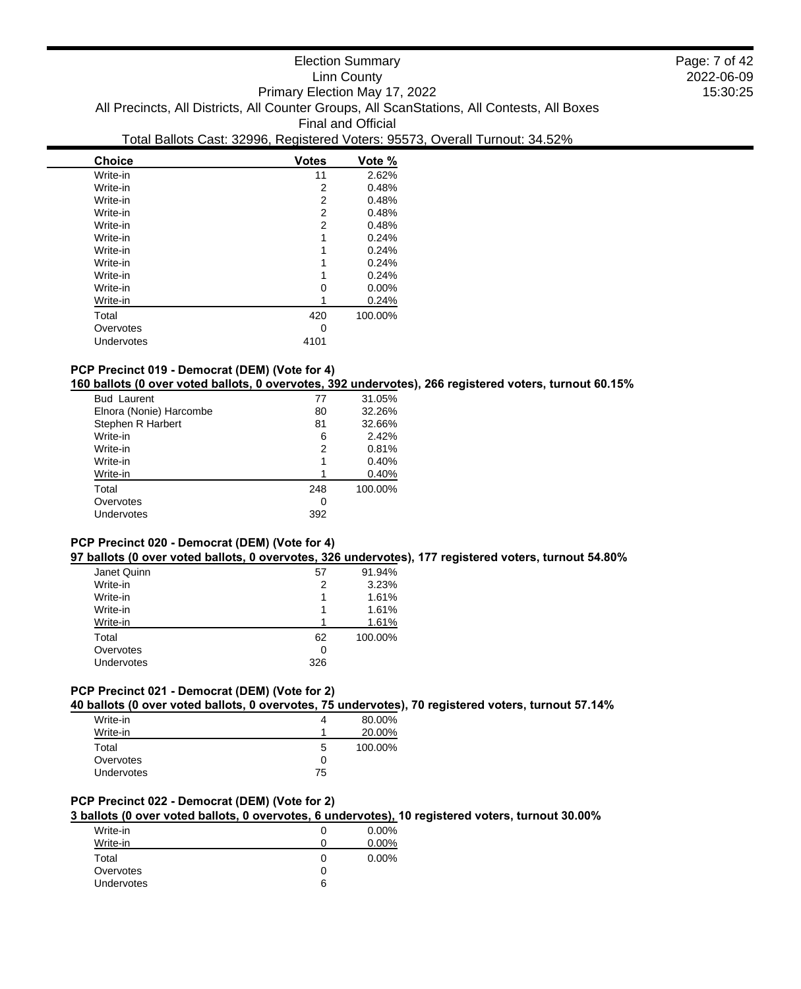| <b>Choice</b> | <b>Votes</b> | Vote %  |
|---------------|--------------|---------|
| Write-in      | 11           | 2.62%   |
| Write-in      | 2            | 0.48%   |
| Write-in      | 2            | 0.48%   |
| Write-in      | 2            | 0.48%   |
| Write-in      | 2            | 0.48%   |
| Write-in      | 1            | 0.24%   |
| Write-in      | 1            | 0.24%   |
| Write-in      | 1            | 0.24%   |
| Write-in      | 1            | 0.24%   |
| Write-in      | 0            | 0.00%   |
| Write-in      |              | 0.24%   |
| Total         | 420          | 100.00% |
| Overvotes     | 0            |         |
| Undervotes    | 4101         |         |
|               |              |         |

# **PCP Precinct 019 - Democrat (DEM) (Vote for 4)**

**160 ballots (0 over voted ballots, 0 overvotes, 392 undervotes), 266 registered voters, turnout 60.15%**

| <b>Bud Laurent</b>      | 77  | 31.05%  |
|-------------------------|-----|---------|
| Elnora (Nonie) Harcombe | 80  | 32.26%  |
| Stephen R Harbert       | 81  | 32.66%  |
| Write-in                | 6   | 2.42%   |
| Write-in                | 2   | 0.81%   |
| Write-in                |     | 0.40%   |
| Write-in                |     | 0.40%   |
| Total                   | 248 | 100.00% |
| Overvotes               | 0   |         |
| Undervotes              | 392 |         |
|                         |     |         |

# **PCP Precinct 020 - Democrat (DEM) (Vote for 4)**

**97 ballots (0 over voted ballots, 0 overvotes, 326 undervotes), 177 registered voters, turnout 54.80%**

| 57  | 91.94%  |
|-----|---------|
| 2   | 3.23%   |
|     | 1.61%   |
|     | 1.61%   |
|     | 1.61%   |
| 62  | 100.00% |
| 0   |         |
| 326 |         |
|     |         |

### **PCP Precinct 021 - Democrat (DEM) (Vote for 2)**

**40 ballots (0 over voted ballots, 0 overvotes, 75 undervotes), 70 registered voters, turnout 57.14%**

| Write-in          | 4  | 80.00%  |
|-------------------|----|---------|
| Write-in          |    | 20.00%  |
| Total             | 5  | 100.00% |
| Overvotes         | 0  |         |
| <b>Undervotes</b> | 75 |         |

### **PCP Precinct 022 - Democrat (DEM) (Vote for 2)**

**3 ballots (0 over voted ballots, 0 overvotes, 6 undervotes), 10 registered voters, turnout 30.00%**

|   | $0.00\%$ |
|---|----------|
|   | $0.00\%$ |
|   | $0.00\%$ |
|   |          |
| 6 |          |
|   |          |

2022-06-09 15:30:25 Page: 7 of 42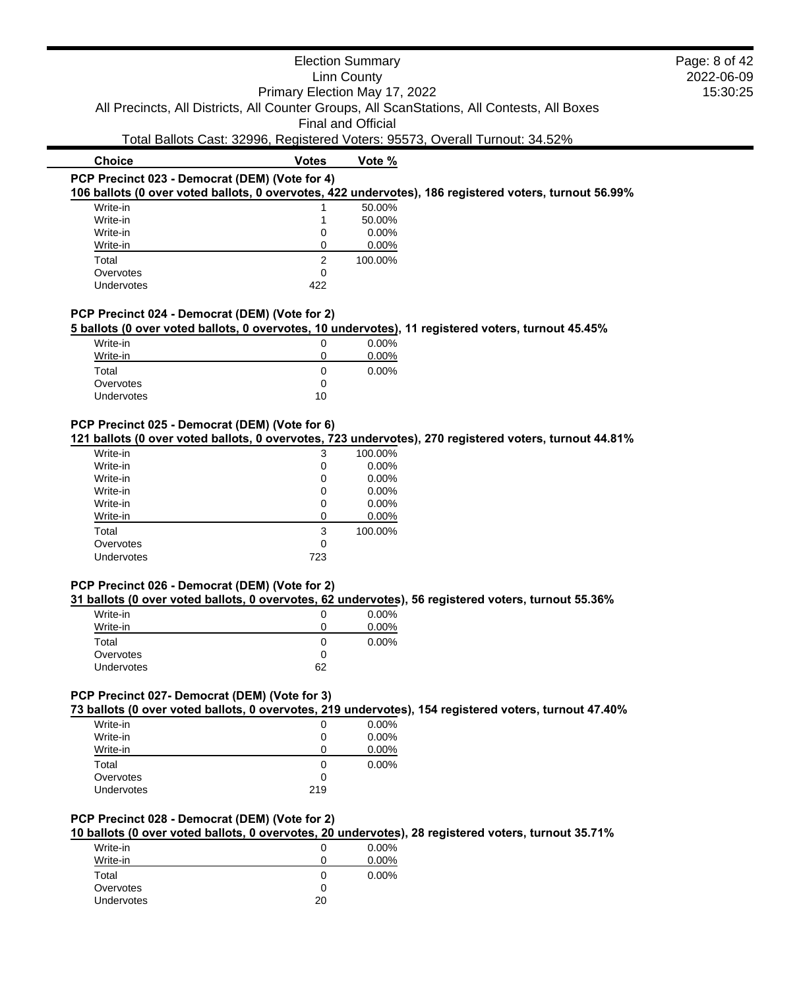### Election Summary Linn County Primary Election May 17, 2022 All Precincts, All Districts, All Counter Groups, All ScanStations, All Contests, All Boxes Final and Official Total Ballots Cast: 32996, Registered Voters: 95573, Overall Turnout: 34.52% **Choice Votes Votes Vote** % **PCP Precinct 023 - Democrat (DEM) (Vote for 4) 106 ballots (0 over voted ballots, 0 overvotes, 422 undervotes), 186 registered voters, turnout 56.99%** Page: 8 of 42

2022-06-09 15:30:25

| Write-in   |     | 50.00%  |
|------------|-----|---------|
| Write-in   |     | 50.00%  |
| Write-in   | 0   | 0.00%   |
| Write-in   |     | 0.00%   |
| Total      | 2   | 100.00% |
| Overvotes  | ∩   |         |
| Undervotes | 422 |         |
|            |     |         |

#### **PCP Precinct 024 - Democrat (DEM) (Vote for 2)**

**5 ballots (0 over voted ballots, 0 overvotes, 10 undervotes), 11 registered voters, turnout 45.45%**

| Write-in          | O            | $0.00\%$ |
|-------------------|--------------|----------|
| Write-in          | Ω            | $0.00\%$ |
| Total             | $\mathbf{0}$ | $0.00\%$ |
| Overvotes         | 0            |          |
| <b>Undervotes</b> | 10           |          |

#### **PCP Precinct 025 - Democrat (DEM) (Vote for 6)**

**121 ballots (0 over voted ballots, 0 overvotes, 723 undervotes), 270 registered voters, turnout 44.81%**

| Write-in          | 3   | 100.00%  |
|-------------------|-----|----------|
| Write-in          | 0   | 0.00%    |
| Write-in          | 0   | 0.00%    |
| Write-in          | 0   | 0.00%    |
| Write-in          | 0   | $0.00\%$ |
| Write-in          | 0   | $0.00\%$ |
| Total             | 3   | 100.00%  |
| Overvotes         | 0   |          |
| <b>Undervotes</b> | 723 |          |
|                   |     |          |

## **PCP Precinct 026 - Democrat (DEM) (Vote for 2)**

**31 ballots (0 over voted ballots, 0 overvotes, 62 undervotes), 56 registered voters, turnout 55.36%**

|    | $0.00\%$ |
|----|----------|
|    | 0.00%    |
|    | 0.00%    |
| 0  |          |
| 62 |          |
|    |          |

#### **PCP Precinct 027- Democrat (DEM) (Vote for 3)**

**73 ballots (0 over voted ballots, 0 overvotes, 219 undervotes), 154 registered voters, turnout 47.40%**

| O   | $0.00\%$ |
|-----|----------|
| O   | 0.00%    |
| O   | $0.00\%$ |
| O   | $0.00\%$ |
| 0   |          |
| 219 |          |
|     |          |

#### **PCP Precinct 028 - Democrat (DEM) (Vote for 2)**

**10 ballots (0 over voted ballots, 0 overvotes, 20 undervotes), 28 registered voters, turnout 35.71%**

| Write-in   |    | $0.00\%$ |
|------------|----|----------|
| Write-in   |    | $0.00\%$ |
| Total      | O  | $0.00\%$ |
| Overvotes  | 0  |          |
| Undervotes | 20 |          |
|            |    |          |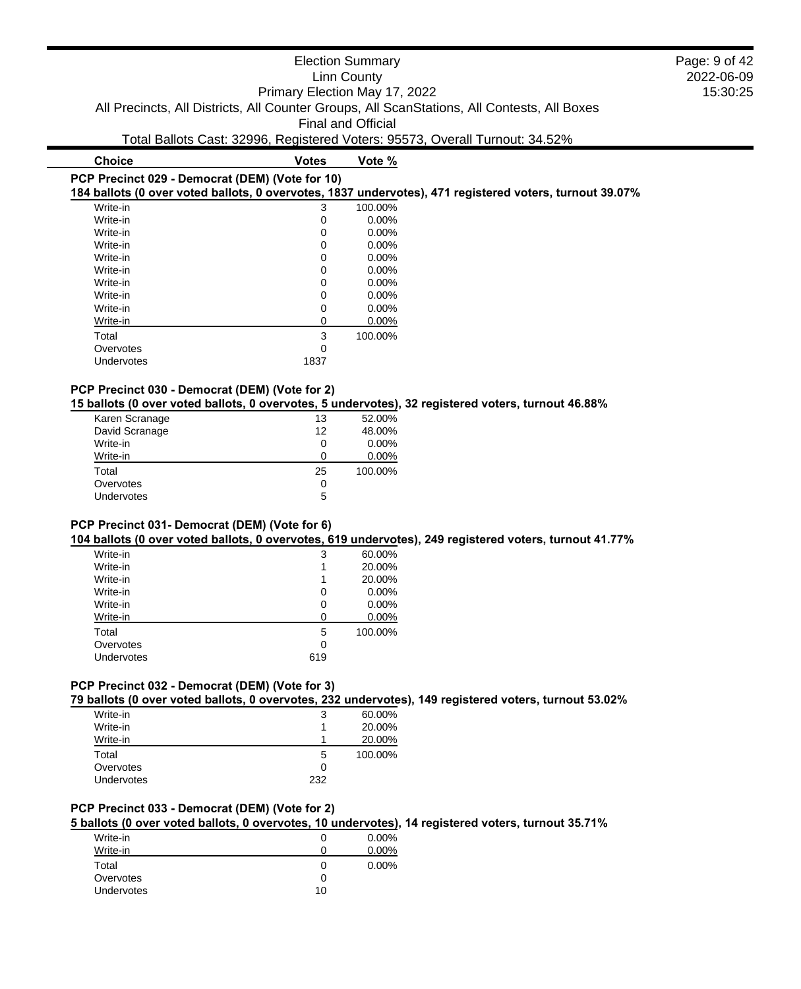| <b>Election Summary</b>                                                                     |  |  |
|---------------------------------------------------------------------------------------------|--|--|
| Linn County                                                                                 |  |  |
| Primary Election May 17, 2022                                                               |  |  |
| All Precincts, All Districts, All Counter Groups, All ScanStations, All Contests, All Boxes |  |  |
| <b>Final and Official</b>                                                                   |  |  |
| Total Ballots Cast: 32996, Registered Voters: 95573, Overall Turnout: 34.52%                |  |  |
| <b>Choice</b><br>Vote %<br>Votes                                                            |  |  |
|                                                                                             |  |  |

# **PCP Precinct 029 - Democrat (DEM) (Vote for 10)**

**184 ballots (0 over voted ballots, 0 overvotes, 1837 undervotes), 471 registered voters, turnout 39.07%**

| Write-in   | 3        | 100.00%  |
|------------|----------|----------|
| Write-in   | 0        | $0.00\%$ |
| Write-in   | 0        | 0.00%    |
| Write-in   | 0        | $0.00\%$ |
| Write-in   | 0        | $0.00\%$ |
| Write-in   | 0        | 0.00%    |
| Write-in   | 0        | $0.00\%$ |
| Write-in   | 0        | $0.00\%$ |
| Write-in   | 0        | 0.00%    |
| Write-in   | 0        | 0.00%    |
| Total      | 3        | 100.00%  |
| Overvotes  | $\Omega$ |          |
| Undervotes | 1837     |          |

#### **PCP Precinct 030 - Democrat (DEM) (Vote for 2)**

**15 ballots (0 over voted ballots, 0 overvotes, 5 undervotes), 32 registered voters, turnout 46.88%**

| 13 | 52.00%   |
|----|----------|
| 12 | 48.00%   |
| 0  | $0.00\%$ |
| ∩  | $0.00\%$ |
| 25 | 100.00%  |
| 0  |          |
|    |          |
|    | 5        |

#### **PCP Precinct 031- Democrat (DEM) (Vote for 6)**

**104 ballots (0 over voted ballots, 0 overvotes, 619 undervotes), 249 registered voters, turnout 41.77%**

| Write-in   | 3   | 60.00%   |
|------------|-----|----------|
| Write-in   | 1   | 20.00%   |
| Write-in   | 1   | 20.00%   |
| Write-in   | 0   | $0.00\%$ |
| Write-in   | 0   | $0.00\%$ |
| Write-in   | 0   | 0.00%    |
| Total      | 5   | 100.00%  |
| Overvotes  | 0   |          |
| Undervotes | 619 |          |

### **PCP Precinct 032 - Democrat (DEM) (Vote for 3)**

**79 ballots (0 over voted ballots, 0 overvotes, 232 undervotes), 149 registered voters, turnout 53.02%**

| Write-in   | 3   | 60.00%  |
|------------|-----|---------|
| Write-in   |     | 20.00%  |
| Write-in   | 1   | 20.00%  |
| Total      | 5   | 100.00% |
| Overvotes  | 0   |         |
| Undervotes | 232 |         |

# **PCP Precinct 033 - Democrat (DEM) (Vote for 2)**

**5 ballots (0 over voted ballots, 0 overvotes, 10 undervotes), 14 registered voters, turnout 35.71%**

| Write-in   |    | $0.00\%$ |
|------------|----|----------|
| Write-in   | O  | 0.00%    |
| Total      |    | $0.00\%$ |
| Overvotes  | 0  |          |
| Undervotes | 10 |          |

### 2022-06-09 15:30:25 Page: 9 of 42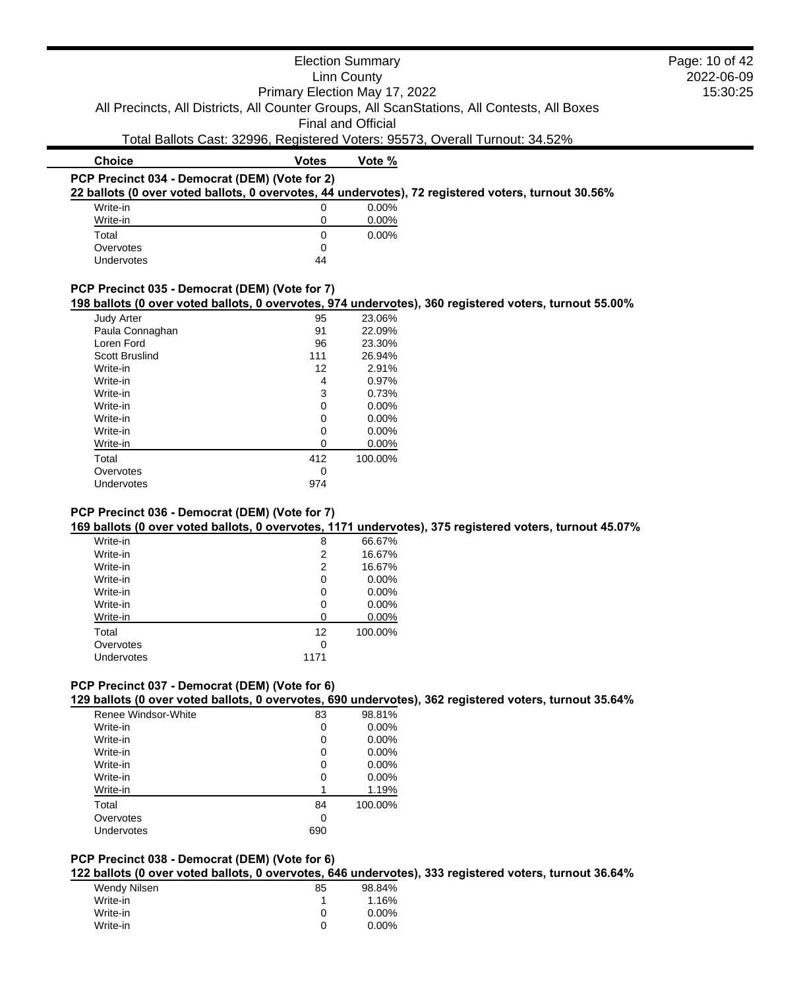|                                                |                               | <b>Election Summary</b>   |                                                                                                        | Page: 10 of 42 |
|------------------------------------------------|-------------------------------|---------------------------|--------------------------------------------------------------------------------------------------------|----------------|
| <b>Linn County</b>                             |                               |                           |                                                                                                        | 2022-06-09     |
|                                                | Primary Election May 17, 2022 |                           |                                                                                                        | 15:30:25       |
|                                                |                               |                           | All Precincts, All Districts, All Counter Groups, All ScanStations, All Contests, All Boxes            |                |
|                                                |                               |                           |                                                                                                        |                |
|                                                |                               | <b>Final and Official</b> |                                                                                                        |                |
|                                                |                               |                           | Total Ballots Cast: 32996, Registered Voters: 95573, Overall Turnout: 34.52%                           |                |
| <b>Choice</b>                                  | <b>Votes</b>                  | Vote %                    |                                                                                                        |                |
| PCP Precinct 034 - Democrat (DEM) (Vote for 2) |                               |                           |                                                                                                        |                |
|                                                |                               |                           | 22 ballots (0 over voted ballots, 0 overvotes, 44 undervotes), 72 registered voters, turnout 30.56%    |                |
| Write-in                                       | 0                             | $0.00\%$                  |                                                                                                        |                |
| Write-in                                       | 0                             | $0.00\%$                  |                                                                                                        |                |
| Total                                          | 0                             | $0.00\%$                  |                                                                                                        |                |
| Overvotes                                      | 0                             |                           |                                                                                                        |                |
| Undervotes                                     | 44                            |                           |                                                                                                        |                |
|                                                |                               |                           |                                                                                                        |                |
| PCP Precinct 035 - Democrat (DEM) (Vote for 7) |                               |                           |                                                                                                        |                |
|                                                |                               |                           | 198 ballots (0 over voted ballots, 0 overvotes, 974 undervotes), 360 registered voters, turnout 55.00% |                |
| Judy Arter                                     | 95                            | 23.06%                    |                                                                                                        |                |
| Paula Connaghan                                | 91                            | 22.09%                    |                                                                                                        |                |
| Loren Ford                                     | 96                            | 23.30%                    |                                                                                                        |                |
| Scott Bruslind                                 | 111                           | 26.94%                    |                                                                                                        |                |
| Write-in                                       | 12                            | 2.91%                     |                                                                                                        |                |
| Write-in                                       | 4                             | 0.97%                     |                                                                                                        |                |
| Write-in                                       | 3                             | 0.73%                     |                                                                                                        |                |
| Write-in                                       | $\Omega$                      | 0.00%                     |                                                                                                        |                |
| Write-in                                       | 0                             | 0.00%                     |                                                                                                        |                |
| Write-in                                       | $\Omega$                      | $0.00\%$                  |                                                                                                        |                |

| <b>Judy Arter</b> | 95  | 23.06%  |
|-------------------|-----|---------|
| Paula Connaghan   | 91  | 22.09%  |
| Loren Ford        | 96  | 23.30%  |
| Scott Bruslind    | 111 | 26.94%  |
| Write-in          | 12  | 2.91%   |
| Write-in          | 4   | 0.97%   |
| Write-in          | 3   | 0.73%   |
| Write-in          | 0   | 0.00%   |
| Write-in          | 0   | 0.00%   |
| Write-in          | 0   | 0.00%   |
| Write-in          | 0   | 0.00%   |
| Total             | 412 | 100.00% |
| Overvotes         | 0   |         |
| Undervotes        | 974 |         |
|                   |     |         |

# **PCP Precinct 036 - Democrat (DEM) (Vote for 7)**

**169 ballots (0 over voted ballots, 0 overvotes, 1171 undervotes), 375 registered voters, turnout 45.07%**

| Write-in   | 8        | 66.67%   |
|------------|----------|----------|
| Write-in   | 2        | 16.67%   |
| Write-in   | 2        | 16.67%   |
| Write-in   | 0        | $0.00\%$ |
| Write-in   | 0        | $0.00\%$ |
| Write-in   | 0        | 0.00%    |
| Write-in   | $\Omega$ | 0.00%    |
| Total      | 12       | 100.00%  |
| Overvotes  | 0        |          |
| Undervotes | 1171     |          |

# **PCP Precinct 037 - Democrat (DEM) (Vote for 6)**

**129 ballots (0 over voted ballots, 0 overvotes, 690 undervotes), 362 registered voters, turnout 35.64%**

| Renee Windsor-White | 83  | 98.81%   |
|---------------------|-----|----------|
| Write-in            | 0   | $0.00\%$ |
| Write-in            | 0   | $0.00\%$ |
| Write-in            | 0   | $0.00\%$ |
| Write-in            | 0   | $0.00\%$ |
| Write-in            | 0   | 0.00%    |
| Write-in            |     | 1.19%    |
| Total               | 84  | 100.00%  |
| Overvotes           | 0   |          |
| Undervotes          | 690 |          |

# **PCP Precinct 038 - Democrat (DEM) (Vote for 6)**

**122 ballots (0 over voted ballots, 0 overvotes, 646 undervotes), 333 registered voters, turnout 36.64%**

| Wendy Nilsen | 85 | 98.84%   |
|--------------|----|----------|
| Write-in     |    | 1.16%    |
| Write-in     | O  | $0.00\%$ |
| Write-in     | ∩  | $0.00\%$ |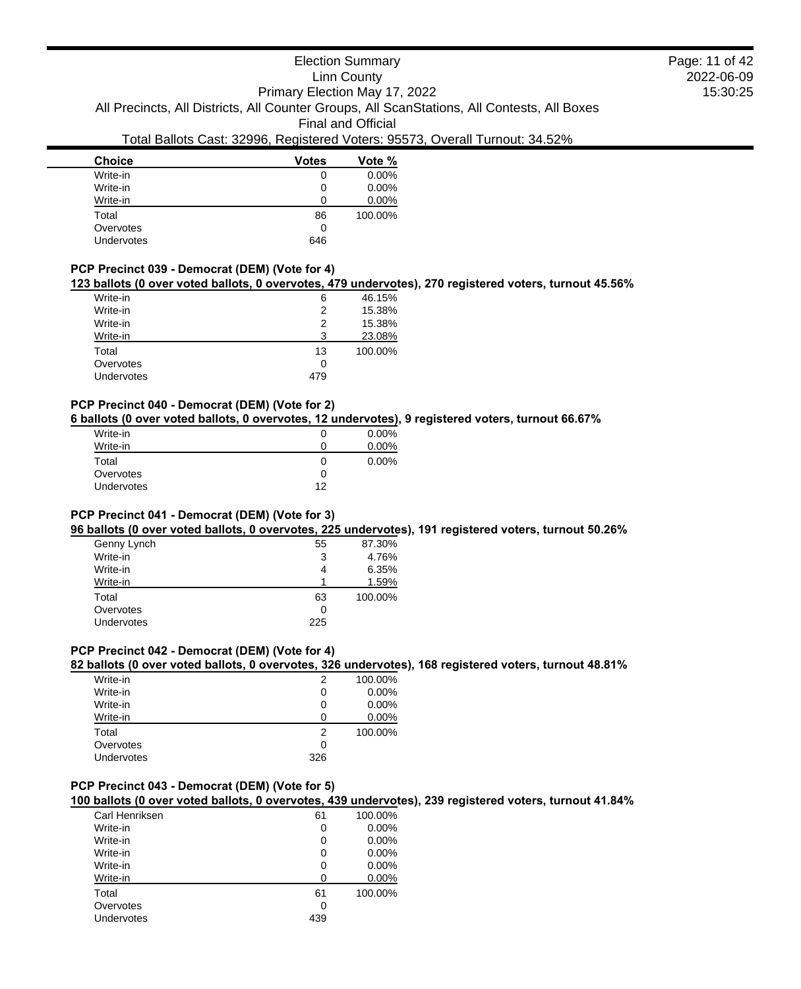# Election Summary

# Linn County

2022-06-09 15:30:25 Page: 11 of 42

Primary Election May 17, 2022 All Precincts, All Districts, All Counter Groups, All ScanStations, All Contests, All Boxes

Final and Official

# Total Ballots Cast: 32996, Registered Voters: 95573, Overall Turnout: 34.52%

| <b>Choice</b>     | <b>Votes</b> | Vote %   |
|-------------------|--------------|----------|
| Write-in          | 0            | $0.00\%$ |
| Write-in          | 0            | $0.00\%$ |
| Write-in          | 0            | $0.00\%$ |
| Total             | 86           | 100.00%  |
| Overvotes         | 0            |          |
| <b>Undervotes</b> | 646          |          |

### **PCP Precinct 039 - Democrat (DEM) (Vote for 4)**

# **123 ballots (0 over voted ballots, 0 overvotes, 479 undervotes), 270 registered voters, turnout 45.56%**

| Write-in          | 6   | 46.15%  |
|-------------------|-----|---------|
| Write-in          | 2   | 15.38%  |
| Write-in          | 2   | 15.38%  |
| Write-in          | 3   | 23.08%  |
| Total             | 13  | 100.00% |
| Overvotes         | 0   |         |
| <b>Undervotes</b> | 479 |         |

#### **PCP Precinct 040 - Democrat (DEM) (Vote for 2)**

**6 ballots (0 over voted ballots, 0 overvotes, 12 undervotes), 9 registered voters, turnout 66.67%**

| Write-in<br>Write-in |    | $0.00\%$<br>0.00% |
|----------------------|----|-------------------|
| Total                | 0  | $0.00\%$          |
| Overvotes            |    |                   |
| Undervotes           | 12 |                   |
|                      |    |                   |

#### **PCP Precinct 041 - Democrat (DEM) (Vote for 3)**

**96 ballots (0 over voted ballots, 0 overvotes, 225 undervotes), 191 registered voters, turnout 50.26%**

| Genny Lynch       | 55  | 87.30%  |
|-------------------|-----|---------|
| Write-in          | 3   | 4.76%   |
| Write-in          | 4   | 6.35%   |
| Write-in          |     | 1.59%   |
| Total             | 63  | 100.00% |
| Overvotes         | 0   |         |
| <b>Undervotes</b> | 225 |         |
|                   |     |         |

# **PCP Precinct 042 - Democrat (DEM) (Vote for 4)**

#### **82 ballots (0 over voted ballots, 0 overvotes, 326 undervotes), 168 registered voters, turnout 48.81%**

| Write-in   | 2   | 100.00%  |
|------------|-----|----------|
| Write-in   | 0   | $0.00\%$ |
| Write-in   | 0   | $0.00\%$ |
| Write-in   | O   | $0.00\%$ |
| Total      | 2   | 100.00%  |
| Overvotes  | 0   |          |
| Undervotes | 326 |          |

### **PCP Precinct 043 - Democrat (DEM) (Vote for 5)**

**100 ballots (0 over voted ballots, 0 overvotes, 439 undervotes), 239 registered voters, turnout 41.84%**

| Carl Henriksen | 61  | 100.00% |
|----------------|-----|---------|
| Write-in       | 0   | 0.00%   |
| Write-in       | 0   | 0.00%   |
| Write-in       | 0   | 0.00%   |
| Write-in       | 0   | 0.00%   |
| Write-in       | O   | 0.00%   |
| Total          | 61  | 100.00% |
| Overvotes      | Ω   |         |
| Undervotes     | 439 |         |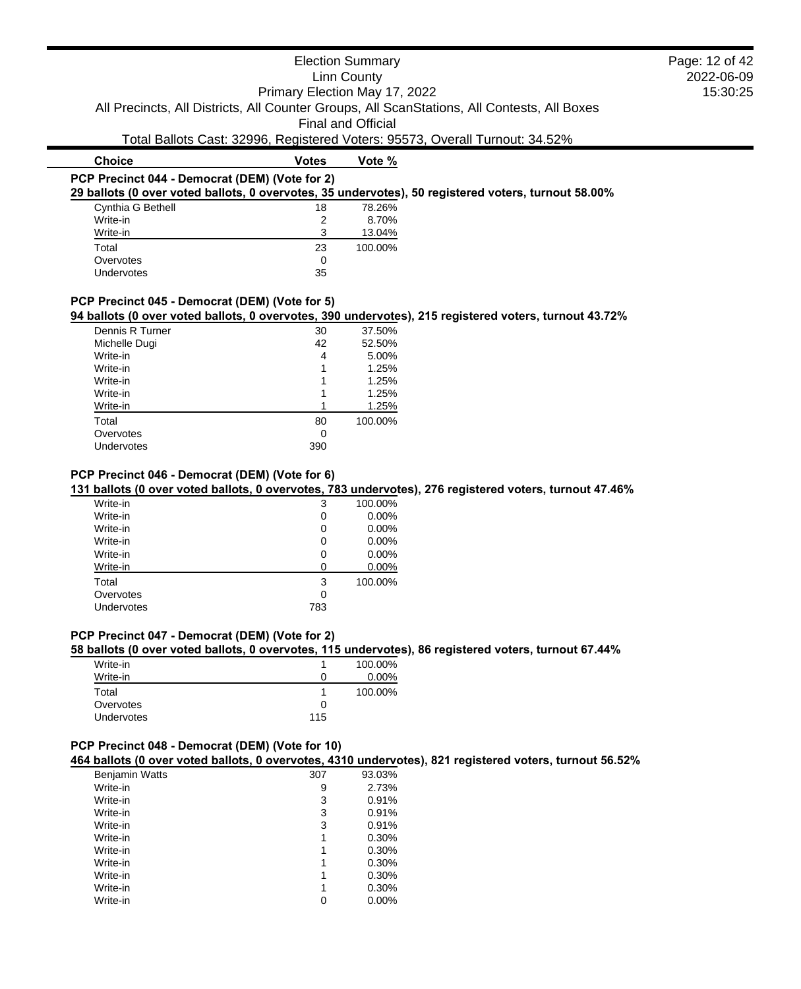|                                                                                                                                                                            |                               | <b>Election Summary</b>   |                                                                              | Page: 12 of 42 |
|----------------------------------------------------------------------------------------------------------------------------------------------------------------------------|-------------------------------|---------------------------|------------------------------------------------------------------------------|----------------|
|                                                                                                                                                                            |                               | <b>Linn County</b>        |                                                                              | 2022-06-09     |
|                                                                                                                                                                            | Primary Election May 17, 2022 |                           |                                                                              | 15:30:25       |
| All Precincts, All Districts, All Counter Groups, All ScanStations, All Contests, All Boxes                                                                                |                               |                           |                                                                              |                |
|                                                                                                                                                                            |                               | <b>Final and Official</b> |                                                                              |                |
|                                                                                                                                                                            |                               |                           |                                                                              |                |
|                                                                                                                                                                            |                               |                           | Total Ballots Cast: 32996, Registered Voters: 95573, Overall Turnout: 34.52% |                |
| <b>Choice</b>                                                                                                                                                              | <b>Votes</b>                  | Vote %                    |                                                                              |                |
| PCP Precinct 044 - Democrat (DEM) (Vote for 2)                                                                                                                             |                               |                           |                                                                              |                |
| 29 ballots (0 over voted ballots, 0 overvotes, 35 undervotes), 50 registered voters, turnout 58.00%                                                                        |                               |                           |                                                                              |                |
| Cynthia G Bethell                                                                                                                                                          | 18                            | 78.26%                    |                                                                              |                |
| Write-in                                                                                                                                                                   | 2                             | 8.70%                     |                                                                              |                |
|                                                                                                                                                                            | 3                             | 13.04%                    |                                                                              |                |
| Write-in                                                                                                                                                                   |                               |                           |                                                                              |                |
| Total                                                                                                                                                                      | 23                            | 100.00%                   |                                                                              |                |
| Overvotes                                                                                                                                                                  | 0                             |                           |                                                                              |                |
| Undervotes                                                                                                                                                                 | 35                            |                           |                                                                              |                |
| PCP Precinct 045 - Democrat (DEM) (Vote for 5)<br>94 ballots (0 over voted ballots, 0 overvotes, 390 undervotes), 215 registered voters, turnout 43.72%<br>Dennis R Turner | 30                            | 37.50%                    |                                                                              |                |
| Michelle Dugi                                                                                                                                                              | 42                            | 52.50%                    |                                                                              |                |
| Write-in                                                                                                                                                                   | 4                             | 5.00%                     |                                                                              |                |
| Write-in                                                                                                                                                                   |                               | 1.25%                     |                                                                              |                |
| Write-in<br>Write-in                                                                                                                                                       |                               | 1.25%                     |                                                                              |                |
| Write-in                                                                                                                                                                   |                               | 1.25%<br>1.25%            |                                                                              |                |
| Total                                                                                                                                                                      | 80                            | 100.00%                   |                                                                              |                |
| Overvotes                                                                                                                                                                  | 0                             |                           |                                                                              |                |

| Write-in   | 3   | 100.00% |
|------------|-----|---------|
| Write-in   | O   | 0.00%   |
| Write-in   | O   | 0.00%   |
| Write-in   | O   | 0.00%   |
| Write-in   | O   | 0.00%   |
| Write-in   | 0   | 0.00%   |
| Total      | 3   | 100.00% |
| Overvotes  | 0   |         |
| Undervotes | 783 |         |
|            |     |         |

#### **PCP Precinct 047 - Democrat (DEM) (Vote for 2)**

#### **58 ballots (0 over voted ballots, 0 overvotes, 115 undervotes), 86 registered voters, turnout 67.44%**

| Write-in          |     | 100.00%  |
|-------------------|-----|----------|
| Write-in          |     | $0.00\%$ |
| Total             |     | 100.00%  |
| Overvotes         |     |          |
| <b>Undervotes</b> | 115 |          |

#### **PCP Precinct 048 - Democrat (DEM) (Vote for 10)**

**464 ballots (0 over voted ballots, 0 overvotes, 4310 undervotes), 821 registered voters, turnout 56.52%**

| <b>Benjamin Watts</b> | 307 | 93.03% |
|-----------------------|-----|--------|
| Write-in              | 9   | 2.73%  |
| Write-in              | 3   | 0.91%  |
| Write-in              | 3   | 0.91%  |
| Write-in              | 3   | 0.91%  |
| Write-in              | 1   | 0.30%  |
| Write-in              | 1   | 0.30%  |
| Write-in              | 1   | 0.30%  |
| Write-in              | 1   | 0.30%  |
| Write-in              | 1   | 0.30%  |
| Write-in              | 0   | 0.00%  |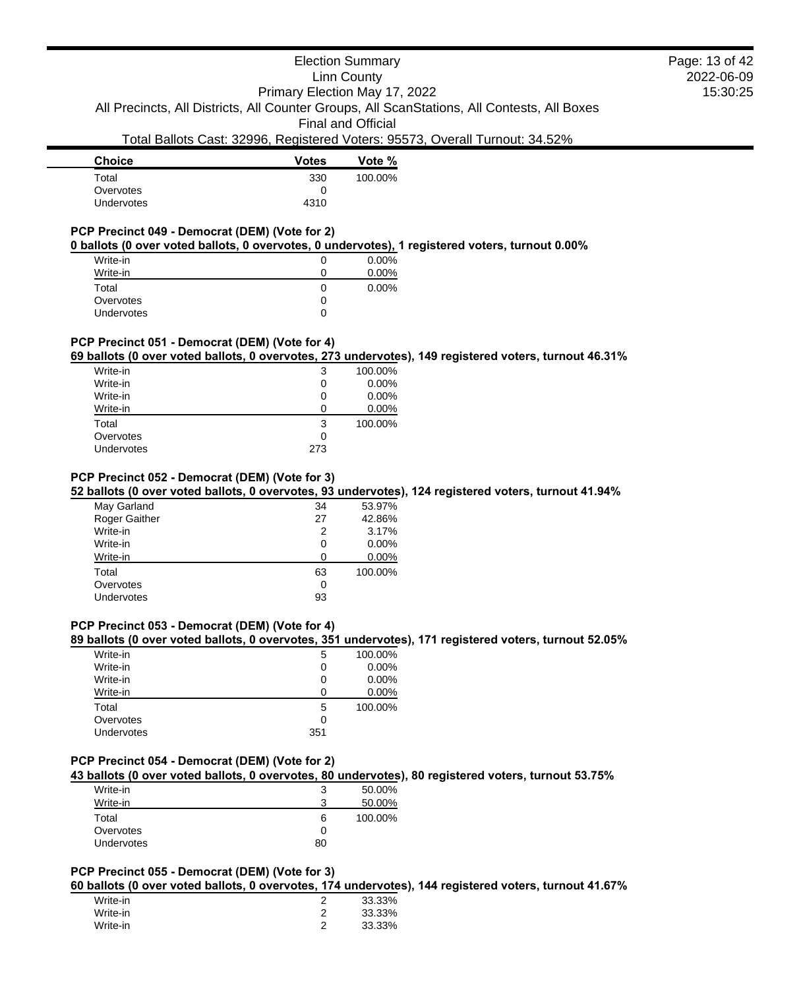# Election Summary

Linn County

2022-06-09 15:30:25 Page: 13 of 42

Primary Election May 17, 2022 All Precincts, All Districts, All Counter Groups, All ScanStations, All Contests, All Boxes

Final and Official

# Total Ballots Cast: 32996, Registered Voters: 95573, Overall Turnout: 34.52%

| <b>Choice</b>     | <b>Votes</b> | Vote %  |
|-------------------|--------------|---------|
| Total             | 330          | 100.00% |
| Overvotes         | O            |         |
| <b>Undervotes</b> | 4310         |         |
|                   |              |         |

# **PCP Precinct 049 - Democrat (DEM) (Vote for 2)**

**0 ballots (0 over voted ballots, 0 overvotes, 0 undervotes), 1 registered voters, turnout 0.00%**

| Write-in          |   | $0.00\%$ |
|-------------------|---|----------|
| Write-in          |   | 0.00%    |
| Total             | O | 0.00%    |
| Overvotes         | O |          |
| <b>Undervotes</b> | O |          |

# **PCP Precinct 051 - Democrat (DEM) (Vote for 4)**

#### **69 ballots (0 over voted ballots, 0 overvotes, 273 undervotes), 149 registered voters, turnout 46.31%**

| Write-in          | 3   | 100.00%  |
|-------------------|-----|----------|
| Write-in          | 0   | $0.00\%$ |
| Write-in          | O   | $0.00\%$ |
| Write-in          | O   | 0.00%    |
| Total             | 3   | 100.00%  |
| Overvotes         | Ω   |          |
| <b>Undervotes</b> | 273 |          |
|                   |     |          |

### **PCP Precinct 052 - Democrat (DEM) (Vote for 3)**

#### **52 ballots (0 over voted ballots, 0 overvotes, 93 undervotes), 124 registered voters, turnout 41.94%**

| May Garland   | 34 | 53.97%   |
|---------------|----|----------|
| Roger Gaither | 27 | 42.86%   |
| Write-in      | 2  | 3.17%    |
| Write-in      | 0  | $0.00\%$ |
| Write-in      | O  | $0.00\%$ |
| Total         | 63 | 100.00%  |
| Overvotes     | 0  |          |
| Undervotes    | 93 |          |

### **PCP Precinct 053 - Democrat (DEM) (Vote for 4)**

# **89 ballots (0 over voted ballots, 0 overvotes, 351 undervotes), 171 registered voters, turnout 52.05%**

| Write-in   | 5   | 100.00% |
|------------|-----|---------|
| Write-in   | O   | 0.00%   |
| Write-in   | O   | 0.00%   |
| Write-in   | 0   | 0.00%   |
| Total      | 5   | 100.00% |
| Overvotes  | 0   |         |
| Undervotes | 351 |         |

#### **PCP Precinct 054 - Democrat (DEM) (Vote for 2)**

#### **43 ballots (0 over voted ballots, 0 overvotes, 80 undervotes), 80 registered voters, turnout 53.75%**

| Write-in          |    | 50.00%  |
|-------------------|----|---------|
| Write-in          | ີ  | 50.00%  |
| Total             | 6  | 100.00% |
| Overvotes         | 0  |         |
| <b>Undervotes</b> | 80 |         |

# **PCP Precinct 055 - Democrat (DEM) (Vote for 3)**

**60 ballots (0 over voted ballots, 0 overvotes, 174 undervotes), 144 registered voters, turnout 41.67%**

| Write-in | 33.33% |
|----------|--------|
| Write-in | 33.33% |
| Write-in | 33.33% |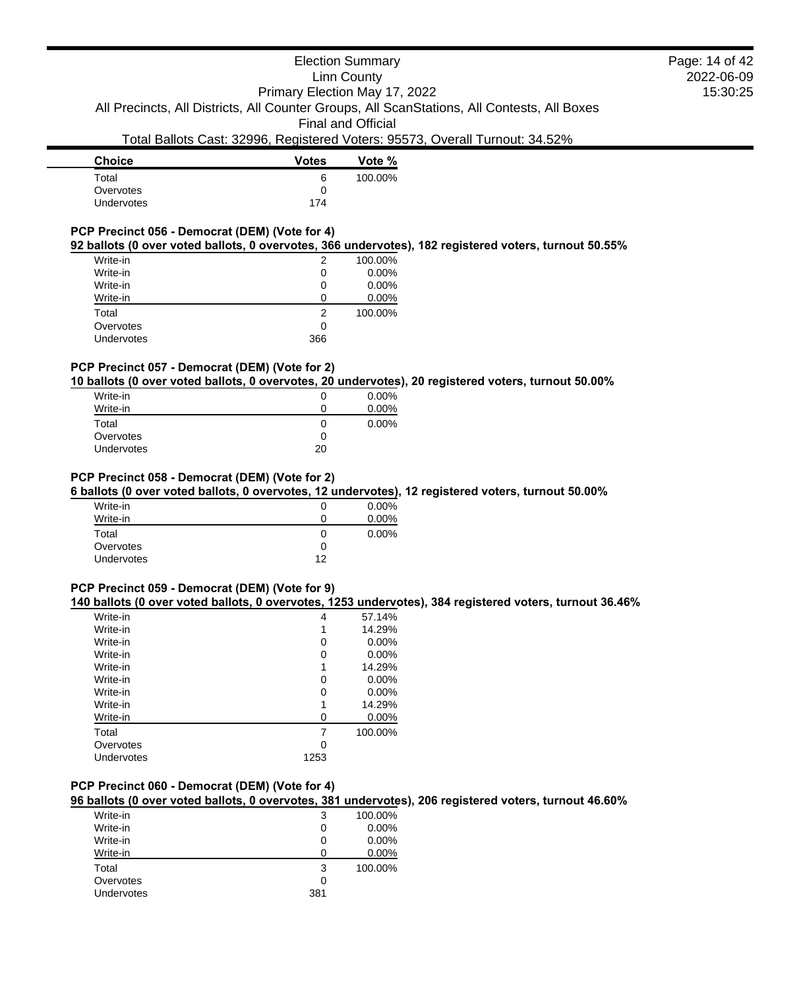# Election Summary Linn County Primary Election May 17, 2022

All Precincts, All Districts, All Counter Groups, All ScanStations, All Contests, All Boxes

Final and Official

# Total Ballots Cast: 32996, Registered Voters: 95573, Overall Turnout: 34.52%

| <b>Votes</b> | Vote %  |
|--------------|---------|
| 6            | 100.00% |
| 0            |         |
| 174          |         |
|              |         |

# **PCP Precinct 056 - Democrat (DEM) (Vote for 4)**

### **92 ballots (0 over voted ballots, 0 overvotes, 366 undervotes), 182 registered voters, turnout 50.55%**

| Write-in          | 2   | 100.00%  |
|-------------------|-----|----------|
| Write-in          | 0   | $0.00\%$ |
| Write-in          | 0   | $0.00\%$ |
| Write-in          |     | 0.00%    |
| Total             | 2   | 100.00%  |
| Overvotes         | 0   |          |
| <b>Undervotes</b> | 366 |          |
|                   |     |          |

# **PCP Precinct 057 - Democrat (DEM) (Vote for 2)**

#### **10 ballots (0 over voted ballots, 0 overvotes, 20 undervotes), 20 registered voters, turnout 50.00%**

| Write-in          | O  | $0.00\%$ |
|-------------------|----|----------|
| Write-in          | 0  | $0.00\%$ |
| Total             | 0  | $0.00\%$ |
| Overvotes         | 0  |          |
| <b>Undervotes</b> | 20 |          |

### **PCP Precinct 058 - Democrat (DEM) (Vote for 2)**

#### **6 ballots (0 over voted ballots, 0 overvotes, 12 undervotes), 12 registered voters, turnout 50.00%**

| Write-in          | O            | $0.00\%$ |
|-------------------|--------------|----------|
| Write-in          | O            | $0.00\%$ |
| Total             | $\mathbf{0}$ | $0.00\%$ |
| Overvotes         | Ω            |          |
| <b>Undervotes</b> | 12           |          |

### **PCP Precinct 059 - Democrat (DEM) (Vote for 9)**

#### **140 ballots (0 over voted ballots, 0 overvotes, 1253 undervotes), 384 registered voters, turnout 36.46%**

| Write-in   | 4    | 57.14%   |
|------------|------|----------|
| Write-in   | 1    | 14.29%   |
| Write-in   | 0    | $0.00\%$ |
| Write-in   | 0    | $0.00\%$ |
| Write-in   | 1    | 14.29%   |
| Write-in   | 0    | $0.00\%$ |
| Write-in   | 0    | $0.00\%$ |
| Write-in   | 1    | 14.29%   |
| Write-in   | 0    | 0.00%    |
| Total      | 7    | 100.00%  |
| Overvotes  | 0    |          |
| Undervotes | 1253 |          |

# **PCP Precinct 060 - Democrat (DEM) (Vote for 4)**

**96 ballots (0 over voted ballots, 0 overvotes, 381 undervotes), 206 registered voters, turnout 46.60%**

| Write-in   | 3                 | 100.00% |
|------------|-------------------|---------|
| Write-in   | O                 | 0.00%   |
| Write-in   | O                 | 0.00%   |
| Write-in   | $\mathbf{\Omega}$ | 0.00%   |
| Total      | 3                 | 100.00% |
| Overvotes  | 0                 |         |
| Undervotes | 381               |         |
|            |                   |         |

2022-06-09 15:30:25 Page: 14 of 42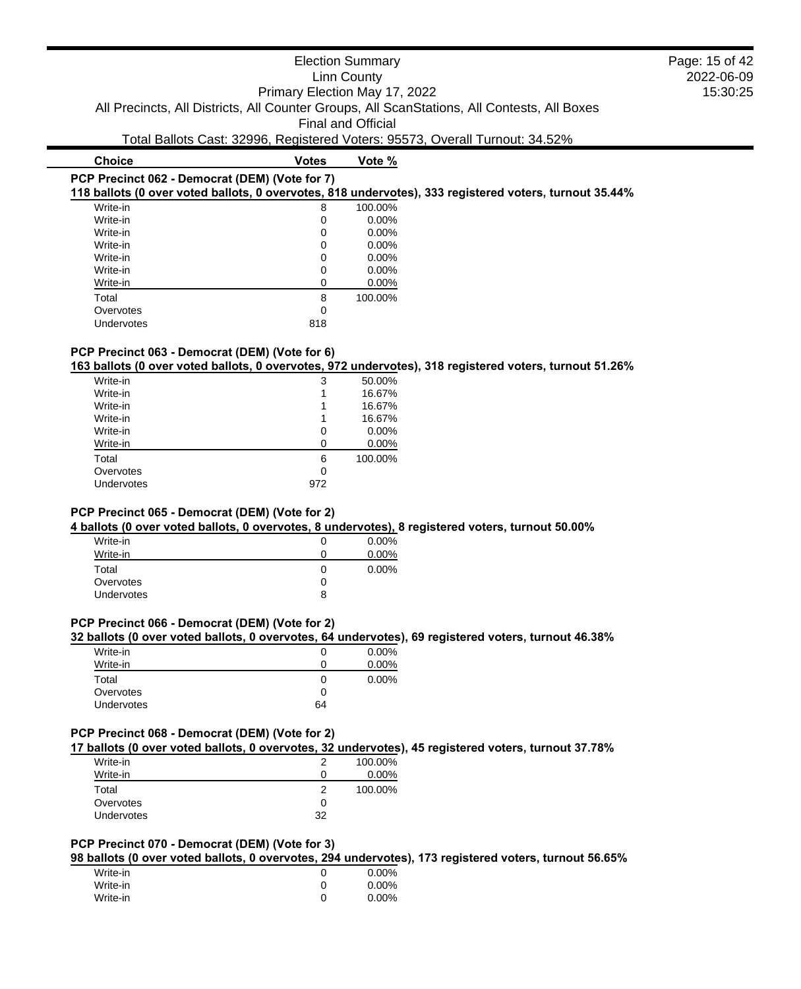|                                                |                               | <b>Election Summary</b>   |                                                                                             | Page: 15 of 42 |
|------------------------------------------------|-------------------------------|---------------------------|---------------------------------------------------------------------------------------------|----------------|
|                                                |                               | Linn County               |                                                                                             | 2022-06-09     |
|                                                | Primary Election May 17, 2022 |                           |                                                                                             | 15:30:25       |
|                                                |                               |                           | All Precincts, All Districts, All Counter Groups, All ScanStations, All Contests, All Boxes |                |
|                                                |                               | <b>Final and Official</b> |                                                                                             |                |
|                                                |                               |                           | Total Ballots Cast: 32996, Registered Voters: 95573, Overall Turnout: 34.52%                |                |
| <b>Choice</b>                                  | <b>Votes</b>                  | Vote %                    |                                                                                             |                |
| PCP Precinct 062 - Democrat (DEM) (Vote for 7) |                               |                           |                                                                                             |                |

# **118 ballots (0 over voted ballots, 0 overvotes, 818 undervotes), 333 registered voters, turnout 35.44%**

| Write-in   | 8   | 100.00% |
|------------|-----|---------|
| Write-in   | 0   | 0.00%   |
| Write-in   | O   | 0.00%   |
| Write-in   | 0   | 0.00%   |
| Write-in   | O   | 0.00%   |
| Write-in   | 0   | 0.00%   |
| Write-in   | O   | 0.00%   |
| Total      | 8   | 100.00% |
| Overvotes  | 0   |         |
| Undervotes | 818 |         |

# **PCP Precinct 063 - Democrat (DEM) (Vote for 6)**

**163 ballots (0 over voted ballots, 0 overvotes, 972 undervotes), 318 registered voters, turnout 51.26%**

| Write-in   | 3   | 50.00%  |
|------------|-----|---------|
| Write-in   |     | 16.67%  |
| Write-in   |     | 16.67%  |
| Write-in   |     | 16.67%  |
| Write-in   | 0   | 0.00%   |
| Write-in   | n   | 0.00%   |
| Total      | 6   | 100.00% |
| Overvotes  | 0   |         |
| Undervotes | 972 |         |
|            |     |         |

### **PCP Precinct 065 - Democrat (DEM) (Vote for 2)**

**4 ballots (0 over voted ballots, 0 overvotes, 8 undervotes), 8 registered voters, turnout 50.00%**

| Write-in   |   | $0.00\%$ |
|------------|---|----------|
| Write-in   |   | $0.00\%$ |
| Total      |   | $0.00\%$ |
| Overvotes  |   |          |
| Undervotes | 8 |          |
|            |   |          |

# **PCP Precinct 066 - Democrat (DEM) (Vote for 2)**

### **32 ballots (0 over voted ballots, 0 overvotes, 64 undervotes), 69 registered voters, turnout 46.38%**

| Write-in          | O  | $0.00\%$ |
|-------------------|----|----------|
| Write-in          |    | $0.00\%$ |
| Total             | 0  | $0.00\%$ |
| Overvotes         | 0  |          |
| <b>Undervotes</b> | 64 |          |
|                   |    |          |

#### **PCP Precinct 068 - Democrat (DEM) (Vote for 2)**

**17 ballots (0 over voted ballots, 0 overvotes, 32 undervotes), 45 registered voters, turnout 37.78%**

| Write-in          |    | 100.00%  |
|-------------------|----|----------|
| Write-in          |    | $0.00\%$ |
| Total             |    | 100.00%  |
| Overvotes         | Ω  |          |
| <b>Undervotes</b> | 32 |          |

#### **PCP Precinct 070 - Democrat (DEM) (Vote for 3)**

**98 ballots (0 over voted ballots, 0 overvotes, 294 undervotes), 173 registered voters, turnout 56.65%**

| Write-in | 0.00%    |
|----------|----------|
| Write-in | $0.00\%$ |
| Write-in | 0.00%    |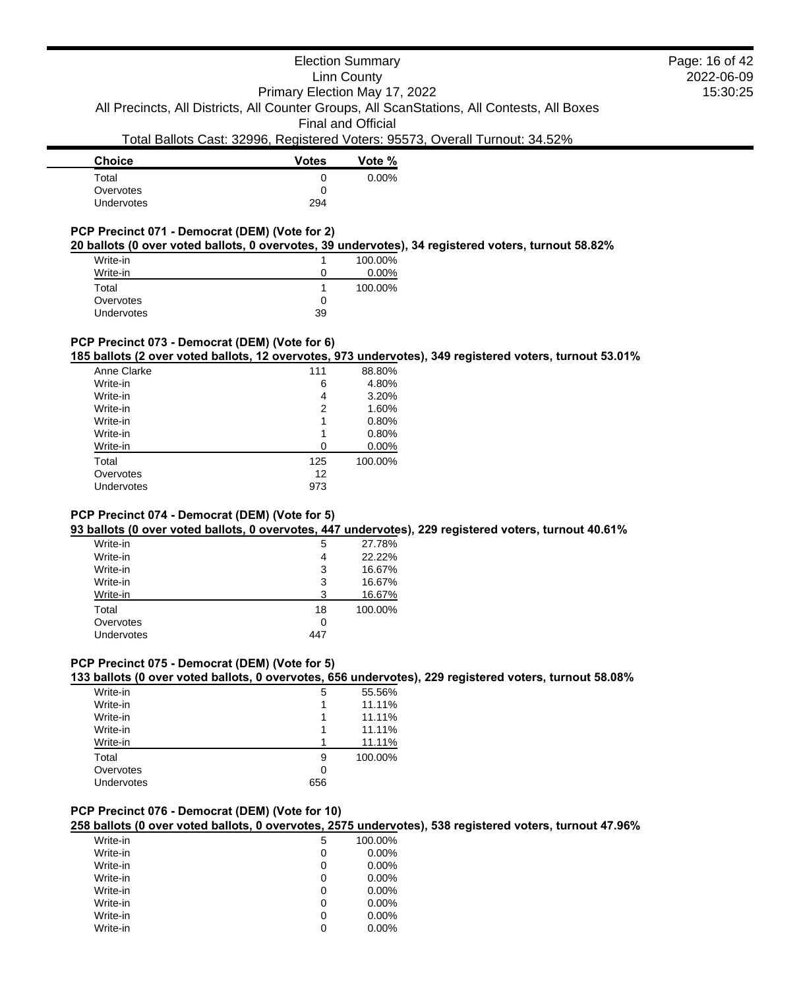# Election Summary

Linn County

2022-06-09 15:30:25 Page: 16 of 42

Primary Election May 17, 2022 All Precincts, All Districts, All Counter Groups, All ScanStations, All Contests, All Boxes

Final and Official

# Total Ballots Cast: 32996, Registered Voters: 95573, Overall Turnout: 34.52%

| <b>Votes</b> | Vote %   |
|--------------|----------|
| 0            | $0.00\%$ |
| 0            |          |
| 294          |          |
|              |          |

# **PCP Precinct 071 - Democrat (DEM) (Vote for 2)**

**20 ballots (0 over voted ballots, 0 overvotes, 39 undervotes), 34 registered voters, turnout 58.82%**

| Write-in   |    | 100.00%  |
|------------|----|----------|
| Write-in   |    | $0.00\%$ |
| Total      |    | 100.00%  |
| Overvotes  |    |          |
| Undervotes | 39 |          |

### **PCP Precinct 073 - Democrat (DEM) (Vote for 6)**

**185 ballots (2 over voted ballots, 12 overvotes, 973 undervotes), 349 registered voters, turnout 53.01%**

| 111 | 88.80%  |
|-----|---------|
| 6   | 4.80%   |
| 4   | 3.20%   |
| 2   | 1.60%   |
| 1   | 0.80%   |
| 1   | 0.80%   |
| n   | 0.00%   |
| 125 | 100.00% |
| 12  |         |
| 973 |         |
|     |         |

### **PCP Precinct 074 - Democrat (DEM) (Vote for 5)**

**93 ballots (0 over voted ballots, 0 overvotes, 447 undervotes), 229 registered voters, turnout 40.61%**

| Write-in   | 5   | 27.78%  |
|------------|-----|---------|
| Write-in   | 4   | 22.22%  |
| Write-in   | 3   | 16.67%  |
| Write-in   | 3   | 16.67%  |
| Write-in   | 3   | 16.67%  |
| Total      | 18  | 100.00% |
| Overvotes  | 0   |         |
| Undervotes | 447 |         |
|            |     |         |

# **PCP Precinct 075 - Democrat (DEM) (Vote for 5)**

**133 ballots (0 over voted ballots, 0 overvotes, 656 undervotes), 229 registered voters, turnout 58.08%**

| Write-in   | 5   | 55.56%  |
|------------|-----|---------|
| Write-in   |     | 11.11%  |
| Write-in   |     | 11.11%  |
| Write-in   |     | 11.11%  |
| Write-in   |     | 11.11%  |
| Total      | 9   | 100.00% |
| Overvotes  | 0   |         |
| Undervotes | 656 |         |
|            |     |         |

#### **PCP Precinct 076 - Democrat (DEM) (Vote for 10)**

**258 ballots (0 over voted ballots, 0 overvotes, 2575 undervotes), 538 registered voters, turnout 47.96%**

| Write-in | 5 | 100.00%  |
|----------|---|----------|
| Write-in | 0 | $0.00\%$ |
| Write-in | 0 | $0.00\%$ |
| Write-in | 0 | $0.00\%$ |
| Write-in | 0 | $0.00\%$ |
| Write-in | 0 | $0.00\%$ |
| Write-in | 0 | $0.00\%$ |
| Write-in | 0 | $0.00\%$ |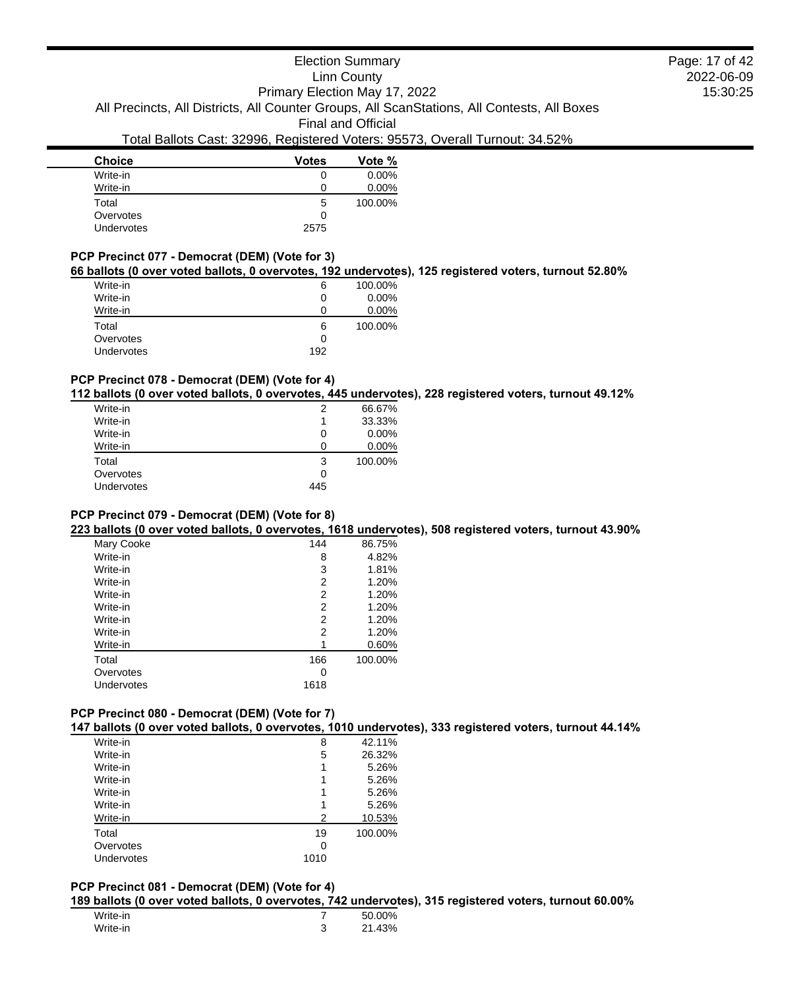| <b>Choice</b> | <b>Votes</b> | Vote %   |
|---------------|--------------|----------|
| Write-in      | 0            | $0.00\%$ |
| Write-in      | Ω            | $0.00\%$ |
| Total         | 5            | 100.00%  |
| Overvotes     | 0            |          |
| Undervotes    | 2575         |          |

#### **PCP Precinct 077 - Democrat (DEM) (Vote for 3)**

#### **66 ballots (0 over voted ballots, 0 overvotes, 192 undervotes), 125 registered voters, turnout 52.80%**

| Write-in   | 6   | 100.00% |
|------------|-----|---------|
| Write-in   | O   | 0.00%   |
| Write-in   | 0   | 0.00%   |
| Total      | 6   | 100.00% |
| Overvotes  | 0   |         |
| Undervotes | 192 |         |
|            |     |         |

# **PCP Precinct 078 - Democrat (DEM) (Vote for 4)**

**112 ballots (0 over voted ballots, 0 overvotes, 445 undervotes), 228 registered voters, turnout 49.12%**

| Write-in   | 2            | 66.67%  |
|------------|--------------|---------|
| Write-in   |              | 33.33%  |
| Write-in   | $\mathbf{0}$ | 0.00%   |
| Write-in   | $\mathbf{I}$ | 0.00%   |
| Total      | 3            | 100.00% |
| Overvotes  | Ω            |         |
| Undervotes | 445          |         |
|            |              |         |

#### **PCP Precinct 079 - Democrat (DEM) (Vote for 8)**

**223 ballots (0 over voted ballots, 0 overvotes, 1618 undervotes), 508 registered voters, turnout 43.90%**

| Mary Cooke | 144  | 86.75%  |
|------------|------|---------|
| Write-in   | 8    | 4.82%   |
| Write-in   | 3    | 1.81%   |
| Write-in   | 2    | 1.20%   |
| Write-in   | 2    | 1.20%   |
| Write-in   | 2    | 1.20%   |
| Write-in   | 2    | 1.20%   |
| Write-in   | 2    | 1.20%   |
| Write-in   |      | 0.60%   |
| Total      | 166  | 100.00% |
| Overvotes  | Ω    |         |
| Undervotes | 1618 |         |
|            |      |         |

# **PCP Precinct 080 - Democrat (DEM) (Vote for 7)**

**147 ballots (0 over voted ballots, 0 overvotes, 1010 undervotes), 333 registered voters, turnout 44.14%**

| Write-in   | 8    | 42.11%  |
|------------|------|---------|
| Write-in   | 5    | 26.32%  |
| Write-in   | 1    | 5.26%   |
| Write-in   | 1    | 5.26%   |
| Write-in   | 1    | 5.26%   |
| Write-in   | 1    | 5.26%   |
| Write-in   | 2    | 10.53%  |
| Total      | 19   | 100.00% |
| Overvotes  | 0    |         |
| Undervotes | 1010 |         |
|            |      |         |

#### **PCP Precinct 081 - Democrat (DEM) (Vote for 4)**

**189 ballots (0 over voted ballots, 0 overvotes, 742 undervotes), 315 registered voters, turnout 60.00%**

| Write-in |        | 50.00% |
|----------|--------|--------|
| Write-in | ◠<br>ບ | 21.43% |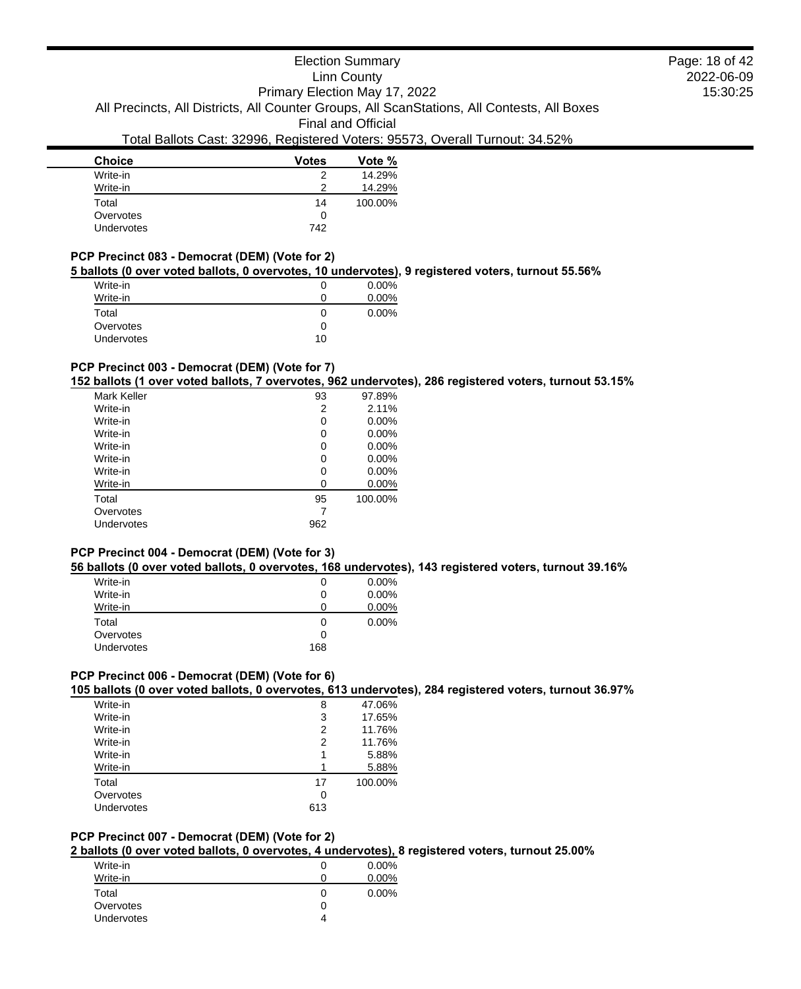| <b>Choice</b>     | <b>Votes</b> | Vote %  |
|-------------------|--------------|---------|
| Write-in          | 2            | 14.29%  |
| Write-in          | ာ            | 14.29%  |
| Total             | 14           | 100.00% |
| Overvotes         | 0            |         |
| <b>Undervotes</b> | 742          |         |

#### **PCP Precinct 083 - Democrat (DEM) (Vote for 2)**

#### **5 ballots (0 over voted ballots, 0 overvotes, 10 undervotes), 9 registered voters, turnout 55.56%**

| Write-in   |              | $0.00\%$ |
|------------|--------------|----------|
| Write-in   | $\mathbf{U}$ | $0.00\%$ |
| Total      | $\mathbf{U}$ | $0.00\%$ |
| Overvotes  | O            |          |
| Undervotes | 10           |          |

# **PCP Precinct 003 - Democrat (DEM) (Vote for 7)**

#### **152 ballots (1 over voted ballots, 7 overvotes, 962 undervotes), 286 registered voters, turnout 53.15%**

| 93  | 97.89%   |
|-----|----------|
| 2   | 2.11%    |
| 0   | $0.00\%$ |
| 0   | $0.00\%$ |
| 0   | $0.00\%$ |
| 0   | $0.00\%$ |
| 0   | $0.00\%$ |
| 0   | $0.00\%$ |
| 95  | 100.00%  |
|     |          |
| 962 |          |
|     |          |

#### **PCP Precinct 004 - Democrat (DEM) (Vote for 3)**

#### **56 ballots (0 over voted ballots, 0 overvotes, 168 undervotes), 143 registered voters, turnout 39.16%**

| Write-in          | O   | $0.00\%$ |
|-------------------|-----|----------|
| Write-in          | O   | 0.00%    |
| Write-in          | 0   | 0.00%    |
| Total             | O   | $0.00\%$ |
| Overvotes         | O   |          |
| <b>Undervotes</b> | 168 |          |

#### **PCP Precinct 006 - Democrat (DEM) (Vote for 6)**

#### **105 ballots (0 over voted ballots, 0 overvotes, 613 undervotes), 284 registered voters, turnout 36.97%**

| Write-in   | 8   | 47.06%  |
|------------|-----|---------|
| Write-in   | 3   | 17.65%  |
| Write-in   | 2   | 11.76%  |
| Write-in   | 2   | 11.76%  |
| Write-in   |     | 5.88%   |
| Write-in   |     | 5.88%   |
| Total      | 17  | 100.00% |
| Overvotes  | 0   |         |
| Undervotes | 613 |         |

### **PCP Precinct 007 - Democrat (DEM) (Vote for 2)**

# **2 ballots (0 over voted ballots, 0 overvotes, 4 undervotes), 8 registered voters, turnout 25.00%**

| Write-in          |   | $0.00\%$ |
|-------------------|---|----------|
| Write-in          |   | $0.00\%$ |
| Total             | 0 | $0.00\%$ |
| Overvotes         |   |          |
| <b>Undervotes</b> |   |          |

2022-06-09 15:30:25 Page: 18 of 42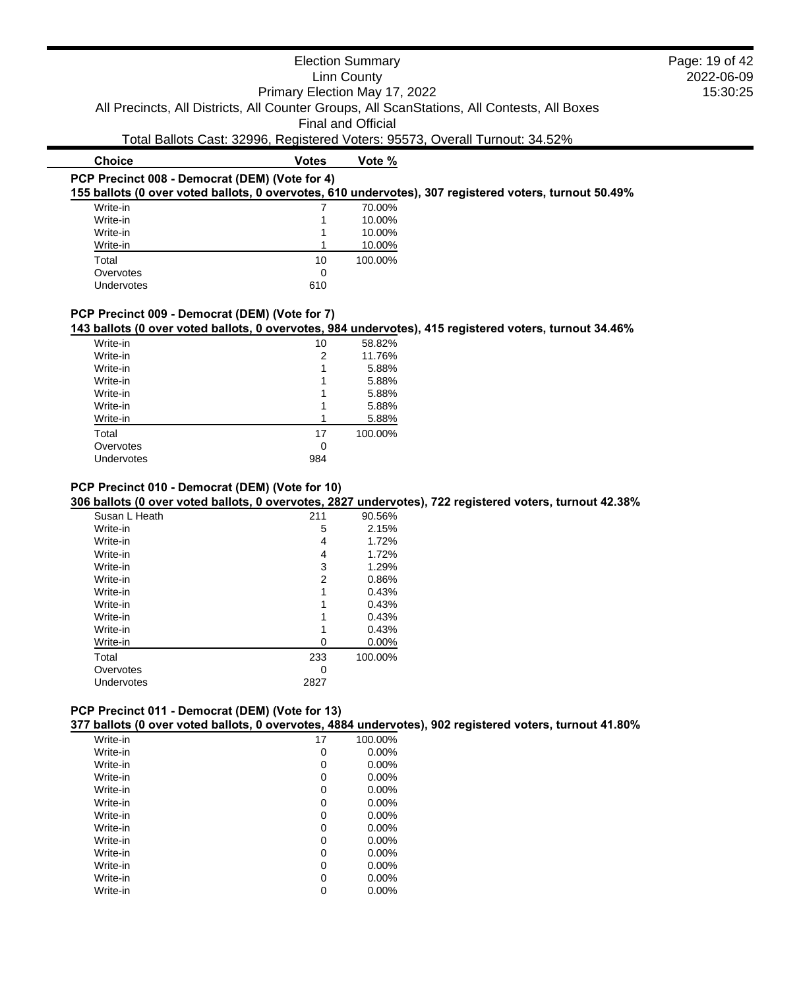|                                                | Primary Election May 17, 2022 | <b>Election Summary</b><br>Linn County<br><b>Final and Official</b> | All Precincts, All Districts, All Counter Groups, All ScanStations, All Contests, All Boxes            | Page: 19 of 42<br>2022-06-09<br>15:30:25 |
|------------------------------------------------|-------------------------------|---------------------------------------------------------------------|--------------------------------------------------------------------------------------------------------|------------------------------------------|
|                                                |                               |                                                                     | Total Ballots Cast: 32996, Registered Voters: 95573, Overall Turnout: 34.52%                           |                                          |
| <b>Choice</b>                                  | <b>Votes</b>                  | Vote %                                                              |                                                                                                        |                                          |
| PCP Precinct 008 - Democrat (DEM) (Vote for 4) |                               |                                                                     | 155 ballots (0 over voted ballots, 0 overvotes, 610 undervotes), 307 registered voters, turnout 50.49% |                                          |
| Write-in                                       |                               | 70.00%                                                              |                                                                                                        |                                          |
| Write-in                                       |                               | 10.00%                                                              |                                                                                                        |                                          |
| Write-in                                       |                               | 10.00%                                                              |                                                                                                        |                                          |
| Write-in                                       |                               | 10.00%                                                              |                                                                                                        |                                          |
| Total                                          | 10                            | 100.00%                                                             |                                                                                                        |                                          |
| Overvotes                                      | 0                             |                                                                     |                                                                                                        |                                          |

# **PCP Precinct 009 - Democrat (DEM) (Vote for 7)**

Undervotes 610

**143 ballots (0 over voted ballots, 0 overvotes, 984 undervotes), 415 registered voters, turnout 34.46%**

| Write-in   | 10  | 58.82%  |
|------------|-----|---------|
| Write-in   | 2   | 11.76%  |
| Write-in   | 1   | 5.88%   |
| Write-in   | 1   | 5.88%   |
| Write-in   |     | 5.88%   |
| Write-in   |     | 5.88%   |
| Write-in   |     | 5.88%   |
| Total      | 17  | 100.00% |
| Overvotes  | 0   |         |
| Undervotes | 984 |         |
|            |     |         |

# **PCP Precinct 010 - Democrat (DEM) (Vote for 10)**

**306 ballots (0 over voted ballots, 0 overvotes, 2827 undervotes), 722 registered voters, turnout 42.38%**

| Susan L Heath | 211  | 90.56%  |
|---------------|------|---------|
| Write-in      | 5    | 2.15%   |
| Write-in      | 4    | 1.72%   |
| Write-in      | 4    | 1.72%   |
| Write-in      | 3    | 1.29%   |
| Write-in      | 2    | 0.86%   |
| Write-in      | 1    | 0.43%   |
| Write-in      | 1    | 0.43%   |
| Write-in      | 1    | 0.43%   |
| Write-in      | 1    | 0.43%   |
| Write-in      | 0    | 0.00%   |
| Total         | 233  | 100.00% |
| Overvotes     | 0    |         |
| Undervotes    | 2827 |         |
|               |      |         |

| PCP Precinct 011 - Democrat (DEM) (Vote for 13)                                                         |  |  |
|---------------------------------------------------------------------------------------------------------|--|--|
| 377 ballots (0 over voted ballots, 0 overvotes, 4884 undervotes), 902 registered voters, turnout 41.80% |  |  |

| Write-in | 17 | 100.00%  |
|----------|----|----------|
| Write-in | 0  | $0.00\%$ |
| Write-in | 0  | $0.00\%$ |
| Write-in | 0  | 0.00%    |
| Write-in | 0  | $0.00\%$ |
| Write-in | 0  | 0.00%    |
| Write-in | 0  | 0.00%    |
| Write-in | 0  | 0.00%    |
| Write-in | 0  | 0.00%    |
| Write-in | 0  | $0.00\%$ |
| Write-in | 0  | $0.00\%$ |
| Write-in | 0  | 0.00%    |
| Write-in | 0  | 0.00%    |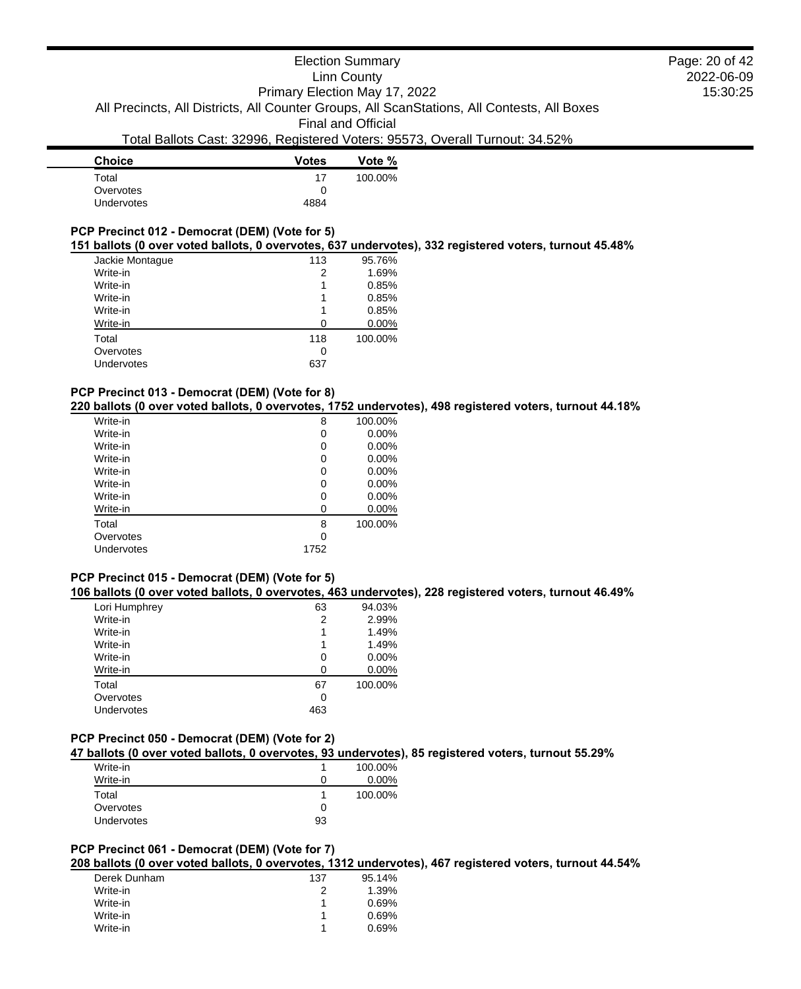| Vote %  |
|---------|
| 100.00% |
|         |
|         |
|         |

## **PCP Precinct 012 - Democrat (DEM) (Vote for 5)**

#### **151 ballots (0 over voted ballots, 0 overvotes, 637 undervotes), 332 registered voters, turnout 45.48%**

| Jackie Montaque | 113 | 95.76%  |
|-----------------|-----|---------|
| Write-in        | 2   | 1.69%   |
| Write-in        | 1   | 0.85%   |
| Write-in        |     | 0.85%   |
| Write-in        |     | 0.85%   |
| Write-in        |     | 0.00%   |
| Total           | 118 | 100.00% |
| Overvotes       | 0   |         |
| Undervotes      | 637 |         |
|                 |     |         |

#### **PCP Precinct 013 - Democrat (DEM) (Vote for 8)**

**220 ballots (0 over voted ballots, 0 overvotes, 1752 undervotes), 498 registered voters, turnout 44.18%**

| Write-in   | 8    | 100.00%  |
|------------|------|----------|
| Write-in   | 0    | 0.00%    |
| Write-in   | 0    | $0.00\%$ |
| Write-in   | 0    | 0.00%    |
| Write-in   | 0    | 0.00%    |
| Write-in   | 0    | 0.00%    |
| Write-in   | 0    | 0.00%    |
| Write-in   | 0    | 0.00%    |
| Total      | 8    | 100.00%  |
| Overvotes  | 0    |          |
| Undervotes | 1752 |          |
|            |      |          |

# **PCP Precinct 015 - Democrat (DEM) (Vote for 5)**

#### **106 ballots (0 over voted ballots, 0 overvotes, 463 undervotes), 228 registered voters, turnout 46.49%**

| Lori Humphrey | 63  | 94.03%  |
|---------------|-----|---------|
| Write-in      | 2   | 2.99%   |
| Write-in      | 1   | 1.49%   |
| Write-in      | 1   | 1.49%   |
| Write-in      | 0   | 0.00%   |
| Write-in      | ∩   | 0.00%   |
| Total         | 67  | 100.00% |
| Overvotes     | 0   |         |
| Undervotes    | 463 |         |
|               |     |         |

#### **PCP Precinct 050 - Democrat (DEM) (Vote for 2)**

**47 ballots (0 over voted ballots, 0 overvotes, 93 undervotes), 85 registered voters, turnout 55.29%**

| Write-in   |    | 100.00%  |
|------------|----|----------|
| Write-in   | 0  | $0.00\%$ |
| Total      |    | 100.00%  |
| Overvotes  | 0  |          |
| Undervotes | 93 |          |
|            |    |          |

### **PCP Precinct 061 - Democrat (DEM) (Vote for 7)**

**208 ballots (0 over voted ballots, 0 overvotes, 1312 undervotes), 467 registered voters, turnout 44.54%**

| Derek Dunham | 137 | 95.14% |
|--------------|-----|--------|
| Write-in     |     | 1.39%  |
| Write-in     |     | 0.69%  |
| Write-in     |     | 0.69%  |
| Write-in     | 1   | 0.69%  |

2022-06-09 15:30:25 Page: 20 of 42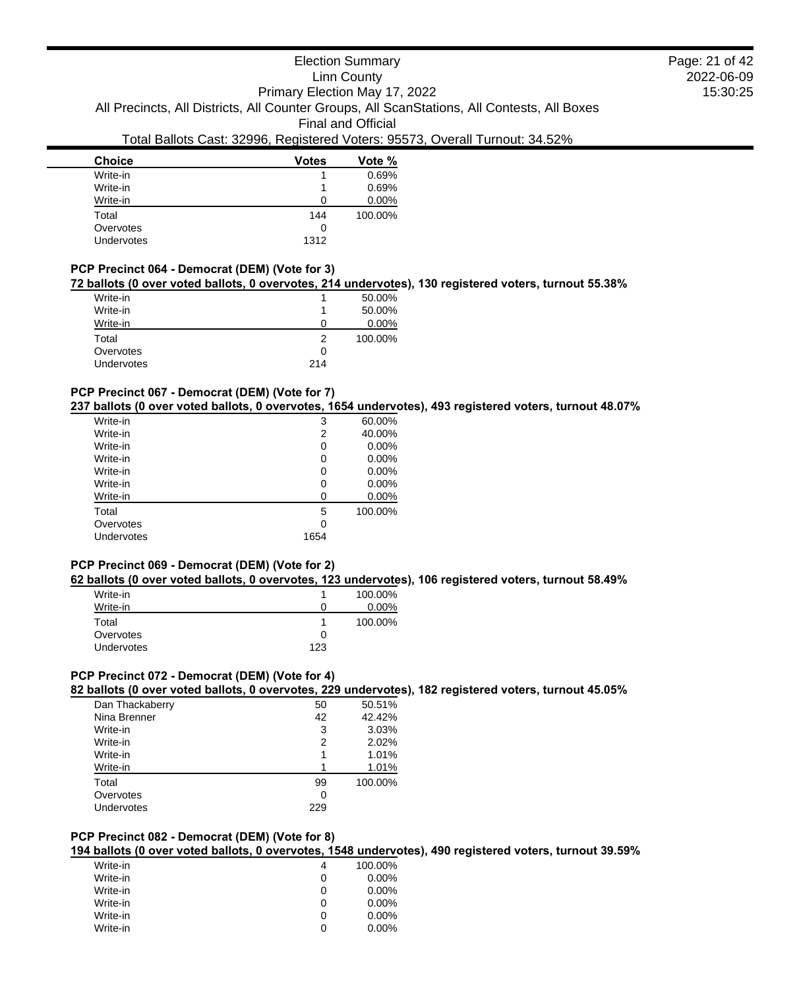| <b>Choice</b> | <b>Votes</b> | Vote %   |
|---------------|--------------|----------|
| Write-in      |              | 0.69%    |
| Write-in      |              | 0.69%    |
| Write-in      | 0            | $0.00\%$ |
| Total         | 144          | 100.00%  |
| Overvotes     | 0            |          |
| Undervotes    | 1312         |          |

#### **PCP Precinct 064 - Democrat (DEM) (Vote for 3)**

#### **72 ballots (0 over voted ballots, 0 overvotes, 214 undervotes), 130 registered voters, turnout 55.38%**

| Write-in          |     | 50.00%  |
|-------------------|-----|---------|
| Write-in          |     | 50.00%  |
| Write-in          |     | 0.00%   |
| Total             |     | 100.00% |
| Overvotes         | 0   |         |
| <b>Undervotes</b> | 214 |         |

#### **PCP Precinct 067 - Democrat (DEM) (Vote for 7)**

#### **237 ballots (0 over voted ballots, 0 overvotes, 1654 undervotes), 493 registered voters, turnout 48.07%**

| Write-in   | 3    | 60.00%   |
|------------|------|----------|
| Write-in   | 2    | 40.00%   |
| Write-in   | 0    | 0.00%    |
| Write-in   | 0    | 0.00%    |
| Write-in   | 0    | $0.00\%$ |
| Write-in   | 0    | 0.00%    |
| Write-in   | 0    | 0.00%    |
| Total      | 5    | 100.00%  |
| Overvotes  | 0    |          |
| Undervotes | 1654 |          |
|            |      |          |

#### **PCP Precinct 069 - Democrat (DEM) (Vote for 2)**

#### **62 ballots (0 over voted ballots, 0 overvotes, 123 undervotes), 106 registered voters, turnout 58.49%**

|              | 100.00%  |
|--------------|----------|
| $\mathbf{0}$ | $0.00\%$ |
|              | 100.00%  |
| O            |          |
| 123          |          |
|              |          |

### **PCP Precinct 072 - Democrat (DEM) (Vote for 4)**

#### **82 ballots (0 over voted ballots, 0 overvotes, 229 undervotes), 182 registered voters, turnout 45.05%**

| Dan Thackaberry | 50  | 50.51%  |
|-----------------|-----|---------|
| Nina Brenner    | 42  | 42.42%  |
| Write-in        | 3   | 3.03%   |
| Write-in        | 2   | 2.02%   |
| Write-in        | 1   | 1.01%   |
| Write-in        |     | 1.01%   |
| Total           | 99  | 100.00% |
| Overvotes       | 0   |         |
| Undervotes      | 229 |         |

### **PCP Precinct 082 - Democrat (DEM) (Vote for 8)**

**194 ballots (0 over voted ballots, 0 overvotes, 1548 undervotes), 490 registered voters, turnout 39.59%**

| Write-in | 4 | 100.00%  |
|----------|---|----------|
| Write-in | 0 | $0.00\%$ |
| Write-in | 0 | $0.00\%$ |
| Write-in | 0 | $0.00\%$ |
| Write-in | O | $0.00\%$ |
| Write-in | O | $0.00\%$ |

2022-06-09 15:30:25 Page: 21 of 42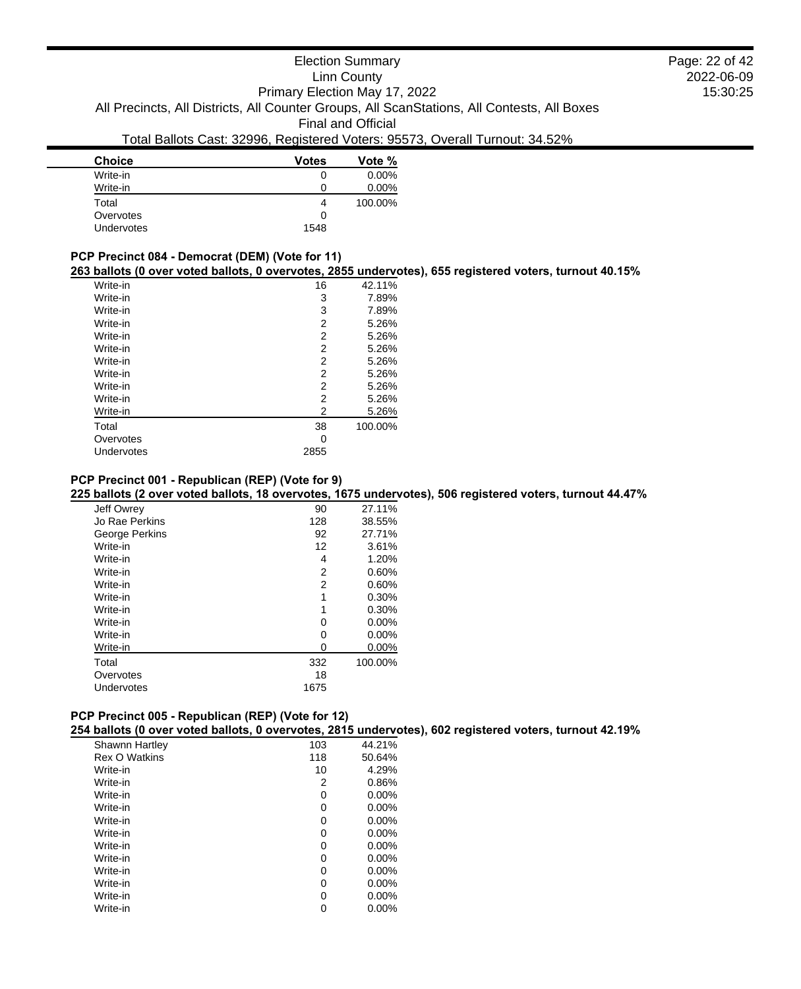| <b>Choice</b> | <b>Votes</b> | Vote %   |  |
|---------------|--------------|----------|--|
| Write-in      | 0            | $0.00\%$ |  |
| Write-in      | 0            | $0.00\%$ |  |
| Total         | 4            | 100.00%  |  |
| Overvotes     | 0            |          |  |
| Undervotes    | 1548         |          |  |

#### **PCP Precinct 084 - Democrat (DEM) (Vote for 11)**

÷

**263 ballots (0 over voted ballots, 0 overvotes, 2855 undervotes), 655 registered voters, turnout 40.15%**

| Write-in   | 16   | 42.11%  |
|------------|------|---------|
| Write-in   | 3    | 7.89%   |
| Write-in   | 3    | 7.89%   |
| Write-in   | 2    | 5.26%   |
| Write-in   | 2    | 5.26%   |
| Write-in   | 2    | 5.26%   |
| Write-in   | 2    | 5.26%   |
| Write-in   | 2    | 5.26%   |
| Write-in   | 2    | 5.26%   |
| Write-in   | 2    | 5.26%   |
| Write-in   | 2    | 5.26%   |
| Total      | 38   | 100.00% |
| Overvotes  | 0    |         |
| Undervotes | 2855 |         |
|            |      |         |

## **PCP Precinct 001 - Republican (REP) (Vote for 9)**

**225 ballots (2 over voted ballots, 18 overvotes, 1675 undervotes), 506 registered voters, turnout 44.47%**

| Jeff Owrey     | 90   | 27.11%   |
|----------------|------|----------|
| Jo Rae Perkins | 128  | 38.55%   |
| George Perkins | 92   | 27.71%   |
| Write-in       | 12   | 3.61%    |
| Write-in       | 4    | 1.20%    |
| Write-in       | 2    | 0.60%    |
| Write-in       | 2    | 0.60%    |
| Write-in       | 1    | 0.30%    |
| Write-in       | 1    | 0.30%    |
| Write-in       | 0    | 0.00%    |
| Write-in       | 0    | 0.00%    |
| Write-in       | 0    | $0.00\%$ |
| Total          | 332  | 100.00%  |
| Overvotes      | 18   |          |
| Undervotes     | 1675 |          |
|                |      |          |

| PCP Precinct 005 - Republican (REP) (Vote for 12) |  |  |  |  |
|---------------------------------------------------|--|--|--|--|
|---------------------------------------------------|--|--|--|--|

**254 ballots (0 over voted ballots, 0 overvotes, 2815 undervotes), 602 registered voters, turnout 42.19%**

| <b>Shawnn Hartley</b> | 103 | 44.21%   |
|-----------------------|-----|----------|
| <b>Rex O Watkins</b>  | 118 | 50.64%   |
| Write-in              | 10  | 4.29%    |
| Write-in              | 2   | 0.86%    |
| Write-in              | 0   | $0.00\%$ |
| Write-in              | 0   | $0.00\%$ |
| Write-in              | 0   | $0.00\%$ |
| Write-in              | 0   | 0.00%    |
| Write-in              | 0   | $0.00\%$ |
| Write-in              | 0   | $0.00\%$ |
| Write-in              | 0   | $0.00\%$ |
| Write-in              | 0   | $0.00\%$ |
| Write-in              | 0   | $0.00\%$ |
| Write-in              | 0   | $0.00\%$ |

# 2022-06-09 15:30:25 Page: 22 of 42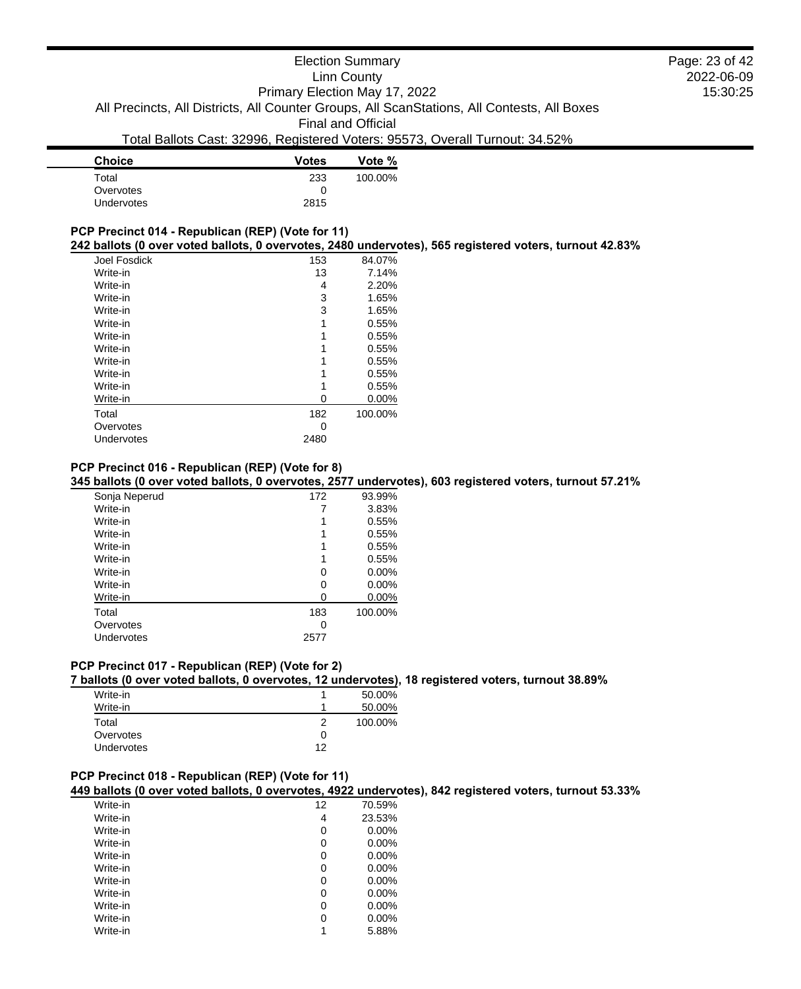# Election Summary Linn County

Primary Election May 17, 2022

All Precincts, All Districts, All Counter Groups, All ScanStations, All Contests, All Boxes

Final and Official

# Total Ballots Cast: 32996, Registered Voters: 95573, Overall Turnout: 34.52%

| <b>Votes</b> | Vote %  |
|--------------|---------|
| 233          | 100.00% |
|              |         |
| 2815         |         |
|              |         |

# **PCP Precinct 014 - Republican (REP) (Vote for 11)**

### **242 ballots (0 over voted ballots, 0 overvotes, 2480 undervotes), 565 registered voters, turnout 42.83%**

| Joel Fosdick | 153  | 84.07%   |
|--------------|------|----------|
| Write-in     | 13   | 7.14%    |
| Write-in     | 4    | 2.20%    |
| Write-in     | 3    | 1.65%    |
| Write-in     | 3    | 1.65%    |
| Write-in     |      | 0.55%    |
| Write-in     |      | 0.55%    |
| Write-in     |      | 0.55%    |
| Write-in     |      | 0.55%    |
| Write-in     |      | 0.55%    |
| Write-in     |      | 0.55%    |
| Write-in     | 0    | $0.00\%$ |
| Total        | 182  | 100.00%  |
| Overvotes    | O    |          |
| Undervotes   | 2480 |          |
|              |      |          |

#### **PCP Precinct 016 - Republican (REP) (Vote for 8)**

# **345 ballots (0 over voted ballots, 0 overvotes, 2577 undervotes), 603 registered voters, turnout 57.21%**

| Sonja Neperud | 172  | 93.99%  |
|---------------|------|---------|
| Write-in      |      | 3.83%   |
| Write-in      |      | 0.55%   |
| Write-in      |      | 0.55%   |
| Write-in      |      | 0.55%   |
| Write-in      |      | 0.55%   |
| Write-in      | O    | 0.00%   |
| Write-in      | O    | 0.00%   |
| Write-in      | 0    | 0.00%   |
| Total         | 183  | 100.00% |
| Overvotes     | 0    |         |
| Undervotes    | 2577 |         |

# **PCP Precinct 017 - Republican (REP) (Vote for 2)**

#### **7 ballots (0 over voted ballots, 0 overvotes, 12 undervotes), 18 registered voters, turnout 38.89%**

| Write-in   |    | 50.00%  |
|------------|----|---------|
| Write-in   | 1  | 50.00%  |
| Total      | 2  | 100.00% |
| Overvotes  | 0  |         |
| Undervotes | 12 |         |

# **PCP Precinct 018 - Republican (REP) (Vote for 11)**

#### **449 ballots (0 over voted ballots, 0 overvotes, 4922 undervotes), 842 registered voters, turnout 53.33%**

| Write-in | 12 | 70.59%   |
|----------|----|----------|
| Write-in | 4  | 23.53%   |
| Write-in | 0  | $0.00\%$ |
| Write-in | 0  | $0.00\%$ |
| Write-in | 0  | $0.00\%$ |
| Write-in | 0  | $0.00\%$ |
| Write-in | 0  | 0.00%    |
| Write-in | 0  | $0.00\%$ |
| Write-in | 0  | $0.00\%$ |
| Write-in | 0  | 0.00%    |
| Write-in |    | 5.88%    |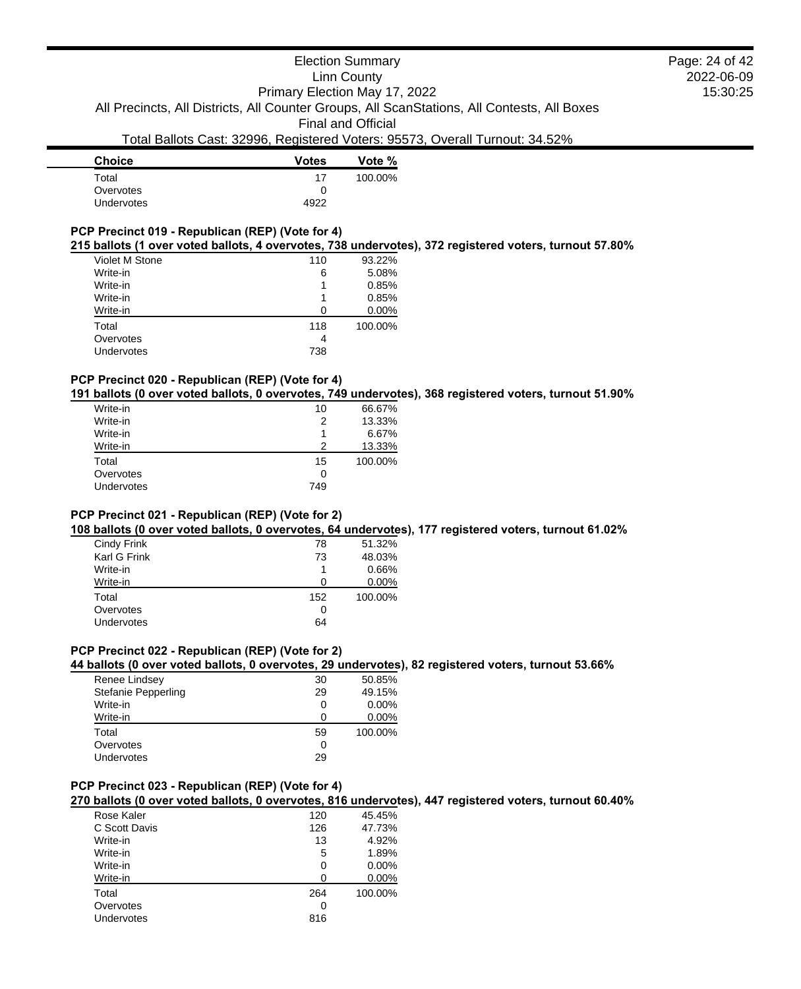| <b>Choice</b>     | <b>Votes</b> | Vote %  |
|-------------------|--------------|---------|
| Total             | 17           | 100.00% |
| Overvotes         | 0            |         |
| <b>Undervotes</b> | 4922         |         |
|                   |              |         |

# **PCP Precinct 019 - Republican (REP) (Vote for 4)**

#### **215 ballots (1 over voted ballots, 4 overvotes, 738 undervotes), 372 registered voters, turnout 57.80%**

| Violet M Stone | 110 | 93.22%  |
|----------------|-----|---------|
| Write-in       | 6   | 5.08%   |
| Write-in       |     | 0.85%   |
| Write-in       |     | 0.85%   |
| Write-in       | O   | 0.00%   |
| Total          | 118 | 100.00% |
| Overvotes      | 4   |         |
| Undervotes     | 738 |         |
|                |     |         |

# **PCP Precinct 020 - Republican (REP) (Vote for 4)**

**191 ballots (0 over voted ballots, 0 overvotes, 749 undervotes), 368 registered voters, turnout 51.90%**

| Write-in   | 10  | 66.67%  |
|------------|-----|---------|
| Write-in   | 2   | 13.33%  |
| Write-in   |     | 6.67%   |
| Write-in   | 2   | 13.33%  |
| Total      | 15  | 100.00% |
| Overvotes  | 0   |         |
| Undervotes | 749 |         |
|            |     |         |

#### **PCP Precinct 021 - Republican (REP) (Vote for 2)**

**108 ballots (0 over voted ballots, 0 overvotes, 64 undervotes), 177 registered voters, turnout 61.02%**

| Cindy Frink  | 78  | 51.32%   |
|--------------|-----|----------|
| Karl G Frink | 73  | 48.03%   |
| Write-in     |     | 0.66%    |
| Write-in     | O   | $0.00\%$ |
| Total        | 152 | 100.00%  |
| Overvotes    | O   |          |
| Undervotes   | 64  |          |
|              |     |          |

# **PCP Precinct 022 - Republican (REP) (Vote for 2)**

**44 ballots (0 over voted ballots, 0 overvotes, 29 undervotes), 82 registered voters, turnout 53.66%**

| Renee Lindsey       | 30 | 50.85%   |
|---------------------|----|----------|
| Stefanie Pepperling | 29 | 49.15%   |
| Write-in            | 0  | $0.00\%$ |
| Write-in            | O  | 0.00%    |
| Total               | 59 | 100.00%  |
| Overvotes           | 0  |          |
| Undervotes          | 29 |          |

#### **PCP Precinct 023 - Republican (REP) (Vote for 4)**

**270 ballots (0 over voted ballots, 0 overvotes, 816 undervotes), 447 registered voters, turnout 60.40%**

| Rose Kaler    | 120 | 45.45%  |
|---------------|-----|---------|
| C Scott Davis | 126 | 47.73%  |
| Write-in      | 13  | 4.92%   |
| Write-in      | 5   | 1.89%   |
| Write-in      | O   | 0.00%   |
| Write-in      | n   | 0.00%   |
| Total         | 264 | 100.00% |
| Overvotes     | 0   |         |
| Undervotes    | 816 |         |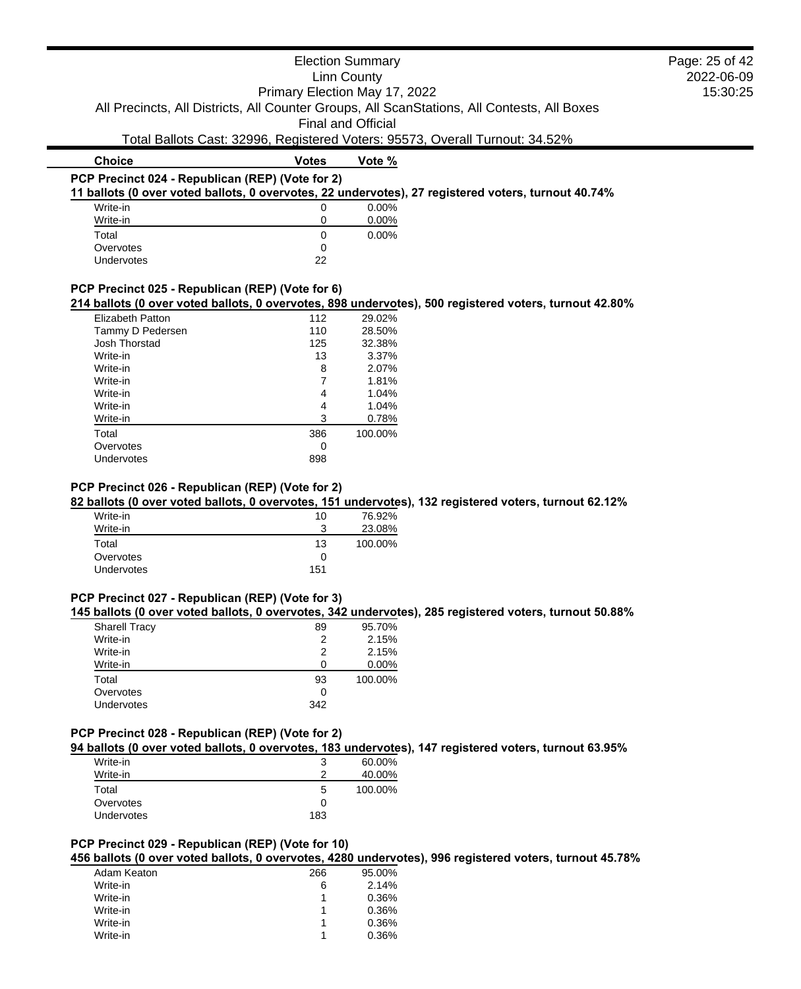|                                                  |                               | <b>Election Summary</b>   | Page: 25 of 42                                                                                         |          |
|--------------------------------------------------|-------------------------------|---------------------------|--------------------------------------------------------------------------------------------------------|----------|
|                                                  |                               | <b>Linn County</b>        | 2022-06-09                                                                                             |          |
|                                                  | Primary Election May 17, 2022 |                           |                                                                                                        | 15:30:25 |
|                                                  |                               |                           | All Precincts, All Districts, All Counter Groups, All ScanStations, All Contests, All Boxes            |          |
|                                                  |                               |                           |                                                                                                        |          |
|                                                  |                               | <b>Final and Official</b> |                                                                                                        |          |
|                                                  |                               |                           | Total Ballots Cast: 32996, Registered Voters: 95573, Overall Turnout: 34.52%                           |          |
| <b>Choice</b>                                    | <b>Votes</b>                  | Vote %                    |                                                                                                        |          |
| PCP Precinct 024 - Republican (REP) (Vote for 2) |                               |                           |                                                                                                        |          |
|                                                  |                               |                           | 11 ballots (0 over voted ballots, 0 overvotes, 22 undervotes), 27 registered voters, turnout 40.74%    |          |
| Write-in                                         | 0                             | 0.00%                     |                                                                                                        |          |
| Write-in                                         | 0                             | $0.00\%$                  |                                                                                                        |          |
| Total                                            | 0                             | 0.00%                     |                                                                                                        |          |
| Overvotes                                        | $\Omega$                      |                           |                                                                                                        |          |
| Undervotes                                       | 22                            |                           |                                                                                                        |          |
|                                                  |                               |                           |                                                                                                        |          |
| PCP Precinct 025 - Republican (REP) (Vote for 6) |                               |                           |                                                                                                        |          |
|                                                  |                               |                           | 214 ballots (0 over voted ballots, 0 overvotes, 898 undervotes), 500 registered voters, turnout 42.80% |          |
| <b>Elizabeth Patton</b>                          | 112                           | 29.02%                    |                                                                                                        |          |
| Tammy D Pedersen                                 | 110                           | 28.50%                    |                                                                                                        |          |
| Josh Thorstad                                    | 125                           | 32.38%                    |                                                                                                        |          |
| Write-in                                         | 13                            | 3.37%                     |                                                                                                        |          |
| Write-in                                         | 8                             | 2.07%                     |                                                                                                        |          |
| Write-in                                         |                               | 1.81%                     |                                                                                                        |          |
| Write-in                                         | 4                             | 1.04%                     |                                                                                                        |          |

| <b>Elizabeth Patton</b> | 112 | 29.02%  |
|-------------------------|-----|---------|
| Tammy D Pedersen        | 110 | 28.50%  |
| Josh Thorstad           | 125 | 32.38%  |
| Write-in                | 13  | 3.37%   |
| Write-in                | 8   | 2.07%   |
| Write-in                |     | 1.81%   |
| Write-in                | 4   | 1.04%   |
| Write-in                | 4   | 1.04%   |
| Write-in                | 3   | 0.78%   |
| Total                   | 386 | 100.00% |
| Overvotes               | Ω   |         |
| Undervotes              | 898 |         |
|                         |     |         |

#### **PCP Precinct 026 - Republican (REP) (Vote for 2)**

**82 ballots (0 over voted ballots, 0 overvotes, 151 undervotes), 132 registered voters, turnout 62.12%**

| Write-in          | 10     | 76.92%  |
|-------------------|--------|---------|
| Write-in          | ?<br>w | 23.08%  |
| Total             | 13     | 100.00% |
| Overvotes         | 0      |         |
| <b>Undervotes</b> | 151    |         |

# **PCP Precinct 027 - Republican (REP) (Vote for 3)**

**145 ballots (0 over voted ballots, 0 overvotes, 342 undervotes), 285 registered voters, turnout 50.88%**

| <b>Sharell Tracy</b> | 89  | 95.70%   |
|----------------------|-----|----------|
| Write-in             | 2   | 2.15%    |
| Write-in             | 2   | 2.15%    |
| Write-in             |     | $0.00\%$ |
| Total                | 93  | 100.00%  |
| Overvotes            | Ω   |          |
| <b>Undervotes</b>    | 342 |          |
|                      |     |          |

### **PCP Precinct 028 - Republican (REP) (Vote for 2)**

**94 ballots (0 over voted ballots, 0 overvotes, 183 undervotes), 147 registered voters, turnout 63.95%**

| Write-in<br>Write-in | 3<br>າ | 60.00%<br>40.00% |
|----------------------|--------|------------------|
| Total                | 5      | 100.00%          |
| Overvotes            | 0      |                  |
| Undervotes           | 183    |                  |

#### **PCP Precinct 029 - Republican (REP) (Vote for 10)**

**456 ballots (0 over voted ballots, 0 overvotes, 4280 undervotes), 996 registered voters, turnout 45.78%**

| Adam Keaton | 266 | 95.00% |
|-------------|-----|--------|
| Write-in    | 6   | 2.14%  |
| Write-in    |     | 0.36%  |
| Write-in    |     | 0.36%  |
| Write-in    |     | 0.36%  |
| Write-in    |     | 0.36%  |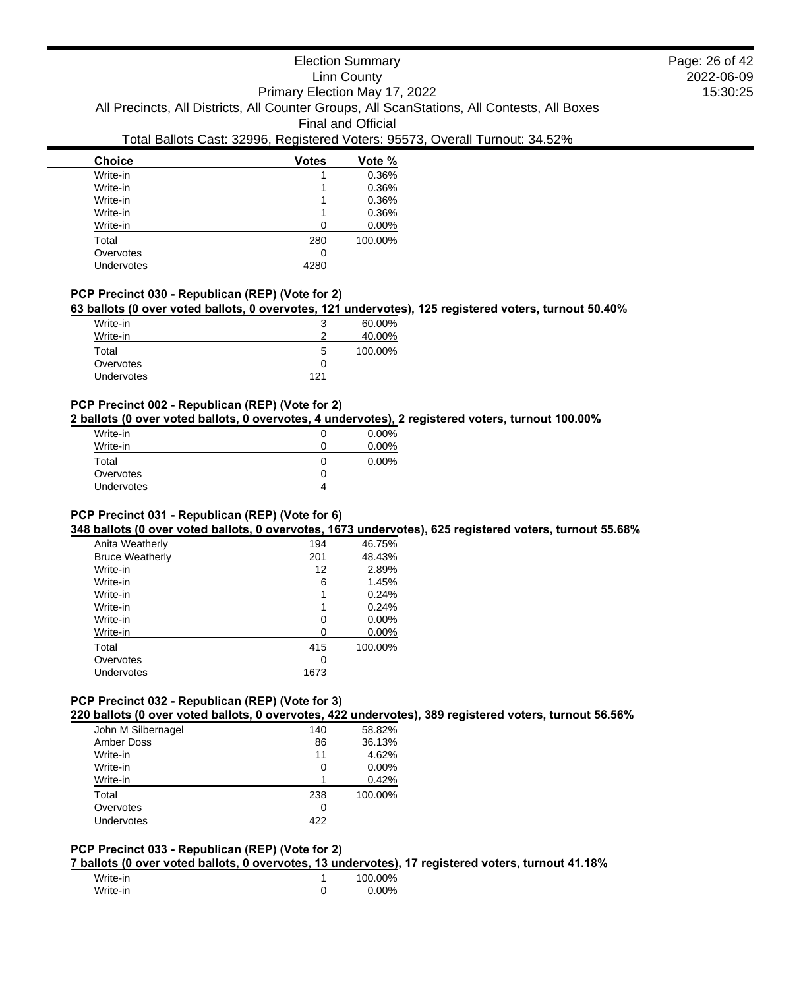# Election Summary

Linn County

2022-06-09 15:30:25 Page: 26 of 42

Primary Election May 17, 2022 All Precincts, All Districts, All Counter Groups, All ScanStations, All Contests, All Boxes

Final and Official

# Total Ballots Cast: 32996, Registered Voters: 95573, Overall Turnout: 34.52%

| <b>Votes</b> | Vote %  |
|--------------|---------|
|              | 0.36%   |
|              | 0.36%   |
|              | 0.36%   |
|              | 0.36%   |
| 0            | 0.00%   |
| 280          | 100.00% |
| 0            |         |
| 4280         |         |
|              |         |

# **PCP Precinct 030 - Republican (REP) (Vote for 2)**

#### **63 ballots (0 over voted ballots, 0 overvotes, 121 undervotes), 125 registered voters, turnout 50.40%**

| Write-in          | 3   | 60.00%  |
|-------------------|-----|---------|
| Write-in          | າ   | 40.00%  |
| Total             | 5   | 100.00% |
| Overvotes         | 0   |         |
| <b>Undervotes</b> | 121 |         |

#### **PCP Precinct 002 - Republican (REP) (Vote for 2)**

**2 ballots (0 over voted ballots, 0 overvotes, 4 undervotes), 2 registered voters, turnout 100.00%**

| Write-in          | $0.00\%$ |
|-------------------|----------|
| Write-in          | 0.00%    |
| Total             | 0.00%    |
| Overvotes         |          |
| <b>Undervotes</b> |          |

#### **PCP Precinct 031 - Republican (REP) (Vote for 6)**

**348 ballots (0 over voted ballots, 0 overvotes, 1673 undervotes), 625 registered voters, turnout 55.68%**

| Anita Weatherly        | 194  | 46.75%   |
|------------------------|------|----------|
| <b>Bruce Weatherly</b> | 201  | 48.43%   |
| Write-in               | 12   | 2.89%    |
| Write-in               | 6    | 1.45%    |
| Write-in               | 1    | 0.24%    |
| Write-in               | 1    | 0.24%    |
| Write-in               | 0    | 0.00%    |
| Write-in               | Ω    | $0.00\%$ |
| Total                  | 415  | 100.00%  |
| Overvotes              | Ω    |          |
| Undervotes             | 1673 |          |
|                        |      |          |

# **PCP Precinct 032 - Republican (REP) (Vote for 3)**

**220 ballots (0 over voted ballots, 0 overvotes, 422 undervotes), 389 registered voters, turnout 56.56%**

| John M Silbernagel | 140 | 58.82%  |
|--------------------|-----|---------|
| Amber Doss         | 86  | 36.13%  |
| Write-in           | 11  | 4.62%   |
| Write-in           | 0   | 0.00%   |
| Write-in           |     | 0.42%   |
| Total              | 238 | 100.00% |
| Overvotes          | 0   |         |
| Undervotes         | 422 |         |

### **PCP Precinct 033 - Republican (REP) (Vote for 2)**

**7 ballots (0 over voted ballots, 0 overvotes, 13 undervotes), 17 registered voters, turnout 41.18%**

| Write-in | 100.00%  |
|----------|----------|
| Write-in | $0.00\%$ |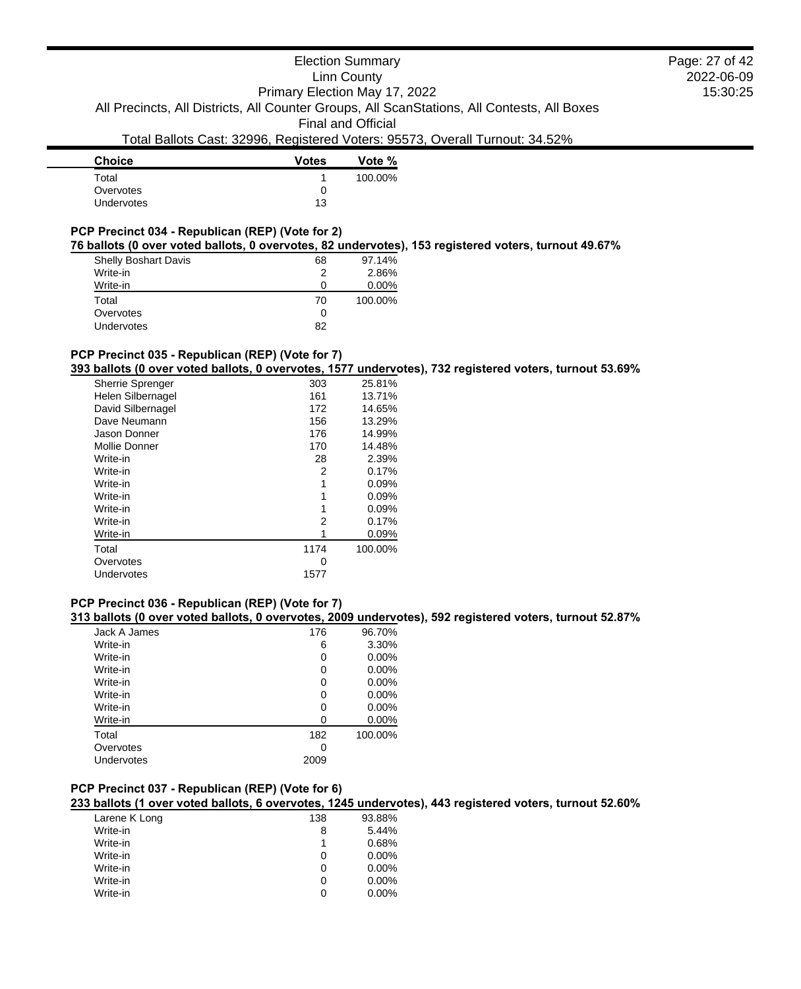# Election Summary

Linn County

2022-06-09 15:30:25 Page: 27 of 42

Primary Election May 17, 2022 All Precincts, All Districts, All Counter Groups, All ScanStations, All Contests, All Boxes

Final and Official

# Total Ballots Cast: 32996, Registered Voters: 95573, Overall Turnout: 34.52%

| <b>Choice</b>     | <b>Votes</b> | Vote %  |
|-------------------|--------------|---------|
| Total             |              | 100.00% |
| Overvotes         | O            |         |
| <b>Undervotes</b> | 13           |         |
|                   |              |         |

# **PCP Precinct 034 - Republican (REP) (Vote for 2)**

**76 ballots (0 over voted ballots, 0 overvotes, 82 undervotes), 153 registered voters, turnout 49.67%**

| <b>Shelly Boshart Davis</b> | 68 | 97.14%   |
|-----------------------------|----|----------|
| Write-in                    | 2  | 2.86%    |
| Write-in                    | 0  | $0.00\%$ |
| Total                       | 70 | 100.00%  |
| Overvotes                   | 0  |          |
| <b>Undervotes</b>           | 82 |          |

### **PCP Precinct 035 - Republican (REP) (Vote for 7)**

**393 ballots (0 over voted ballots, 0 overvotes, 1577 undervotes), 732 registered voters, turnout 53.69%**

| <b>Sherrie Sprenger</b> | 303  | 25.81%  |
|-------------------------|------|---------|
| Helen Silbernagel       | 161  | 13.71%  |
| David Silbernagel       | 172  | 14.65%  |
| Dave Neumann            | 156  | 13.29%  |
| Jason Donner            | 176  | 14.99%  |
| Mollie Donner           | 170  | 14.48%  |
| Write-in                | 28   | 2.39%   |
| Write-in                | 2    | 0.17%   |
| Write-in                | 1    | 0.09%   |
| Write-in                | 1    | 0.09%   |
| Write-in                | 1    | 0.09%   |
| Write-in                | 2    | 0.17%   |
| Write-in                | 1    | 0.09%   |
| Total                   | 1174 | 100.00% |
| Overvotes               | 0    |         |
| Undervotes              | 1577 |         |

#### **PCP Precinct 036 - Republican (REP) (Vote for 7)**

**313 ballots (0 over voted ballots, 0 overvotes, 2009 undervotes), 592 registered voters, turnout 52.87%**

| Jack A James | 176  | 96.70%   |
|--------------|------|----------|
| Write-in     | 6    | 3.30%    |
| Write-in     | 0    | $0.00\%$ |
| Write-in     | 0    | 0.00%    |
| Write-in     | 0    | $0.00\%$ |
| Write-in     | 0    | $0.00\%$ |
| Write-in     | 0    | 0.00%    |
| Write-in     | O    | $0.00\%$ |
| Total        | 182  | 100.00%  |
| Overvotes    | 0    |          |
| Undervotes   | 2009 |          |
|              |      |          |

# **PCP Precinct 037 - Republican (REP) (Vote for 6)**

#### **233 ballots (1 over voted ballots, 6 overvotes, 1245 undervotes), 443 registered voters, turnout 52.60%**

| Larene K Long | 138 | 93.88% |
|---------------|-----|--------|
| Write-in      | 8   | 5.44%  |
| Write-in      | 1   | 0.68%  |
| Write-in      | 0   | 0.00%  |
| Write-in      | O   | 0.00%  |
| Write-in      | O   | 0.00%  |
| Write-in      |     | 0.00%  |
|               |     |        |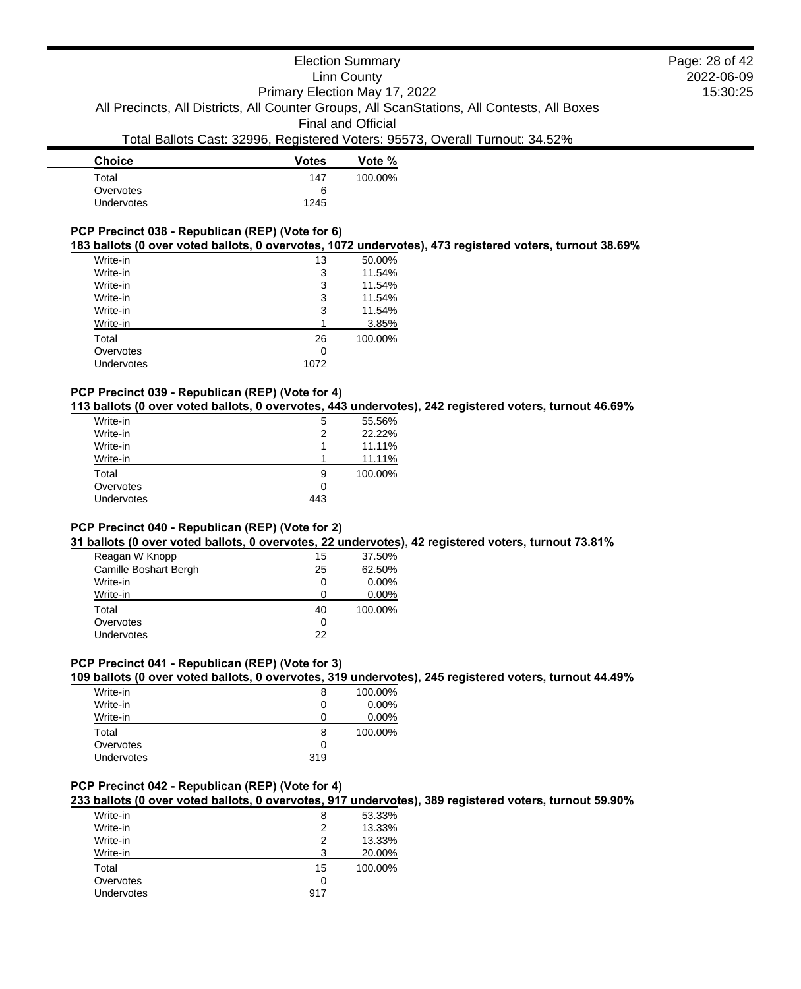| <b>Choice</b>     | <b>Votes</b> | Vote %  |
|-------------------|--------------|---------|
| Total             | 147          | 100.00% |
| Overvotes         | 6            |         |
| <b>Undervotes</b> | 1245         |         |
|                   |              |         |

# **PCP Precinct 038 - Republican (REP) (Vote for 6)**

#### **183 ballots (0 over voted ballots, 0 overvotes, 1072 undervotes), 473 registered voters, turnout 38.69%**

| Write-in   | 13   | 50.00%  |
|------------|------|---------|
| Write-in   | 3    | 11.54%  |
| Write-in   | 3    | 11.54%  |
| Write-in   | 3    | 11.54%  |
| Write-in   | 3    | 11.54%  |
| Write-in   |      | 3.85%   |
| Total      | 26   | 100.00% |
| Overvotes  | 0    |         |
| Undervotes | 1072 |         |
|            |      |         |

### **PCP Precinct 039 - Republican (REP) (Vote for 4)**

#### **113 ballots (0 over voted ballots, 0 overvotes, 443 undervotes), 242 registered voters, turnout 46.69%**

| Write-in          | 5   | 55.56%  |
|-------------------|-----|---------|
| Write-in          | 2   | 22.22%  |
| Write-in          |     | 11.11%  |
| Write-in          |     | 11.11%  |
| Total             | 9   | 100.00% |
| Overvotes         | Ω   |         |
| <b>Undervotes</b> | 443 |         |
|                   |     |         |

#### **PCP Precinct 040 - Republican (REP) (Vote for 2)**

#### **31 ballots (0 over voted ballots, 0 overvotes, 22 undervotes), 42 registered voters, turnout 73.81%**

| Reagan W Knopp        | 15 | 37.50%   |
|-----------------------|----|----------|
| Camille Boshart Bergh | 25 | 62.50%   |
| Write-in              | 0  | $0.00\%$ |
| Write-in              | 0  | $0.00\%$ |
| Total                 | 40 | 100.00%  |
| Overvotes             | Ω  |          |
| <b>Undervotes</b>     | 22 |          |

# **PCP Precinct 041 - Republican (REP) (Vote for 3)**

### **109 ballots (0 over voted ballots, 0 overvotes, 319 undervotes), 245 registered voters, turnout 44.49%**

| Write-in   | 8   | 100.00%  |
|------------|-----|----------|
| Write-in   | 0   | $0.00\%$ |
| Write-in   | 0   | $0.00\%$ |
| Total      | 8   | 100.00%  |
| Overvotes  | 0   |          |
| Undervotes | 319 |          |

### **PCP Precinct 042 - Republican (REP) (Vote for 4)**

**233 ballots (0 over voted ballots, 0 overvotes, 917 undervotes), 389 registered voters, turnout 59.90%**

| Write-in          | 8   | 53.33%  |
|-------------------|-----|---------|
| Write-in          | 2   | 13.33%  |
| Write-in          | 2   | 13.33%  |
| Write-in          | 3   | 20.00%  |
| Total             | 15  | 100.00% |
| Overvotes         | 0   |         |
| <b>Undervotes</b> | 917 |         |
|                   |     |         |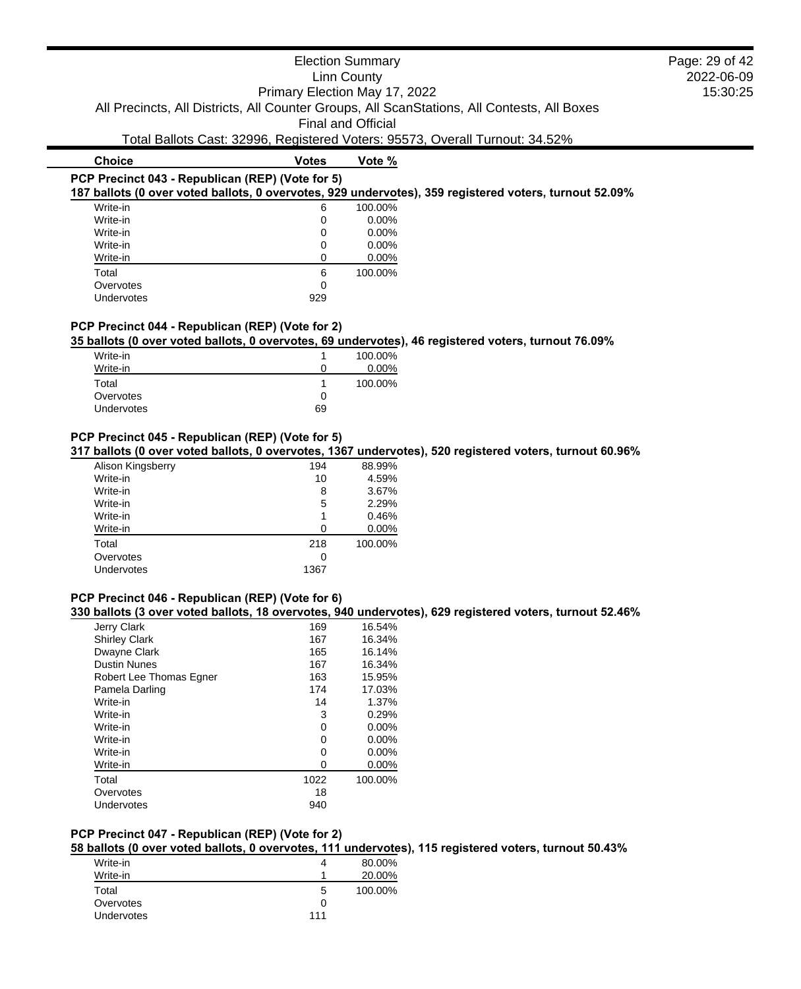## Election Summary Linn County Primary Election May 17, 2022 All Precincts, All Districts, All Counter Groups, All ScanStations, All Contests, All Boxes Final and Official Total Ballots Cast: 32996, Registered Voters: 95573, Overall Turnout: 34.52% **Choice Votes Votes Vote** % **PCP Precinct 043 - Republican (REP) (Vote for 5) 187 ballots (0 over voted ballots, 0 overvotes, 929 undervotes), 359 registered voters, turnout 52.09%** Write-in 6 100.00% Page: 29 of 42

2022-06-09 15:30:25

| $VIIIC=III$ | O   | TUU.UU70 |
|-------------|-----|----------|
| Write-in    | 0   | 0.00%    |
| Write-in    | 0   | 0.00%    |
| Write-in    | 0   | 0.00%    |
| Write-in    |     | 0.00%    |
| Total       | 6   | 100.00%  |
| Overvotes   | 0   |          |
| Undervotes  | 929 |          |

#### **PCP Precinct 044 - Republican (REP) (Vote for 2)**

### **35 ballots (0 over voted ballots, 0 overvotes, 69 undervotes), 46 registered voters, turnout 76.09%**

| Write-in   |    | 100.00%  |
|------------|----|----------|
| Write-in   | 0  | $0.00\%$ |
| Total      |    | 100.00%  |
| Overvotes  | 0  |          |
| Undervotes | 69 |          |

### **PCP Precinct 045 - Republican (REP) (Vote for 5)**

**317 ballots (0 over voted ballots, 0 overvotes, 1367 undervotes), 520 registered voters, turnout 60.96%**

| 194  | 88.99%   |
|------|----------|
| 10   | 4.59%    |
| 8    | 3.67%    |
| 5    | 2.29%    |
| 1    | 0.46%    |
| ∩    | $0.00\%$ |
| 218  | 100.00%  |
| 0    |          |
| 1367 |          |
|      |          |

# **PCP Precinct 046 - Republican (REP) (Vote for 6)**

**330 ballots (3 over voted ballots, 18 overvotes, 940 undervotes), 629 registered voters, turnout 52.46%**

| Jerry Clark             | 169  | 16.54%   |
|-------------------------|------|----------|
| <b>Shirley Clark</b>    | 167  | 16.34%   |
| Dwayne Clark            | 165  | 16.14%   |
| <b>Dustin Nunes</b>     | 167  | 16.34%   |
| Robert Lee Thomas Egner | 163  | 15.95%   |
| Pamela Darling          | 174  | 17.03%   |
| Write-in                | 14   | 1.37%    |
| Write-in                | 3    | 0.29%    |
| Write-in                | 0    | 0.00%    |
| Write-in                | 0    | $0.00\%$ |
| Write-in                | O    | $0.00\%$ |
| Write-in                | Ω    | 0.00%    |
| Total                   | 1022 | 100.00%  |
| Overvotes               | 18   |          |
| Undervotes              | 940  |          |
|                         |      |          |

# **PCP Precinct 047 - Republican (REP) (Vote for 2)**

**58 ballots (0 over voted ballots, 0 overvotes, 111 undervotes), 115 registered voters, turnout 50.43%**

| Write-in          | 4   | 80.00%  |
|-------------------|-----|---------|
| Write-in          |     | 20.00%  |
| Total             | 5   | 100.00% |
| Overvotes         | 0   |         |
| <b>Undervotes</b> | 111 |         |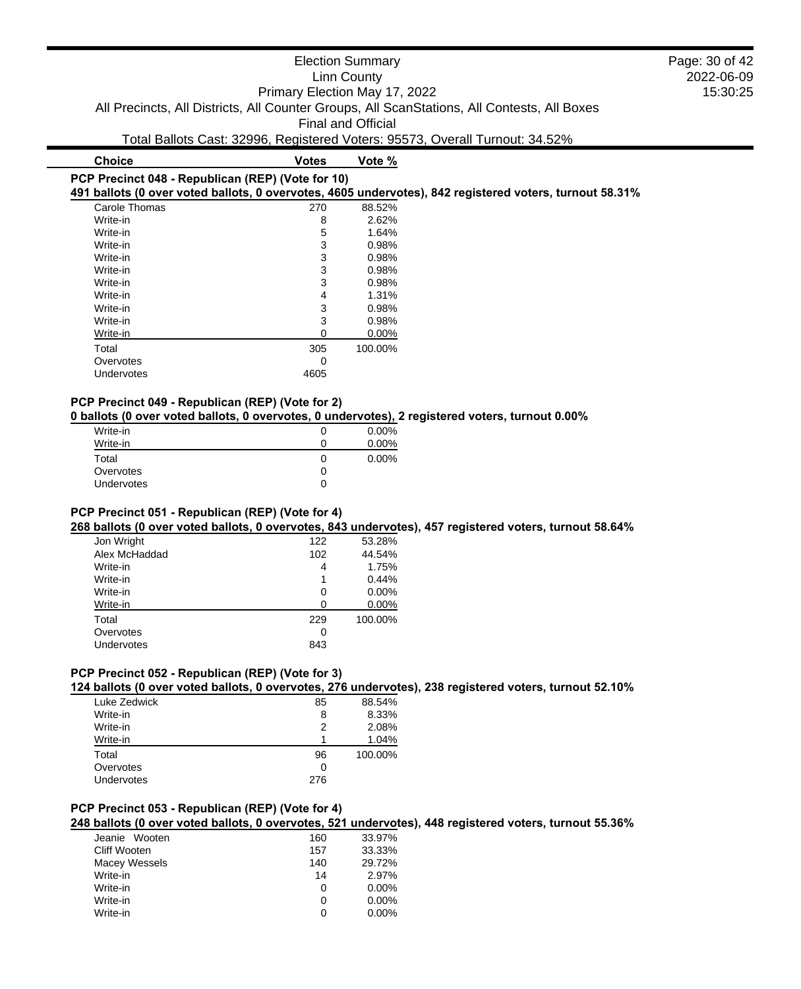# **PCP Precinct 048 - Republican (REP) (Vote for 10)**

**491 ballots (0 over voted ballots, 0 overvotes, 4605 undervotes), 842 registered voters, turnout 58.31%**

| Carole Thomas | 270  | 88.52%   |
|---------------|------|----------|
| Write-in      | 8    | 2.62%    |
| Write-in      | 5    | 1.64%    |
| Write-in      | 3    | 0.98%    |
| Write-in      | 3    | 0.98%    |
| Write-in      | 3    | 0.98%    |
| Write-in      | 3    | 0.98%    |
| Write-in      | 4    | 1.31%    |
| Write-in      | 3    | 0.98%    |
| Write-in      | 3    | 0.98%    |
| Write-in      | ი    | $0.00\%$ |
| Total         | 305  | 100.00%  |
| Overvotes     | ი    |          |
| Undervotes    | 4605 |          |
|               |      |          |

#### **PCP Precinct 049 - Republican (REP) (Vote for 2)**

**0 ballots (0 over voted ballots, 0 overvotes, 0 undervotes), 2 registered voters, turnout 0.00%**

| Write-in   | $0.00\%$ |
|------------|----------|
| Write-in   | 0.00%    |
| Total      | $0.00\%$ |
| Overvotes  |          |
| Undervotes |          |
|            |          |

### **PCP Precinct 051 - Republican (REP) (Vote for 4)**

**268 ballots (0 over voted ballots, 0 overvotes, 843 undervotes), 457 registered voters, turnout 58.64%**

| Jon Wright    | 122 | 53.28%   |
|---------------|-----|----------|
| Alex McHaddad | 102 | 44.54%   |
| Write-in      | 4   | 1.75%    |
| Write-in      | 1   | 0.44%    |
| Write-in      | 0   | 0.00%    |
| Write-in      | 0   | $0.00\%$ |
| Total         | 229 | 100.00%  |
| Overvotes     | 0   |          |
| Undervotes    | 843 |          |
|               |     |          |

#### **PCP Precinct 052 - Republican (REP) (Vote for 3)**

**124 ballots (0 over voted ballots, 0 overvotes, 276 undervotes), 238 registered voters, turnout 52.10%**

| 85  | 88.54%  |
|-----|---------|
| 8   | 8.33%   |
| 2   | 2.08%   |
|     | 1.04%   |
| 96  | 100.00% |
| 0   |         |
| 276 |         |
|     |         |

### **PCP Precinct 053 - Republican (REP) (Vote for 4)**

**248 ballots (0 over voted ballots, 0 overvotes, 521 undervotes), 448 registered voters, turnout 55.36%**

| 160 | 33.97%   |
|-----|----------|
| 157 | 33.33%   |
| 140 | 29.72%   |
| 14  | 2.97%    |
| O   | $0.00\%$ |
| O   | $0.00\%$ |
| 0   | $0.00\%$ |
|     |          |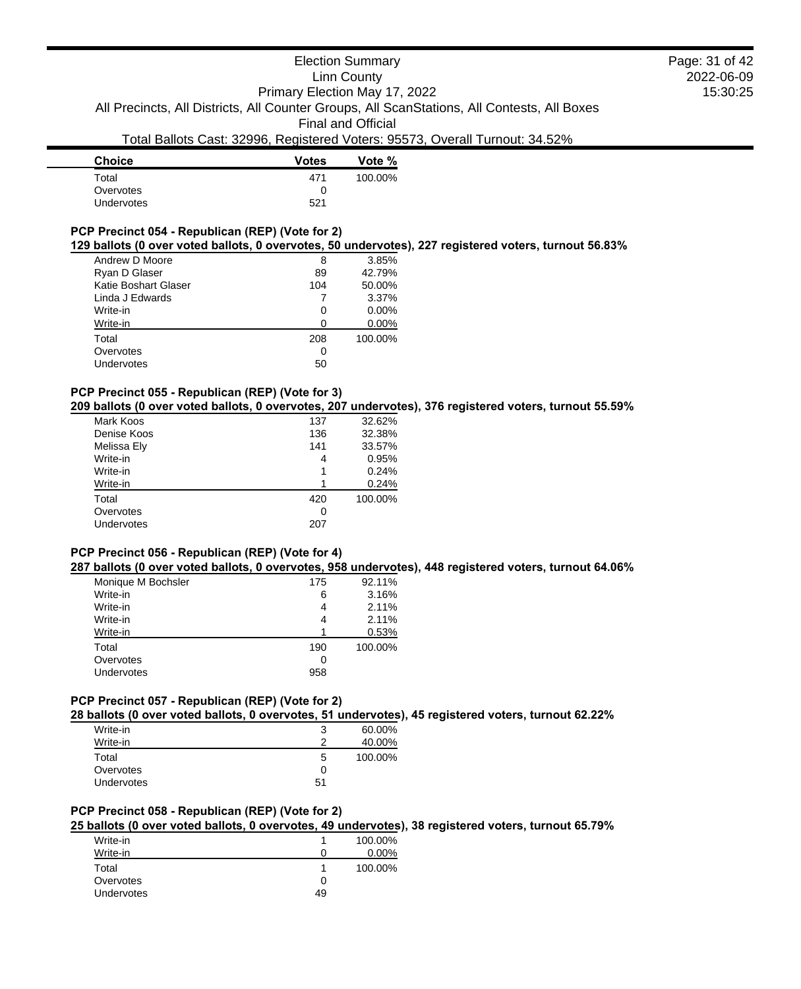| <b>Votes</b> | Vote %  |
|--------------|---------|
| 471          | 100.00% |
| 0            |         |
| 521          |         |
|              |         |

### **PCP Precinct 054 - Republican (REP) (Vote for 2)**

#### **129 ballots (0 over voted ballots, 0 overvotes, 50 undervotes), 227 registered voters, turnout 56.83%**

| Andrew D Moore       | 8   | 3.85%    |
|----------------------|-----|----------|
| Ryan D Glaser        | 89  | 42.79%   |
| Katie Boshart Glaser | 104 | 50.00%   |
| Linda J Edwards      |     | 3.37%    |
| Write-in             | 0   | $0.00\%$ |
| Write-in             | 0   | $0.00\%$ |
| Total                | 208 | 100.00%  |
| Overvotes            | 0   |          |
| Undervotes           | 50  |          |
|                      |     |          |

#### **PCP Precinct 055 - Republican (REP) (Vote for 3)**

#### **209 ballots (0 over voted ballots, 0 overvotes, 207 undervotes), 376 registered voters, turnout 55.59%**

| Mark Koos   | 137 | 32.62%  |
|-------------|-----|---------|
| Denise Koos | 136 | 32.38%  |
| Melissa Ely | 141 | 33.57%  |
| Write-in    | 4   | 0.95%   |
| Write-in    |     | 0.24%   |
| Write-in    |     | 0.24%   |
| Total       | 420 | 100.00% |
| Overvotes   | 0   |         |
| Undervotes  | 207 |         |
|             |     |         |

#### **PCP Precinct 056 - Republican (REP) (Vote for 4)**

# **287 ballots (0 over voted ballots, 0 overvotes, 958 undervotes), 448 registered voters, turnout 64.06%**

| Monique M Bochsler | 175 | 92.11%  |
|--------------------|-----|---------|
| Write-in           | 6   | 3.16%   |
| Write-in           | 4   | 2.11%   |
| Write-in           | 4   | 2.11%   |
| Write-in           | 1   | 0.53%   |
| Total              | 190 | 100.00% |
| Overvotes          | 0   |         |
| Undervotes         | 958 |         |

#### **PCP Precinct 057 - Republican (REP) (Vote for 2)**

**28 ballots (0 over voted ballots, 0 overvotes, 51 undervotes), 45 registered voters, turnout 62.22%**

| Write-in   | 3  | 60.00%  |
|------------|----|---------|
| Write-in   | າ  | 40.00%  |
| Total      | 5  | 100.00% |
| Overvotes  | 0  |         |
| Undervotes | 51 |         |

# **PCP Precinct 058 - Republican (REP) (Vote for 2)**

# **25 ballots (0 over voted ballots, 0 overvotes, 49 undervotes), 38 registered voters, turnout 65.79%**

| Write-in   |    | 100.00% |
|------------|----|---------|
| Write-in   |    | 0.00%   |
| Total      |    | 100.00% |
| Overvotes  |    |         |
| Undervotes | 49 |         |

2022-06-09 15:30:25 Page: 31 of 42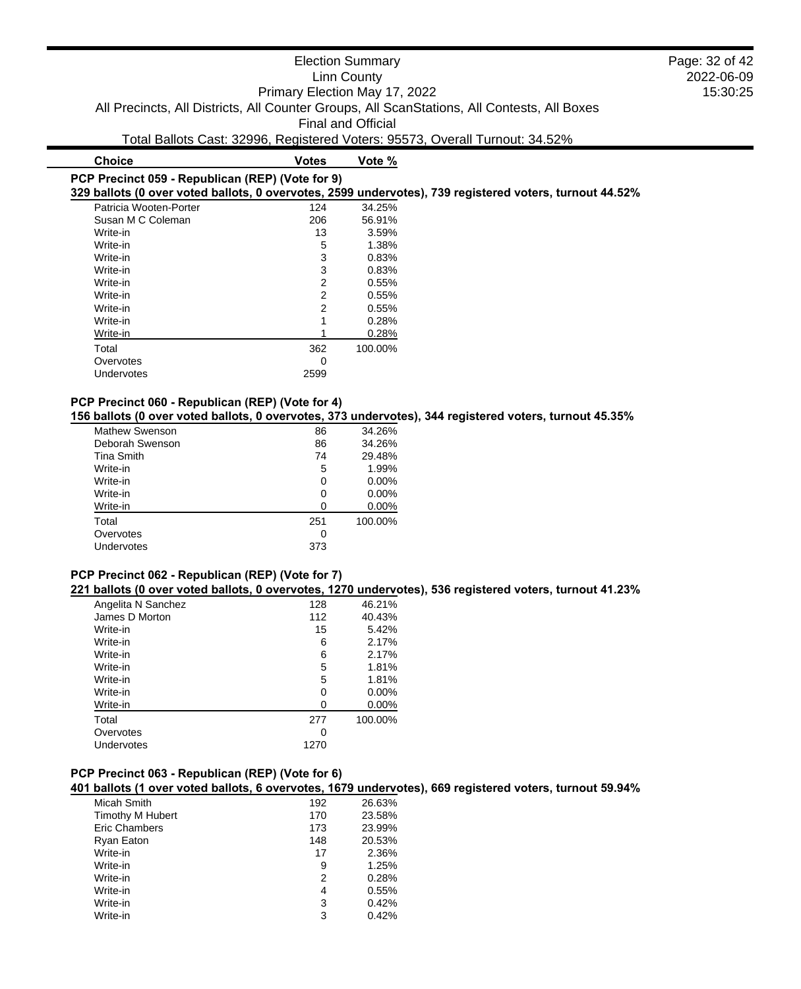# **PCP Precinct 059 - Republican (REP) (Vote for 9)**

**329 ballots (0 over voted ballots, 0 overvotes, 2599 undervotes), 739 registered voters, turnout 44.52%**

| Patricia Wooten-Porter | 124  | 34.25%  |
|------------------------|------|---------|
| Susan M C Coleman      | 206  | 56.91%  |
| Write-in               | 13   | 3.59%   |
| Write-in               | 5    | 1.38%   |
| Write-in               | 3    | 0.83%   |
| Write-in               | 3    | 0.83%   |
| Write-in               | 2    | 0.55%   |
| Write-in               | 2    | 0.55%   |
| Write-in               | 2    | 0.55%   |
| Write-in               | 1    | 0.28%   |
| Write-in               |      | 0.28%   |
| Total                  | 362  | 100.00% |
| Overvotes              | 0    |         |
| Undervotes             | 2599 |         |

#### **PCP Precinct 060 - Republican (REP) (Vote for 4)**

**156 ballots (0 over voted ballots, 0 overvotes, 373 undervotes), 344 registered voters, turnout 45.35%**

| Mathew Swenson    | 86  | 34.26%   |
|-------------------|-----|----------|
| Deborah Swenson   | 86  | 34.26%   |
| <b>Tina Smith</b> | 74  | 29.48%   |
| Write-in          | 5   | 1.99%    |
| Write-in          | 0   | $0.00\%$ |
| Write-in          | 0   | $0.00\%$ |
| Write-in          | 0   | 0.00%    |
| Total             | 251 | 100.00%  |
| Overvotes         | 0   |          |
| Undervotes        | 373 |          |

#### **PCP Precinct 062 - Republican (REP) (Vote for 7)**

**221 ballots (0 over voted ballots, 0 overvotes, 1270 undervotes), 536 registered voters, turnout 41.23%**

| Angelita N Sanchez | 128  | 46.21%   |
|--------------------|------|----------|
| James D Morton     | 112  | 40.43%   |
| Write-in           | 15   | 5.42%    |
| Write-in           | 6    | 2.17%    |
| Write-in           | 6    | 2.17%    |
| Write-in           | 5    | 1.81%    |
| Write-in           | 5    | 1.81%    |
| Write-in           | 0    | $0.00\%$ |
| Write-in           | O    | $0.00\%$ |
| Total              | 277  | 100.00%  |
| Overvotes          | O    |          |
| Undervotes         | 1270 |          |
|                    |      |          |

### **PCP Precinct 063 - Republican (REP) (Vote for 6)**

**401 ballots (1 over voted ballots, 6 overvotes, 1679 undervotes), 669 registered voters, turnout 59.94%**

| Micah Smith             | 192 | 26.63% |
|-------------------------|-----|--------|
| <b>Timothy M Hubert</b> | 170 | 23.58% |
| Eric Chambers           | 173 | 23.99% |
| Ryan Eaton              | 148 | 20.53% |
| Write-in                | 17  | 2.36%  |
| Write-in                | 9   | 1.25%  |
| Write-in                | 2   | 0.28%  |
| Write-in                | 4   | 0.55%  |
| Write-in                | 3   | 0.42%  |
| Write-in                | 3   | 0.42%  |

### 2022-06-09 15:30:25 Page: 32 of 42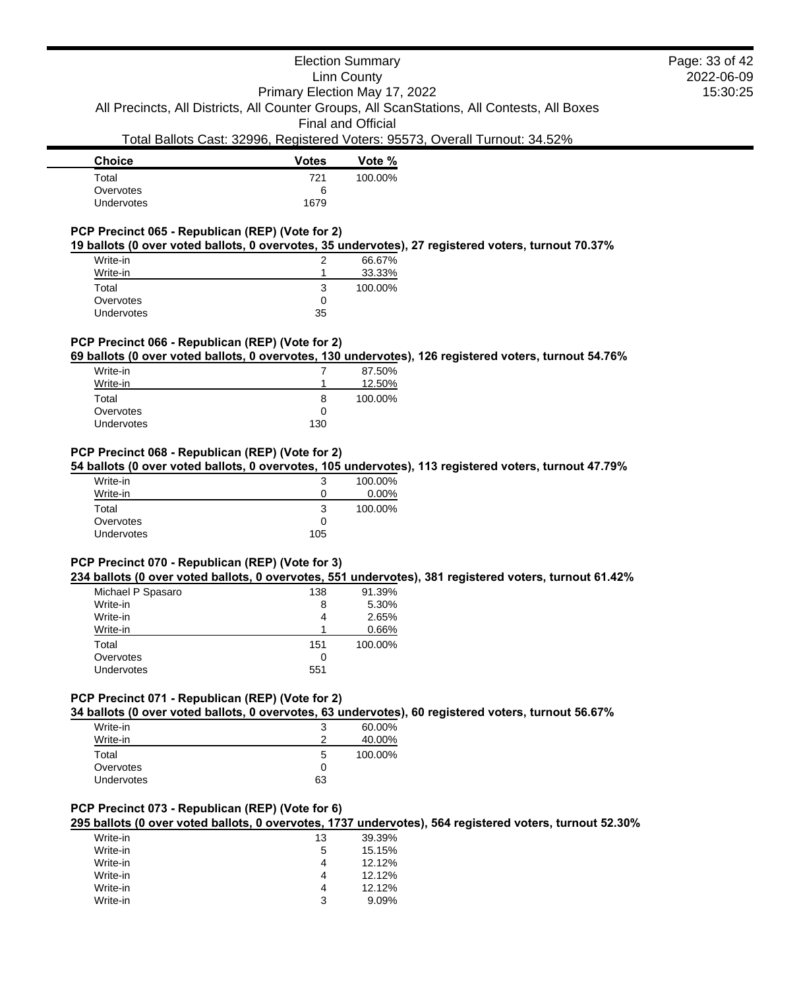# Election Summary

Linn County

2022-06-09 15:30:25 Page: 33 of 42

Primary Election May 17, 2022 All Precincts, All Districts, All Counter Groups, All ScanStations, All Contests, All Boxes

Final and Official

# Total Ballots Cast: 32996, Registered Voters: 95573, Overall Turnout: 34.52%

| <b>Votes</b> | Vote %  |
|--------------|---------|
| 721          | 100.00% |
| 6            |         |
| 1679         |         |
|              |         |

# **PCP Precinct 065 - Republican (REP) (Vote for 2)**

**19 ballots (0 over voted ballots, 0 overvotes, 35 undervotes), 27 registered voters, turnout 70.37%**

| Write-in          |    | 66.67%  |
|-------------------|----|---------|
| Write-in          |    | 33.33%  |
| Total             | ว  | 100.00% |
| Overvotes         | O  |         |
| <b>Undervotes</b> | 35 |         |

### **PCP Precinct 066 - Republican (REP) (Vote for 2)**

**69 ballots (0 over voted ballots, 0 overvotes, 130 undervotes), 126 registered voters, turnout 54.76%**

| Write-in          |     | 87.50%  |
|-------------------|-----|---------|
| Write-in          |     | 12.50%  |
| Total             | 8   | 100.00% |
| Overvotes         |     |         |
| <b>Undervotes</b> | 130 |         |

# **PCP Precinct 068 - Republican (REP) (Vote for 2)**

**54 ballots (0 over voted ballots, 0 overvotes, 105 undervotes), 113 registered voters, turnout 47.79%**

| 3   | 100.00%  |
|-----|----------|
|     | $0.00\%$ |
| 3   | 100.00%  |
| 0   |          |
| 105 |          |
|     |          |

# **PCP Precinct 070 - Republican (REP) (Vote for 3)**

#### **234 ballots (0 over voted ballots, 0 overvotes, 551 undervotes), 381 registered voters, turnout 61.42%**

| Michael P Spasaro | 138 | 91.39%  |
|-------------------|-----|---------|
| Write-in          | 8   | 5.30%   |
| Write-in          | 4   | 2.65%   |
| Write-in          | 1   | 0.66%   |
| Total             | 151 | 100.00% |
| Overvotes         | 0   |         |
| <b>Undervotes</b> | 551 |         |

#### **PCP Precinct 071 - Republican (REP) (Vote for 2)**

**34 ballots (0 over voted ballots, 0 overvotes, 63 undervotes), 60 registered voters, turnout 56.67%**

| Write-in   | 3  | 60.00%  |
|------------|----|---------|
| Write-in   | າ  | 40.00%  |
| Total      | 5  | 100.00% |
| Overvotes  | 0  |         |
| Undervotes | 63 |         |

### **PCP Precinct 073 - Republican (REP) (Vote for 6)**

**295 ballots (0 over voted ballots, 0 overvotes, 1737 undervotes), 564 registered voters, turnout 52.30%**

| Write-in | 13 | 39.39% |
|----------|----|--------|
| Write-in | 5  | 15.15% |
| Write-in |    | 12.12% |
| Write-in | 4  | 12.12% |
| Write-in | 4  | 12.12% |
| Write-in | 3  | 9.09%  |
|          |    |        |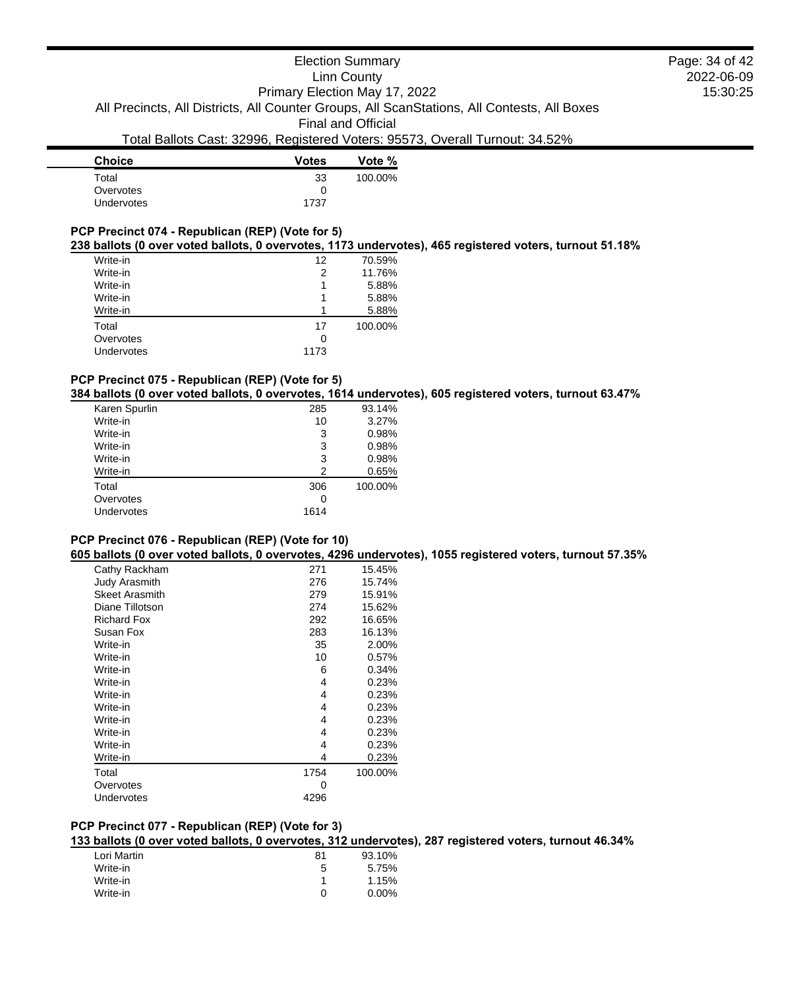| <b>Choice</b>     | <b>Votes</b> | Vote %  |
|-------------------|--------------|---------|
| Total             | 33           | 100.00% |
| Overvotes         | 0            |         |
| <b>Undervotes</b> | 1737         |         |
|                   |              |         |

# **PCP Precinct 074 - Republican (REP) (Vote for 5)**

#### **238 ballots (0 over voted ballots, 0 overvotes, 1173 undervotes), 465 registered voters, turnout 51.18%**

| Write-in   | 12   | 70.59%  |
|------------|------|---------|
| Write-in   | 2    | 11.76%  |
| Write-in   |      | 5.88%   |
| Write-in   |      | 5.88%   |
| Write-in   |      | 5.88%   |
| Total      | 17   | 100.00% |
| Overvotes  | 0    |         |
| Undervotes | 1173 |         |
|            |      |         |

# **PCP Precinct 075 - Republican (REP) (Vote for 5)**

**384 ballots (0 over voted ballots, 0 overvotes, 1614 undervotes), 605 registered voters, turnout 63.47%**

| Karen Spurlin | 285            | 93.14%  |
|---------------|----------------|---------|
| Write-in      | 10             | 3.27%   |
| Write-in      | 3              | 0.98%   |
| Write-in      | 3              | 0.98%   |
| Write-in      | 3              | 0.98%   |
| Write-in      | $\mathfrak{p}$ | 0.65%   |
| Total         | 306            | 100.00% |
| Overvotes     | 0              |         |
| Undervotes    | 1614           |         |
|               |                |         |

### **PCP Precinct 076 - Republican (REP) (Vote for 10)**

**605 ballots (0 over voted ballots, 0 overvotes, 4296 undervotes), 1055 registered voters, turnout 57.35%**

| Cathy Rackham         | 271  | 15.45%  |
|-----------------------|------|---------|
| <b>Judy Arasmith</b>  | 276  | 15.74%  |
| <b>Skeet Arasmith</b> | 279  | 15.91%  |
| Diane Tillotson       | 274  | 15.62%  |
| <b>Richard Fox</b>    | 292  | 16.65%  |
| Susan Fox             | 283  | 16.13%  |
| Write-in              | 35   | 2.00%   |
| Write-in              | 10   | 0.57%   |
| Write-in              | 6    | 0.34%   |
| Write-in              | 4    | 0.23%   |
| Write-in              | 4    | 0.23%   |
| Write-in              | 4    | 0.23%   |
| Write-in              | 4    | 0.23%   |
| Write-in              | 4    | 0.23%   |
| Write-in              | 4    | 0.23%   |
| Write-in              | 4    | 0.23%   |
| Total                 | 1754 | 100.00% |
| Overvotes             | 0    |         |
| Undervotes            | 4296 |         |
|                       |      |         |

# **PCP Precinct 077 - Republican (REP) (Vote for 3)**

**133 ballots (0 over voted ballots, 0 overvotes, 312 undervotes), 287 registered voters, turnout 46.34%**

| Lori Martin | 81 | 93.10%   |
|-------------|----|----------|
| Write-in    | 5  | 5.75%    |
| Write-in    |    | 1.15%    |
| Write-in    |    | $0.00\%$ |
|             |    |          |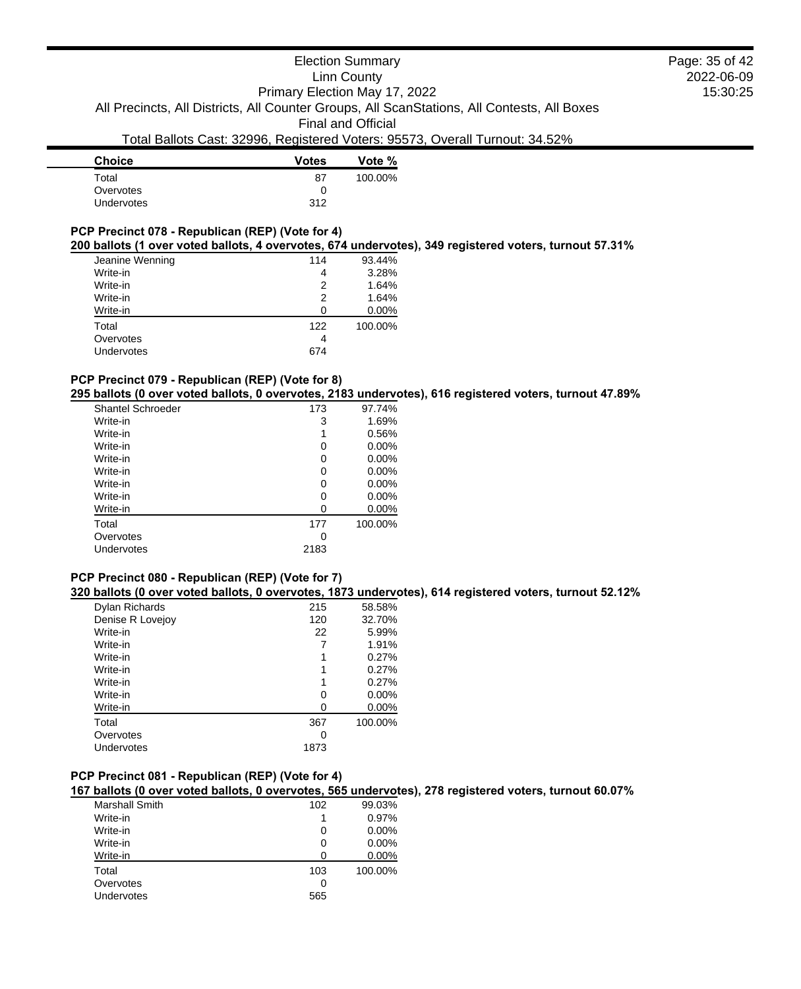# Election Summary Linn County Primary Election May 17, 2022 All Precincts, All Districts, All Counter Groups, All ScanStations, All Contests, All Boxes Final and Official

# Total Ballots Cast: 32996, Registered Voters: 95573, Overall Turnout: 34.52%

| <b>Votes</b> | Vote %  |
|--------------|---------|
| 87           | 100.00% |
| O            |         |
| 312          |         |
|              |         |

# **PCP Precinct 078 - Republican (REP) (Vote for 4)**

# **200 ballots (1 over voted ballots, 4 overvotes, 674 undervotes), 349 registered voters, turnout 57.31%**

| Jeanine Wenning<br>93.44%<br>114 |         |
|----------------------------------|---------|
| Write-in<br>4                    | 3.28%   |
| Write-in<br>2                    | 1.64%   |
| Write-in<br>2                    | 1.64%   |
| Write-in<br>O                    | 0.00%   |
| Total<br>122                     | 100.00% |
| Overvotes<br>4                   |         |
| Undervotes<br>674                |         |

### **PCP Precinct 079 - Republican (REP) (Vote for 8)**

**295 ballots (0 over voted ballots, 0 overvotes, 2183 undervotes), 616 registered voters, turnout 47.89%**

| <b>Shantel Schroeder</b> | 173  | 97.74%   |
|--------------------------|------|----------|
| Write-in                 | 3    | 1.69%    |
| Write-in                 |      | 0.56%    |
| Write-in                 | 0    | $0.00\%$ |
| Write-in                 | 0    | $0.00\%$ |
| Write-in                 | 0    | $0.00\%$ |
| Write-in                 | 0    | $0.00\%$ |
| Write-in                 | 0    | $0.00\%$ |
| Write-in                 | ∩    | $0.00\%$ |
| Total                    | 177  | 100.00%  |
| Overvotes                | 0    |          |
| Undervotes               | 2183 |          |
|                          |      |          |

# **PCP Precinct 080 - Republican (REP) (Vote for 7)**

**320 ballots (0 over voted ballots, 0 overvotes, 1873 undervotes), 614 registered voters, turnout 52.12%**

| Dylan Richards   | 215  | 58.58%   |
|------------------|------|----------|
| Denise R Lovejoy | 120  | 32.70%   |
| Write-in         | 22   | 5.99%    |
| Write-in         |      | 1.91%    |
| Write-in         | 1    | 0.27%    |
| Write-in         | 1    | 0.27%    |
| Write-in         | 1    | 0.27%    |
| Write-in         | 0    | 0.00%    |
| Write-in         | 0    | $0.00\%$ |
| Total            | 367  | 100.00%  |
| Overvotes        | 0    |          |
| Undervotes       | 1873 |          |

### **PCP Precinct 081 - Republican (REP) (Vote for 4)**

**167 ballots (0 over voted ballots, 0 overvotes, 565 undervotes), 278 registered voters, turnout 60.07%**

| Marshall Smith | 102 | 99.03%  |
|----------------|-----|---------|
| Write-in       |     | 0.97%   |
| Write-in       | 0   | 0.00%   |
| Write-in       | 0   | 0.00%   |
| Write-in       | 0   | 0.00%   |
| Total          | 103 | 100.00% |
| Overvotes      | 0   |         |
| Undervotes     | 565 |         |
|                |     |         |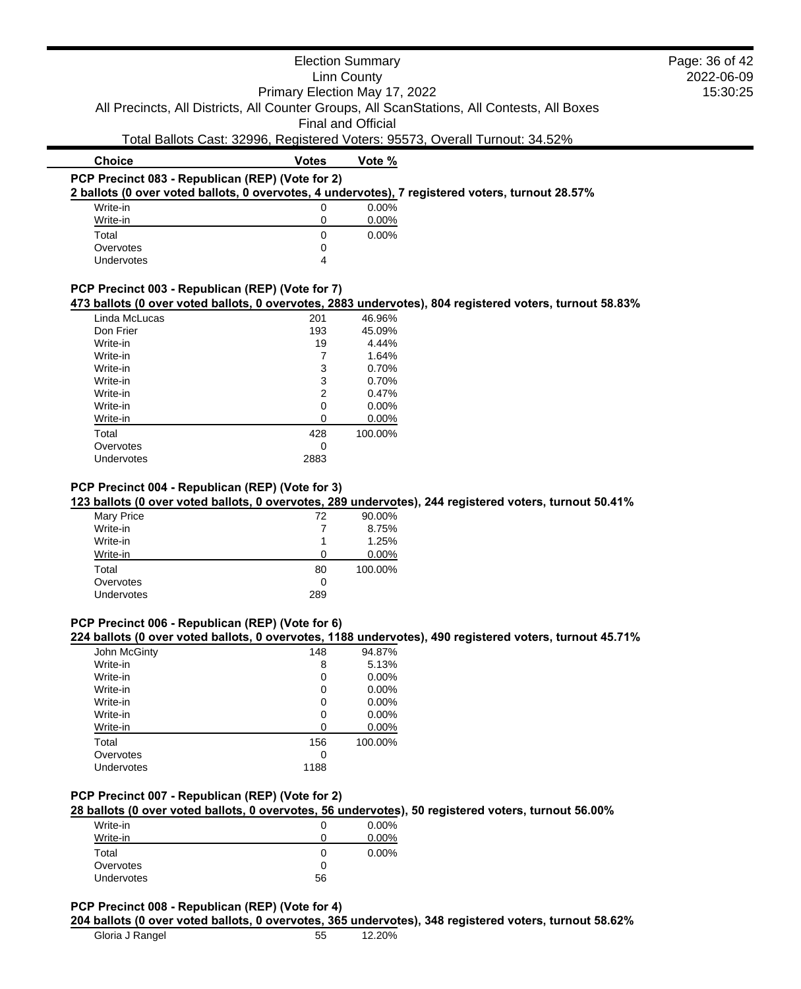|                                                  |                               | <b>Election Summary</b>   |                                                                                                         | Page: 36 of 42 |
|--------------------------------------------------|-------------------------------|---------------------------|---------------------------------------------------------------------------------------------------------|----------------|
|                                                  |                               | <b>Linn County</b>        |                                                                                                         | 2022-06-09     |
|                                                  | Primary Election May 17, 2022 |                           |                                                                                                         | 15:30:25       |
|                                                  |                               |                           | All Precincts, All Districts, All Counter Groups, All ScanStations, All Contests, All Boxes             |                |
|                                                  |                               | <b>Final and Official</b> |                                                                                                         |                |
|                                                  |                               |                           |                                                                                                         |                |
|                                                  |                               |                           | Total Ballots Cast: 32996, Registered Voters: 95573, Overall Turnout: 34.52%                            |                |
| <b>Choice</b>                                    | <b>Votes</b>                  | Vote %                    |                                                                                                         |                |
| PCP Precinct 083 - Republican (REP) (Vote for 2) |                               |                           |                                                                                                         |                |
|                                                  |                               |                           | 2 ballots (0 over voted ballots, 0 overvotes, 4 undervotes), 7 registered voters, turnout 28.57%        |                |
| Write-in                                         | 0                             | 0.00%                     |                                                                                                         |                |
| Write-in                                         | 0                             | $0.00\%$                  |                                                                                                         |                |
| Total                                            | 0                             | 0.00%                     |                                                                                                         |                |
| Overvotes                                        | 0                             |                           |                                                                                                         |                |
| Undervotes                                       | 4                             |                           |                                                                                                         |                |
|                                                  |                               |                           |                                                                                                         |                |
| PCP Precinct 003 - Republican (REP) (Vote for 7) |                               |                           |                                                                                                         |                |
|                                                  |                               |                           | 473 ballots (0 over voted ballots, 0 overvotes, 2883 undervotes), 804 registered voters, turnout 58.83% |                |
| Linda McLucas                                    | 201                           | 46.96%                    |                                                                                                         |                |
| Don Frier                                        | 193                           | 45.09%                    |                                                                                                         |                |
| Write-in                                         | 19                            | 4.44%                     |                                                                                                         |                |
| Write-in                                         |                               | 1.64%                     |                                                                                                         |                |
| Write-in                                         | 3                             | 0.70%                     |                                                                                                         |                |
| Write-in                                         | 3                             | 0.70%                     |                                                                                                         |                |
| Write-in                                         | 2                             | 0.47%                     |                                                                                                         |                |
| Write-in                                         | $\Omega$                      | $0.00\%$                  |                                                                                                         |                |

| Linda McLucas | 201  | 46.96%   |
|---------------|------|----------|
| Don Frier     | 193  | 45.09%   |
| Write-in      | 19   | 4.44%    |
| Write-in      |      | 1.64%    |
| Write-in      | 3    | 0.70%    |
| Write-in      | 3    | 0.70%    |
| Write-in      | 2    | 0.47%    |
| Write-in      | ი    | $0.00\%$ |
| Write-in      | O    | $0.00\%$ |
| Total         | 428  | 100.00%  |
| Overvotes     | O    |          |
| Undervotes    | 2883 |          |
|               |      |          |

# **PCP Precinct 004 - Republican (REP) (Vote for 3)**

# **123 ballots (0 over voted ballots, 0 overvotes, 289 undervotes), 244 registered voters, turnout 50.41%**

| Mary Price | 72  | 90.00%   |
|------------|-----|----------|
| Write-in   |     | 8.75%    |
| Write-in   | 1   | 1.25%    |
| Write-in   | 0   | $0.00\%$ |
| Total      | 80  | 100.00%  |
| Overvotes  | 0   |          |
| Undervotes | 289 |          |
|            |     |          |

# **PCP Precinct 006 - Republican (REP) (Vote for 6)**

### **224 ballots (0 over voted ballots, 0 overvotes, 1188 undervotes), 490 registered voters, turnout 45.71%**

| John McGinty | 148  | 94.87%   |
|--------------|------|----------|
| Write-in     | 8    | 5.13%    |
| Write-in     | 0    | 0.00%    |
| Write-in     | 0    | $0.00\%$ |
| Write-in     | 0    | 0.00%    |
| Write-in     | 0    | 0.00%    |
| Write-in     |      | 0.00%    |
| Total        | 156  | 100.00%  |
| Overvotes    | 0    |          |
| Undervotes   | 1188 |          |

# **PCP Precinct 007 - Republican (REP) (Vote for 2)**

### **28 ballots (0 over voted ballots, 0 overvotes, 56 undervotes), 50 registered voters, turnout 56.00%**

| Write-in   |              | $0.00\%$ |
|------------|--------------|----------|
| Write-in   |              | $0.00\%$ |
| Total      | $\mathbf{0}$ | $0.00\%$ |
| Overvotes  |              |          |
| Undervotes | 56           |          |

#### **PCP Precinct 008 - Republican (REP) (Vote for 4)**

#### **204 ballots (0 over voted ballots, 0 overvotes, 365 undervotes), 348 registered voters, turnout 58.62%**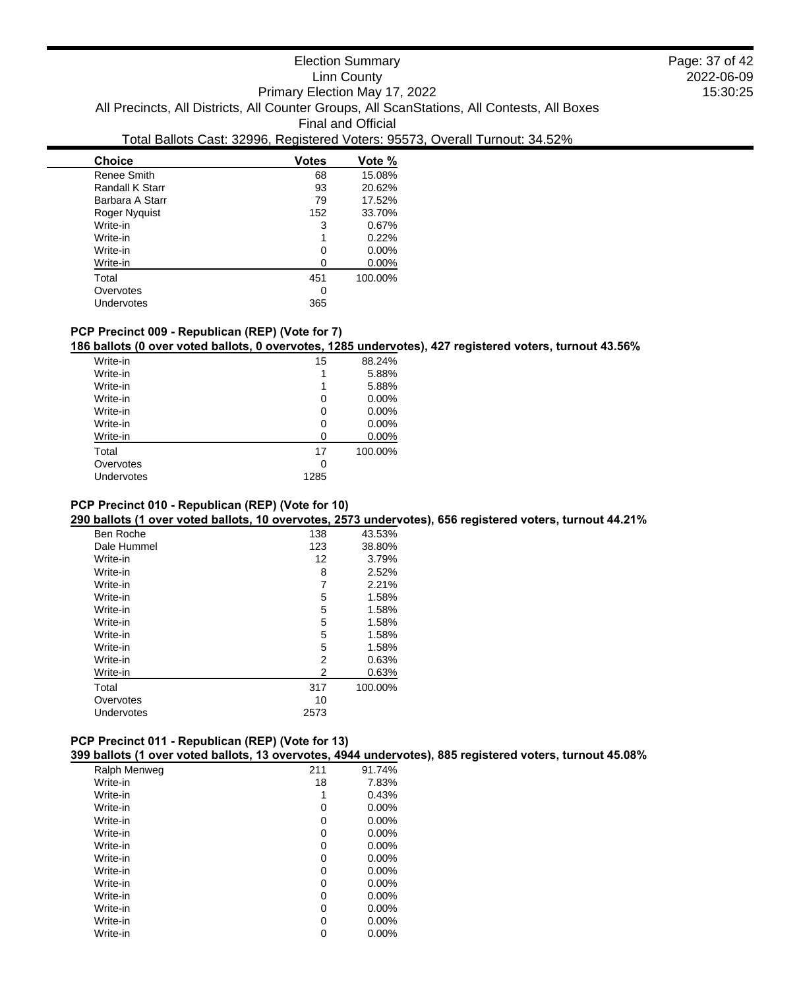| <b>Choice</b>   | <b>Votes</b> | Vote %  |
|-----------------|--------------|---------|
| Renee Smith     | 68           | 15.08%  |
| Randall K Starr | 93           | 20.62%  |
| Barbara A Starr | 79           | 17.52%  |
| Roger Nyguist   | 152          | 33.70%  |
| Write-in        | 3            | 0.67%   |
| Write-in        | 1            | 0.22%   |
| Write-in        | 0            | 0.00%   |
| Write-in        | 0            | 0.00%   |
| Total           | 451          | 100.00% |
| Overvotes       | 0            |         |
| Undervotes      | 365          |         |
|                 |              |         |

# **PCP Precinct 009 - Republican (REP) (Vote for 7)**

 $\overline{\phantom{0}}$ 

**186 ballots (0 over voted ballots, 0 overvotes, 1285 undervotes), 427 registered voters, turnout 43.56%**

| Write-in   | 15   | 88.24%  |
|------------|------|---------|
| Write-in   | 1    | 5.88%   |
| Write-in   | 1    | 5.88%   |
| Write-in   | 0    | 0.00%   |
| Write-in   | 0    | 0.00%   |
| Write-in   | O    | 0.00%   |
| Write-in   | n    | 0.00%   |
| Total      | 17   | 100.00% |
| Overvotes  | 0    |         |
| Undervotes | 1285 |         |
|            |      |         |

### **PCP Precinct 010 - Republican (REP) (Vote for 10)**

**290 ballots (1 over voted ballots, 10 overvotes, 2573 undervotes), 656 registered voters, turnout 44.21%**

| Ben Roche   | 138  | 43.53%  |
|-------------|------|---------|
| Dale Hummel | 123  | 38.80%  |
| Write-in    | 12   | 3.79%   |
| Write-in    | 8    | 2.52%   |
| Write-in    | 7    | 2.21%   |
| Write-in    | 5    | 1.58%   |
| Write-in    | 5    | 1.58%   |
| Write-in    | 5    | 1.58%   |
| Write-in    | 5    | 1.58%   |
| Write-in    | 5    | 1.58%   |
| Write-in    | 2    | 0.63%   |
| Write-in    | 2    | 0.63%   |
| Total       | 317  | 100.00% |
| Overvotes   | 10   |         |
| Undervotes  | 2573 |         |
|             |      |         |

## **PCP Precinct 011 - Republican (REP) (Vote for 13)**

**399 ballots (1 over voted ballots, 13 overvotes, 4944 undervotes), 885 registered voters, turnout 45.08%**

| Ralph Menweg | 211 | 91.74%   |
|--------------|-----|----------|
| Write-in     | 18  | 7.83%    |
| Write-in     |     | 0.43%    |
| Write-in     | 0   | $0.00\%$ |
| Write-in     | 0   | 0.00%    |
| Write-in     | 0   | $0.00\%$ |
| Write-in     | 0   | $0.00\%$ |
| Write-in     | 0   | 0.00%    |
| Write-in     | 0   | $0.00\%$ |
| Write-in     | 0   | $0.00\%$ |
| Write-in     | 0   | 0.00%    |
| Write-in     | 0   | $0.00\%$ |
| Write-in     | 0   | $0.00\%$ |
| Write-in     | 0   | 0.00%    |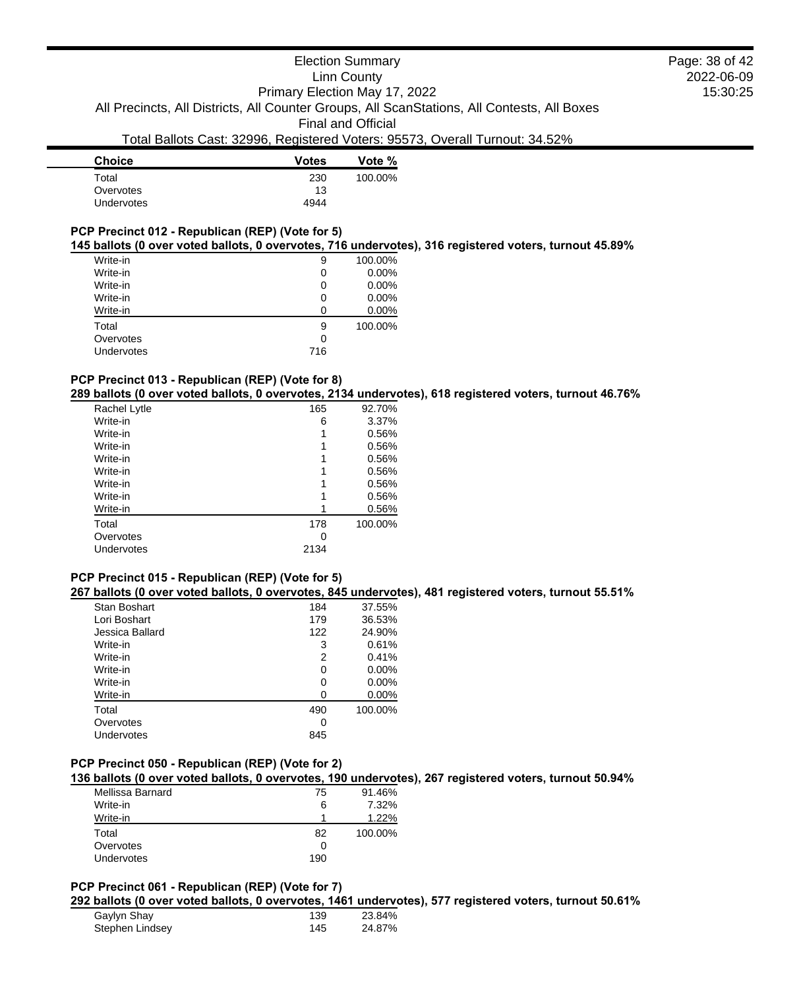| <b>Choice</b>     | <b>Votes</b> | Vote %  |
|-------------------|--------------|---------|
| Total             | 230          | 100.00% |
| Overvotes         | 13           |         |
| <b>Undervotes</b> | 4944         |         |
|                   |              |         |

# **PCP Precinct 012 - Republican (REP) (Vote for 5)**

#### **145 ballots (0 over voted ballots, 0 overvotes, 716 undervotes), 316 registered voters, turnout 45.89%**

| Write-in |            | 9   | 100.00% |
|----------|------------|-----|---------|
| Write-in |            | 0   | 0.00%   |
| Write-in |            | 0   | 0.00%   |
| Write-in |            | 0   | 0.00%   |
| Write-in |            | O   | 0.00%   |
| Total    |            | 9   | 100.00% |
|          | Overvotes  | 0   |         |
|          | Undervotes | 716 |         |
|          |            |     |         |

### **PCP Precinct 013 - Republican (REP) (Vote for 8)**

**289 ballots (0 over voted ballots, 0 overvotes, 2134 undervotes), 618 registered voters, turnout 46.76%**

| Rachel Lytle | 165  | 92.70%  |
|--------------|------|---------|
| Write-in     | 6    | 3.37%   |
| Write-in     |      | 0.56%   |
| Write-in     |      | 0.56%   |
| Write-in     |      | 0.56%   |
| Write-in     |      | 0.56%   |
| Write-in     |      | 0.56%   |
| Write-in     |      | 0.56%   |
| Write-in     |      | 0.56%   |
| Total        | 178  | 100.00% |
| Overvotes    | ∩    |         |
| Undervotes   | 2134 |         |
|              |      |         |

# **PCP Precinct 015 - Republican (REP) (Vote for 5)**

### **267 ballots (0 over voted ballots, 0 overvotes, 845 undervotes), 481 registered voters, turnout 55.51%**

| Stan Boshart    | 184 | 37.55%   |
|-----------------|-----|----------|
| Lori Boshart    | 179 | 36.53%   |
| Jessica Ballard | 122 | 24.90%   |
| Write-in        | 3   | 0.61%    |
| Write-in        | 2   | 0.41%    |
| Write-in        | 0   | $0.00\%$ |
| Write-in        | 0   | $0.00\%$ |
| Write-in        | 0   | $0.00\%$ |
| Total           | 490 | 100.00%  |
| Overvotes       | 0   |          |
| Undervotes      | 845 |          |
|                 |     |          |

# **PCP Precinct 050 - Republican (REP) (Vote for 2)**

**136 ballots (0 over voted ballots, 0 overvotes, 190 undervotes), 267 registered voters, turnout 50.94%**

| Mellissa Barnard | 75  | 91.46%  |
|------------------|-----|---------|
| Write-in         | 6   | 7.32%   |
| Write-in         |     | 1.22%   |
| Total            | 82  | 100.00% |
| Overvotes        |     |         |
| Undervotes       | 190 |         |

#### **PCP Precinct 061 - Republican (REP) (Vote for 7)**

**292 ballots (0 over voted ballots, 0 overvotes, 1461 undervotes), 577 registered voters, turnout 50.61%**

| Gaylyn Shay     | 139 | 23.84% |
|-----------------|-----|--------|
| Stephen Lindsey | 145 | 24.87% |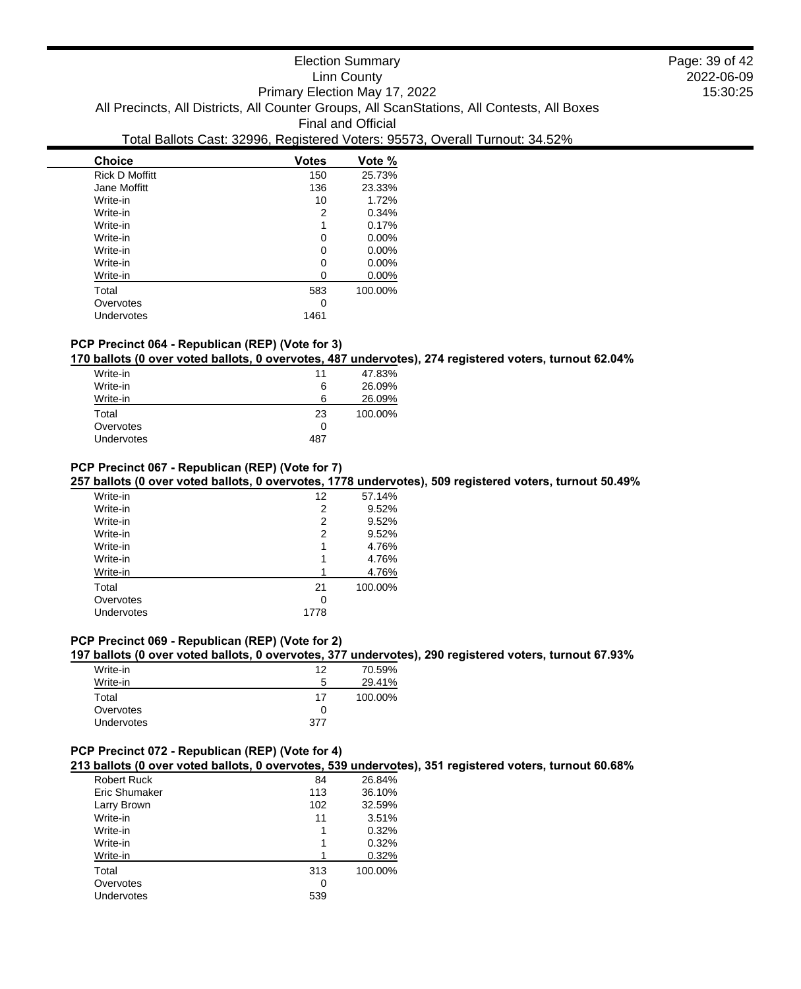| <b>Choice</b>         | <b>Votes</b> | Vote %  |
|-----------------------|--------------|---------|
| <b>Rick D Moffitt</b> | 150          | 25.73%  |
| Jane Moffitt          | 136          | 23.33%  |
| Write-in              | 10           | 1.72%   |
| Write-in              | 2            | 0.34%   |
| Write-in              | 1            | 0.17%   |
| Write-in              | 0            | 0.00%   |
| Write-in              | 0            | 0.00%   |
| Write-in              | 0            | 0.00%   |
| Write-in              | 0            | 0.00%   |
| Total                 | 583          | 100.00% |
| Overvotes             | 0            |         |
| Undervotes            | 1461         |         |
|                       |              |         |

# **PCP Precinct 064 - Republican (REP) (Vote for 3)**

**170 ballots (0 over voted ballots, 0 overvotes, 487 undervotes), 274 registered voters, turnout 62.04%**

| Write-in   | 11  | 47.83%  |
|------------|-----|---------|
| Write-in   | 6   | 26.09%  |
| Write-in   | 6   | 26.09%  |
| Total      | 23  | 100.00% |
| Overvotes  | 0   |         |
| Undervotes | 487 |         |
|            |     |         |

### **PCP Precinct 067 - Republican (REP) (Vote for 7)**

**257 ballots (0 over voted ballots, 0 overvotes, 1778 undervotes), 509 registered voters, turnout 50.49%**

| 12   | 57.14%  |
|------|---------|
| 2    | 9.52%   |
| 2    | 9.52%   |
| 2    | 9.52%   |
| 1    | 4.76%   |
| 1    | 4.76%   |
|      | 4.76%   |
| 21   | 100.00% |
| 0    |         |
| 1778 |         |
|      |         |

# **PCP Precinct 069 - Republican (REP) (Vote for 2)**

**197 ballots (0 over voted ballots, 0 overvotes, 377 undervotes), 290 registered voters, turnout 67.93%**

| Write-in   | 12  | 70.59%  |
|------------|-----|---------|
| Write-in   | 5   | 29.41%  |
| Total      | 17  | 100.00% |
| Overvotes  | 0   |         |
| Undervotes | 377 |         |

# **PCP Precinct 072 - Republican (REP) (Vote for 4)**

**213 ballots (0 over voted ballots, 0 overvotes, 539 undervotes), 351 registered voters, turnout 60.68%**

| <b>Robert Ruck</b> | 84  | 26.84%  |
|--------------------|-----|---------|
| Eric Shumaker      | 113 | 36.10%  |
| Larry Brown        | 102 | 32.59%  |
| Write-in           | 11  | 3.51%   |
| Write-in           | 1   | 0.32%   |
| Write-in           | 1   | 0.32%   |
| Write-in           |     | 0.32%   |
| Total              | 313 | 100.00% |
| Overvotes          | 0   |         |
| Undervotes         | 539 |         |
|                    |     |         |

2022-06-09 15:30:25 Page: 39 of 42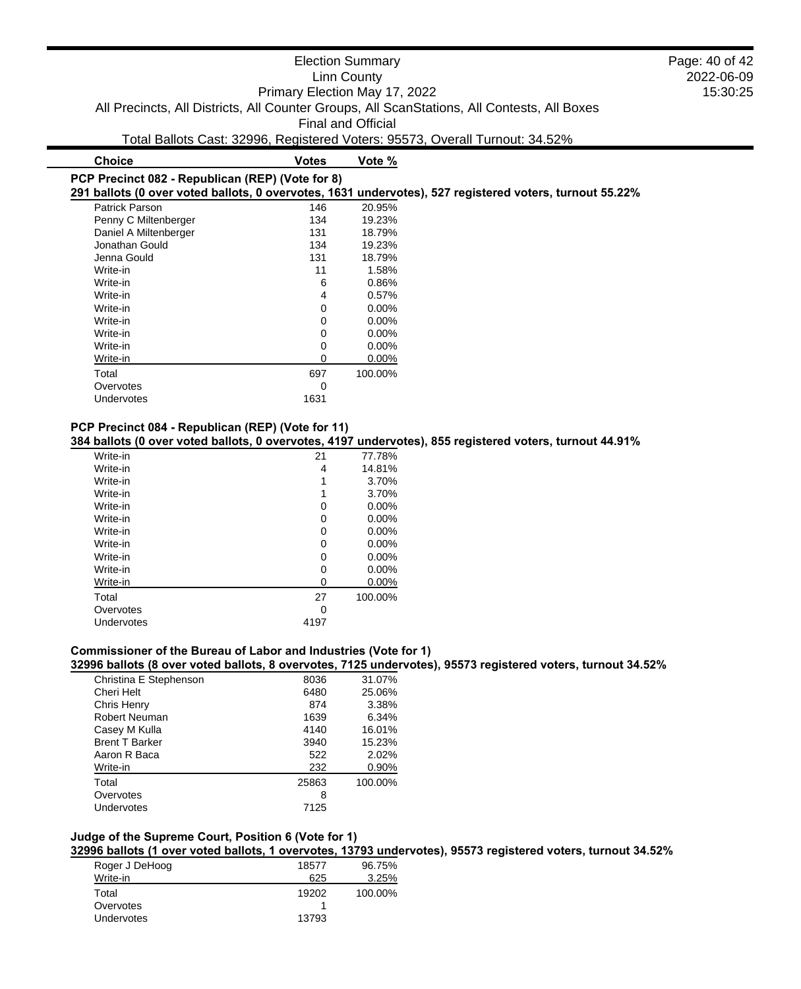|                                                  |                               | <b>Election Summary</b>   |                                                                                                         | Page: 40 of 42 |
|--------------------------------------------------|-------------------------------|---------------------------|---------------------------------------------------------------------------------------------------------|----------------|
|                                                  |                               | Linn County               |                                                                                                         | 2022-06-09     |
|                                                  | Primary Election May 17, 2022 |                           |                                                                                                         | 15:30:25       |
|                                                  |                               |                           | All Precincts, All Districts, All Counter Groups, All ScanStations, All Contests, All Boxes             |                |
|                                                  |                               | <b>Final and Official</b> |                                                                                                         |                |
|                                                  |                               |                           | Total Ballots Cast: 32996, Registered Voters: 95573, Overall Turnout: 34.52%                            |                |
| <b>Choice</b>                                    | <b>Votes</b>                  | Vote %                    |                                                                                                         |                |
| PCP Precinct 082 - Republican (REP) (Vote for 8) |                               |                           |                                                                                                         |                |
|                                                  |                               |                           | 291 ballots (0 over voted ballots, 0 overvotes, 1631 undervotes), 527 registered voters, turnout 55.22% |                |
| Patrick Parson                                   | 146                           | 20.95%                    |                                                                                                         |                |
| Penny C Miltenberger                             | 134                           | 19.23%                    |                                                                                                         |                |
| Daniel A Miltenberger                            | 131                           | 18.79%                    |                                                                                                         |                |
| Jonathan Gould                                   | 134                           | 19.23%                    |                                                                                                         |                |
| Jenna Gould                                      | 131                           | 18.79%                    |                                                                                                         |                |
| Write-in                                         | 11                            | 1.58%                     |                                                                                                         |                |

| Undervotes                                        | 1631 |
|---------------------------------------------------|------|
| PCP Precinct 084 - Republican (REP) (Vote for 11) |      |

Overvotes and the contract of the contract of the contract of the contract of the contract of the contract of the contract of the contract of the contract of the contract of the contract of the contract of the contract of

**384 ballots (0 over voted ballots, 0 overvotes, 4197 undervotes), 855 registered voters, turnout 44.91%**

 $0.00\%$ 

| Write-in   | 21   | 77.78%   |
|------------|------|----------|
| Write-in   | 4    | 14.81%   |
| Write-in   | 1    | 3.70%    |
| Write-in   | 1    | 3.70%    |
| Write-in   | 0    | $0.00\%$ |
| Write-in   | 0    | $0.00\%$ |
| Write-in   | 0    | $0.00\%$ |
| Write-in   | 0    | 0.00%    |
| Write-in   | 0    | $0.00\%$ |
| Write-in   | 0    | $0.00\%$ |
| Write-in   | 0    | $0.00\%$ |
| Total      | 27   | 100.00%  |
| Overvotes  | 0    |          |
| Undervotes | 4197 |          |
|            |      |          |

Write-in 6 0.86% Write-in  $4$  0.57% <br>Write-in 0 0.00% Write-in 0 0.00%<br>Write-in 0 0.00%

Write-in 0 0.00%<br>Write-in 0 0.00% Write-in 0 0.00% Write-in 0 0.00% Total 697 100.00%

# **Commissioner of the Bureau of Labor and Industries (Vote for 1)**

**32996 ballots (8 over voted ballots, 8 overvotes, 7125 undervotes), 95573 registered voters, turnout 34.52%**

| Christina E Stephenson | 8036  | 31.07%  |
|------------------------|-------|---------|
| Cheri Helt             | 6480  | 25.06%  |
| Chris Henry            | 874   | 3.38%   |
| Robert Neuman          | 1639  | 6.34%   |
| Casey M Kulla          | 4140  | 16.01%  |
| <b>Brent T Barker</b>  | 3940  | 15.23%  |
| Aaron R Baca           | 522   | 2.02%   |
| Write-in               | 232   | 0.90%   |
| Total                  | 25863 | 100.00% |
| Overvotes              | 8     |         |
| Undervotes             | 7125  |         |
|                        |       |         |

# **Judge of the Supreme Court, Position 6 (Vote for 1)**

**32996 ballots (1 over voted ballots, 1 overvotes, 13793 undervotes), 95573 registered voters, turnout 34.52%**

| Roger J DeHoog    | 18577 | 96.75%  |
|-------------------|-------|---------|
| Write-in          | 625   | 3.25%   |
| Total             | 19202 | 100.00% |
| Overvotes         |       |         |
| <b>Undervotes</b> | 13793 |         |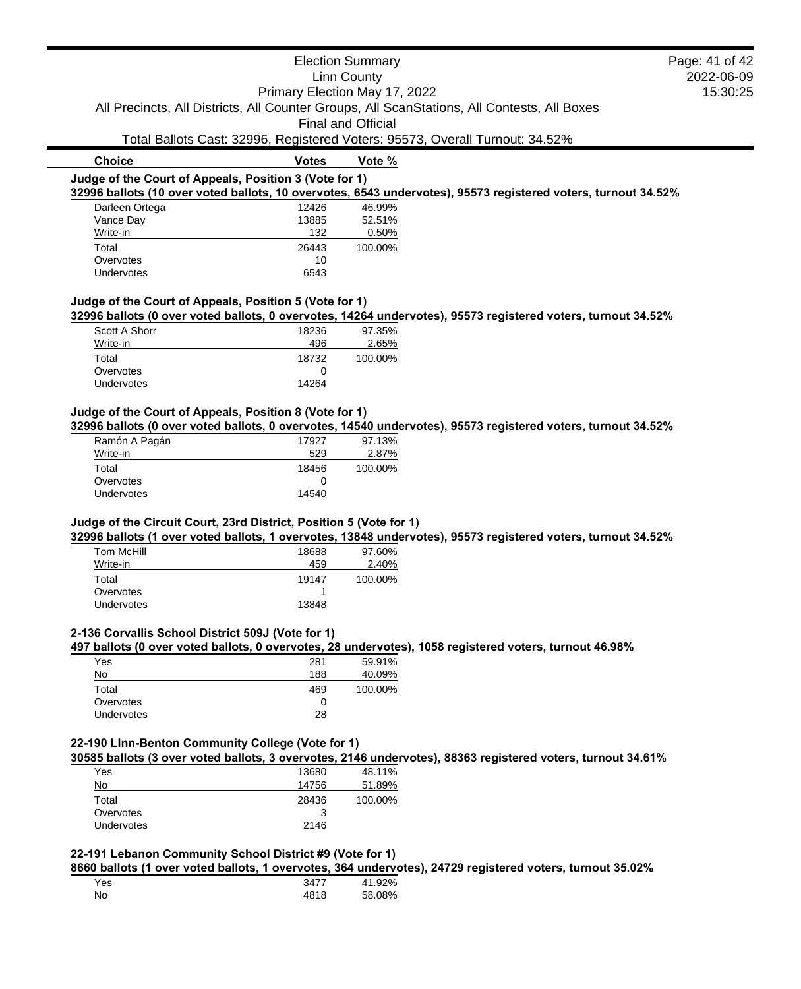|                                                        |                               | <b>Election Summary</b>   | Page: 41 of 42                                                                                                |
|--------------------------------------------------------|-------------------------------|---------------------------|---------------------------------------------------------------------------------------------------------------|
| Linn County                                            |                               |                           | 2022-06-09                                                                                                    |
|                                                        | Primary Election May 17, 2022 |                           | 15:30:25                                                                                                      |
|                                                        |                               |                           | All Precincts, All Districts, All Counter Groups, All ScanStations, All Contests, All Boxes                   |
|                                                        |                               | <b>Final and Official</b> |                                                                                                               |
|                                                        |                               |                           | Total Ballots Cast: 32996, Registered Voters: 95573, Overall Turnout: 34.52%                                  |
| <b>Choice</b>                                          | <b>Votes</b>                  | Vote %                    |                                                                                                               |
| Judge of the Court of Appeals, Position 3 (Vote for 1) |                               |                           |                                                                                                               |
|                                                        |                               |                           | 32996 ballots (10 over voted ballots, 10 overvotes, 6543 undervotes), 95573 registered voters, turnout 34.52% |
| Darleen Ortega                                         | 12426                         | 46.99%                    |                                                                                                               |
| Vance Day                                              | 13885                         | 52.51%                    |                                                                                                               |
| Write-in                                               | 132                           | 0.50%                     |                                                                                                               |
| Total                                                  | 26443                         | 100.00%                   |                                                                                                               |
| Overvotes                                              | 10                            |                           |                                                                                                               |
| <b>Undervotes</b>                                      | 6543                          |                           |                                                                                                               |
| Judge of the Court of Appeals, Position 5 (Vote for 1) |                               |                           |                                                                                                               |
|                                                        |                               |                           | 32996 ballots (0 over voted ballots, 0 overvotes, 14264 undervotes), 95573 registered voters, turnout 34.52%  |

| Scott A Shorr     | 18236        | 97.35%  |
|-------------------|--------------|---------|
| Write-in          | 496          | 2.65%   |
| Total             | 18732        | 100.00% |
| Overvotes         | $\mathbf{0}$ |         |
| <b>Undervotes</b> | 14264        |         |

### **Judge of the Court of Appeals, Position 8 (Vote for 1)**

**32996 ballots (0 over voted ballots, 0 overvotes, 14540 undervotes), 95573 registered voters, turnout 34.52%**

| Ramón A Pagán     | 17927        | 97.13%  |
|-------------------|--------------|---------|
| Write-in          | 529          | 2.87%   |
| Total             | 18456        | 100.00% |
| Overvotes         | $\mathbf{0}$ |         |
| <b>Undervotes</b> | 14540        |         |
|                   |              |         |

### **Judge of the Circuit Court, 23rd District, Position 5 (Vote for 1)**

**32996 ballots (1 over voted ballots, 1 overvotes, 13848 undervotes), 95573 registered voters, turnout 34.52%**

| Tom McHill | 18688 | 97.60%  |
|------------|-------|---------|
| Write-in   | 459   | 2.40%   |
| Total      | 19147 | 100.00% |
| Overvotes  |       |         |
| Undervotes | 13848 |         |

#### **2-136 Corvallis School District 509J (Vote for 1)**

**497 ballots (0 over voted ballots, 0 overvotes, 28 undervotes), 1058 registered voters, turnout 46.98%**

| Yes               | 281 | 59.91%  |
|-------------------|-----|---------|
| No                | 188 | 40.09%  |
| Total             | 469 | 100.00% |
| Overvotes         |     |         |
| <b>Undervotes</b> | 28  |         |

# **22-190 LInn-Benton Community College (Vote for 1)**

**30585 ballots (3 over voted ballots, 3 overvotes, 2146 undervotes), 88363 registered voters, turnout 34.61%**

| Yes        | 13680 | 48.11%  |
|------------|-------|---------|
| No         | 14756 | 51.89%  |
| Total      | 28436 | 100.00% |
| Overvotes  | 3     |         |
| Undervotes | 2146  |         |

#### **22-191 Lebanon Community School District #9 (Vote for 1)**

**8660 ballots (1 over voted ballots, 1 overvotes, 364 undervotes), 24729 registered voters, turnout 35.02%**

| Yes | 3477 | 41.92% |
|-----|------|--------|
| No  | 4818 | 58.08% |